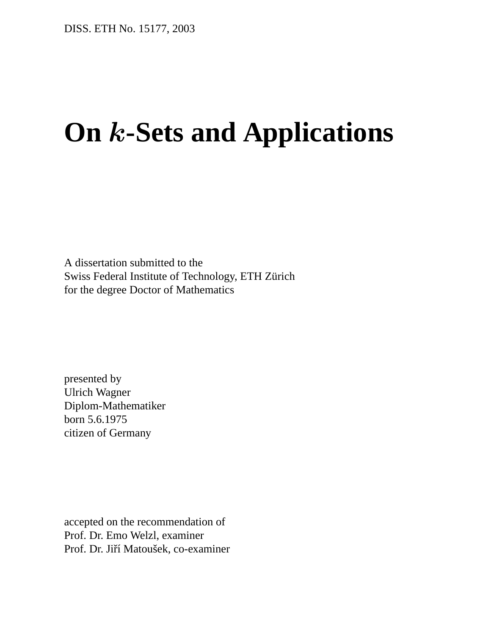# **On** k**-Sets and Applications**

A dissertation submitted to the Swiss Federal Institute of Technology, ETH Zürich for the degree Doctor of Mathematics

presented by Ulrich Wagner Diplom-Mathematiker born 5.6.1975 citizen of Germany

accepted on the recommendation of Prof. Dr. Emo Welzl, examiner Prof. Dr. Jiří Matoušek, co-examiner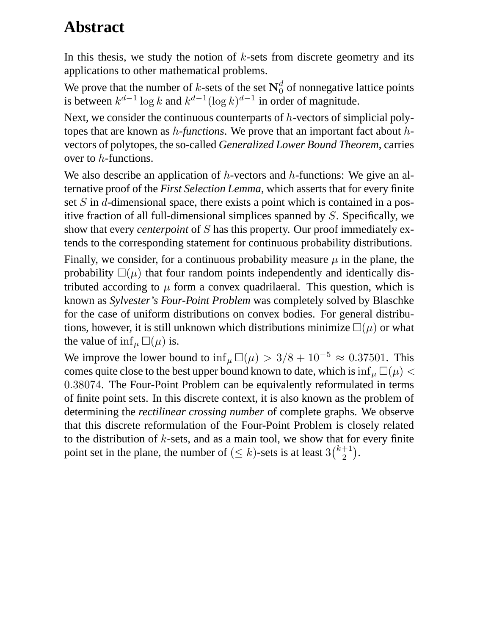#### **Abstract**

In this thesis, we study the notion of  $k$ -sets from discrete geometry and its applications to other mathematical problems.

We prove that the number of k-sets of the set  $N_0^d$  of nonnegative lattice points is between  $k^{d-1} \log k$  and  $k^{d-1} (\log k)^{d-1}$  in order of magnitude.

Next, we consider the continuous counterparts of  $h$ -vectors of simplicial polytopes that are known as h*-functions*. We prove that an important fact about hvectors of polytopes, the so-called *Generalized Lower Bound Theorem*, carries over to h-functions.

We also describe an application of  $h$ -vectors and  $h$ -functions: We give an alternative proof of the *First Selection Lemma*, which asserts that for every finite set S in d-dimensional space, there exists a point which is contained in a positive fraction of all full-dimensional simplices spanned by S. Specifically, we show that every *centerpoint* of S has this property. Our proof immediately extends to the corresponding statement for continuous probability distributions.

Finally, we consider, for a continuous probability measure  $\mu$  in the plane, the probability  $\square(\mu)$  that four random points independently and identically distributed according to  $\mu$  form a convex quadrilaeral. This question, which is known as *Sylvester's Four-Point Problem* was completely solved by Blaschke for the case of uniform distributions on convex bodies. For general distributions, however, it is still unknown which distributions minimize  $\square(\mu)$  or what the value of  $\inf_{\mu} \Box(\mu)$  is.

We improve the lower bound to  $\inf_{\mu} \Box(\mu) > 3/8 + 10^{-5} \approx 0.37501$ . This comes quite close to the best upper bound known to date, which is  $\inf_{\mu} \Box(\mu) <$ 0.38074. The Four-Point Problem can be equivalently reformulated in terms of finite point sets. In this discrete context, it is also known as the problem of determining the *rectilinear crossing number* of complete graphs. We observe that this discrete reformulation of the Four-Point Problem is closely related to the distribution of  $k$ -sets, and as a main tool, we show that for every finite point set in the plane, the number of  $(\leq k)$ -sets is at least  $3{k+1 \choose 2}$  $_{2}^{+1}).$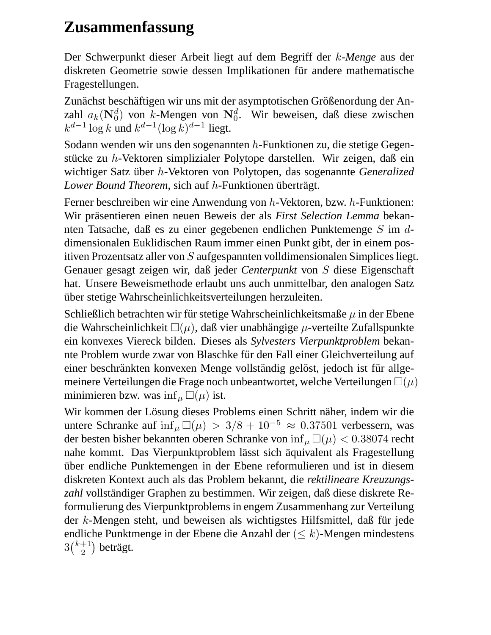### **Zusammenfassung**

Der Schwerpunkt dieser Arbeit liegt auf dem Begriff der k*-Menge* aus der diskreten Geometrie sowie dessen Implikationen für andere mathematische Fragestellungen.

Zunächst beschäftigen wir uns mit der asymptotischen Größenordung der Anzahl  $a_k(\mathbf{N}_0^d)$  von k-Mengen von  $\mathbf{N}_0^d$ . Wir beweisen, daß diese zwischen  $k^{d-1} \log k$  und  $k^{d-1} (\log k)^{d-1}$  liegt.

Sodann wenden wir uns den sogenannten  $h$ -Funktionen zu, die stetige Gegenstücke zu  $h$ -Vektoren simplizialer Polytope darstellen. Wir zeigen, daß ein wichtiger Satz über *h*-Vektoren von Polytopen, das sogenannte *Generalized Lower Bound Theorem*, sich auf h-Funktionen überträgt.

Ferner beschreiben wir eine Anwendung von h-Vektoren, bzw. h-Funktionen: Wir präsentieren einen neuen Beweis der als *First Selection Lemma* bekannten Tatsache, daß es zu einer gegebenen endlichen Punktemenge S im ddimensionalen Euklidischen Raum immer einen Punkt gibt, der in einem positiven Prozentsatz aller von S aufgespannten volldimensionalen Simplices liegt. Genauer gesagt zeigen wir, daß jeder *Centerpunkt* von S diese Eigenschaft hat. Unsere Beweismethode erlaubt uns auch unmittelbar, den analogen Satz über stetige Wahrscheinlichkeitsverteilungen herzuleiten.

Schließlich betrachten wir für stetige Wahrscheinlichkeitsmaße  $\mu$  in der Ebene die Wahrscheinlichkeit  $\square(\mu)$ , daß vier unabhängige  $\mu$ -verteilte Zufallspunkte ein konvexes Viereck bilden. Dieses als *Sylvesters Vierpunktproblem* bekannte Problem wurde zwar von Blaschke für den Fall einer Gleichverteilung auf einer beschränkten konvexen Menge vollständig gelöst, jedoch ist für allgemeinere Verteilungen die Frage noch unbeantwortet, welche Verteilungen  $\square(\mu)$ minimieren bzw. was  $\inf_{\mu} \Box(\mu)$  ist.

Wir kommen der Lösung dieses Problems einen Schritt näher, indem wir die untere Schranke auf inf<sub>µ</sub>  $\Box(\mu) > 3/8 + 10^{-5} \approx 0.37501$  verbessern, was der besten bisher bekannten oberen Schranke von  $\inf_{\mu} \Box(\mu) < 0.38074$  recht nahe kommt. Das Vierpunktproblem lässt sich äquivalent als Fragestellung uber endliche Punktemengen in der Ebene reformulieren und ist in diesem diskreten Kontext auch als das Problem bekannt, die *rektilineare Kreuzungs*zahl vollständiger Graphen zu bestimmen. Wir zeigen, daß diese diskrete Reformulierung des Vierpunktproblems in engem Zusammenhang zur Verteilung der  $k$ -Mengen steht, und beweisen als wichtigstes Hilfsmittel, daß für jede endliche Punktmenge in der Ebene die Anzahl der  $( $k$ )-Mengen mindestens$  $3\binom{k+1}{2}$  $\binom{+1}{2}$  beträgt.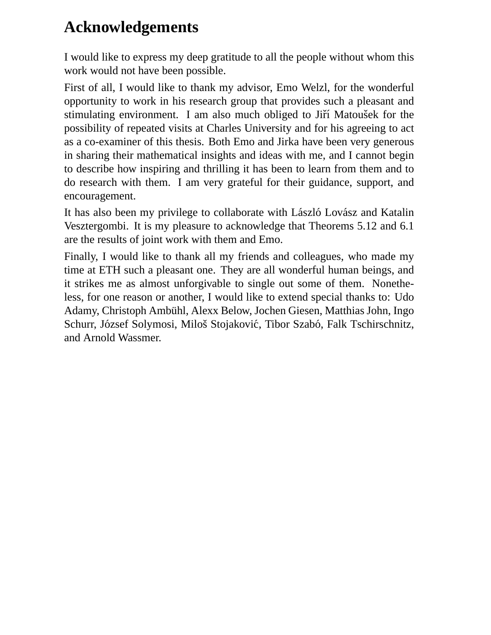#### **Acknowledgements**

I would like to express my deep gratitude to all the people without whom this work would not have been possible.

First of all, I would like to thank my advisor, Emo Welzl, for the wonderful opportunity to work in his research group that provides such a pleasant and stimulating environment. I am also much obliged to Jiří Matoušek for the possibility of repeated visits at Charles University and for his agreeing to act as a co-examiner of this thesis. Both Emo and Jirka have been very generous in sharing their mathematical insights and ideas with me, and I cannot begin to describe how inspiring and thrilling it has been to learn from them and to do research with them. I am very grateful for their guidance, support, and encouragement.

It has also been my privilege to collaborate with László Lovász and Katalin Vesztergombi. It is my pleasure to acknowledge that Theorems 5.12 and 6.1 are the results of joint work with them and Emo.

Finally, I would like to thank all my friends and colleagues, who made my time at ETH such a pleasant one. They are all wonderful human beings, and it strikes me as almost unforgivable to single out some of them. Nonetheless, for one reason or another, I would like to extend special thanks to: Udo Adamy, Christoph Ambuhl, Alexx Below, Jochen Giesen, Matthias John, Ingo ¨ Schurr, József Solymosi, Miloš Stojaković, Tibor Szabó, Falk Tschirschnitz, and Arnold Wassmer.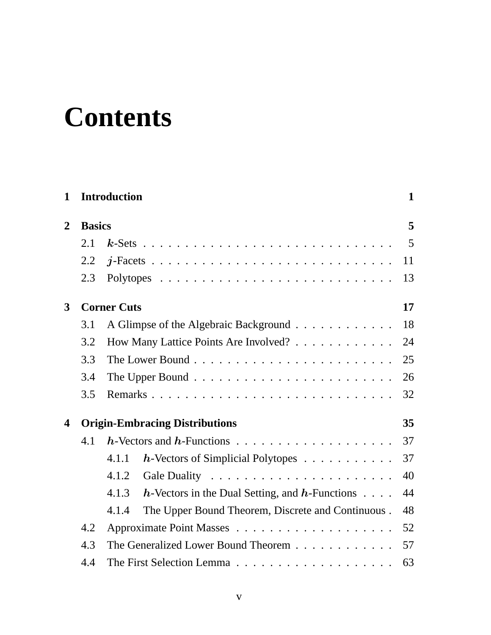# **Contents**

| $\mathbf 1$    |     | <b>Introduction</b>                                                   | $\mathbf{1}$ |  |  |
|----------------|-----|-----------------------------------------------------------------------|--------------|--|--|
| $\overline{2}$ |     | <b>Basics</b>                                                         |              |  |  |
|                | 2.1 |                                                                       | 5            |  |  |
|                | 2.2 |                                                                       | 11           |  |  |
|                | 2.3 |                                                                       | 13           |  |  |
| $\mathbf{3}$   |     | <b>Corner Cuts</b>                                                    | 17           |  |  |
|                | 3.1 | A Glimpse of the Algebraic Background                                 | 18           |  |  |
|                | 3.2 | How Many Lattice Points Are Involved?                                 | 24           |  |  |
|                | 3.3 |                                                                       | 25           |  |  |
|                | 3.4 |                                                                       | 26           |  |  |
|                | 3.5 |                                                                       | 32           |  |  |
| 4              |     | <b>Origin-Embracing Distributions</b>                                 | 35           |  |  |
|                | 4.1 |                                                                       | 37           |  |  |
|                |     | $h$ -Vectors of Simplicial Polytopes<br>4.1.1                         | 37           |  |  |
|                |     | 4.1.2                                                                 | 40           |  |  |
|                |     | 4.1.3<br>$h$ -Vectors in the Dual Setting, and $h$ -Functions $\dots$ | 44           |  |  |
|                |     | The Upper Bound Theorem, Discrete and Continuous.<br>4.1.4            | 48           |  |  |
|                | 4.2 |                                                                       | 52           |  |  |
|                | 4.3 | The Generalized Lower Bound Theorem                                   | 57           |  |  |
|                | 4.4 | The First Selection Lemma                                             | 63           |  |  |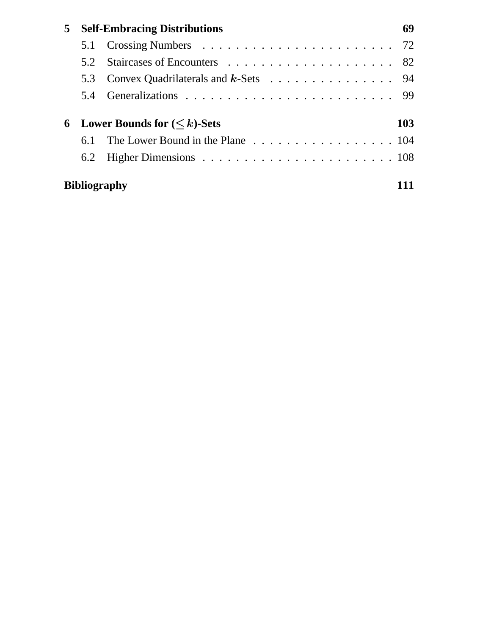| 5 | <b>Self-Embracing Distributions</b>                |                                                                             |  |  |
|---|----------------------------------------------------|-----------------------------------------------------------------------------|--|--|
|   |                                                    |                                                                             |  |  |
|   | 5.2                                                |                                                                             |  |  |
|   | 5.3                                                | Convex Quadrilaterals and $k$ -Sets $\ldots \ldots \ldots \ldots \ldots$ 94 |  |  |
|   |                                                    |                                                                             |  |  |
| 6 | <b>Lower Bounds for <math>(&lt; k</math>)-Sets</b> |                                                                             |  |  |
|   | 6.1                                                | The Lower Bound in the Plane 104                                            |  |  |
|   | 6.2                                                |                                                                             |  |  |
|   | <b>Bibliography</b>                                |                                                                             |  |  |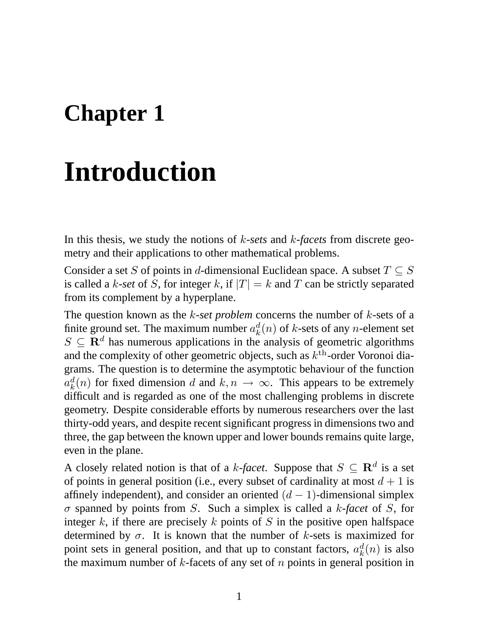### **Chapter 1**

## **Introduction**

In this thesis, we study the notions of k*-sets* and k*-facets* from discrete geometry and their applications to other mathematical problems.

Consider a set S of points in d-dimensional Euclidean space. A subset  $T \subseteq S$ is called a k-set of S, for integer k, if  $|T| = k$  and T can be strictly separated from its complement by a hyperplane.

The question known as the k*-set problem* concerns the number of k-sets of a finite ground set. The maximum number  $a_k^d$  $k<sup>d</sup>(n)$  of *k*-sets of any *n*-element set  $S \subseteq \mathbb{R}^d$  has numerous applications in the analysis of geometric algorithms and the complexity of other geometric objects, such as  $k^{\text{th}}$ -order Voronoi diagrams. The question is to determine the asymptotic behaviour of the function  $a_k^d$  $k(n)$  for fixed dimension d and  $k, n \to \infty$ . This appears to be extremely difficult and is regarded as one of the most challenging problems in discrete geometry. Despite considerable efforts by numerous researchers over the last thirty-odd years, and despite recent significant progress in dimensions two and three, the gap between the known upper and lower bounds remains quite large, even in the plane.

A closely related notion is that of a *k*-facet. Suppose that  $S \subseteq \mathbb{R}^d$  is a set of points in general position (i.e., every subset of cardinality at most  $d + 1$  is affinely independent), and consider an oriented  $(d - 1)$ -dimensional simplex σ spanned by points from S. Such a simplex is called a k*-facet* of S, for integer k, if there are precisely k points of S in the positive open halfspace determined by  $\sigma$ . It is known that the number of k-sets is maximized for point sets in general position, and that up to constant factors,  $a_k^d$  $_{k}^{d}(n)$  is also the maximum number of  $k$ -facets of any set of  $n$  points in general position in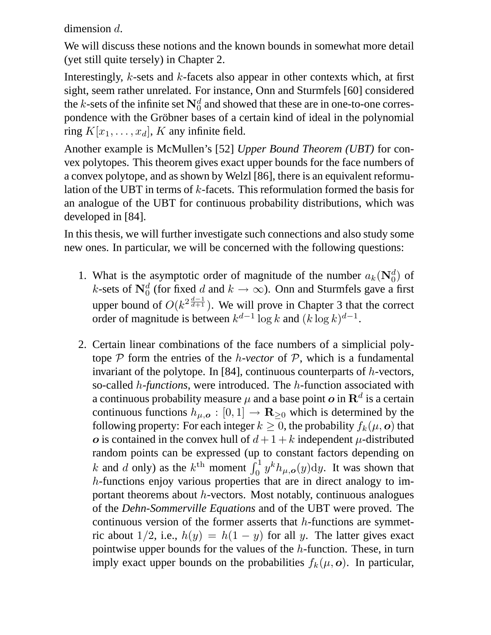dimension d.

We will discuss these notions and the known bounds in somewhat more detail (yet still quite tersely) in Chapter 2.

Interestingly,  $k$ -sets and  $k$ -facets also appear in other contexts which, at first sight, seem rather unrelated. For instance, Onn and Sturmfels [60] considered the k-sets of the infinite set  $\mathbf{N}_0^d$  and showed that these are in one-to-one correspondence with the Gröbner bases of a certain kind of ideal in the polynomial ring  $K[x_1, \ldots, x_d]$ , K any infinite field.

Another example is McMullen's [52] *Upper Bound Theorem (UBT)* for convex polytopes. This theorem gives exact upper bounds for the face numbers of a convex polytope, and as shown by Welzl [86], there is an equivalent reformulation of the UBT in terms of k-facets. This reformulation formed the basis for an analogue of the UBT for continuous probability distributions, which was developed in [84].

In this thesis, we will further investigate such connections and also study some new ones. In particular, we will be concerned with the following questions:

- 1. What is the asymptotic order of magnitude of the number  $a_k(\mathbf{N}_0^d)$  of *k*-sets of  $\mathbf{N}_0^d$  (for fixed d and  $k \to \infty$ ). Onn and Sturmfels gave a first upper bound of  $O(k^{2\frac{d-1}{d+1}})$ . We will prove in Chapter 3 that the correct order of magnitude is between  $k^{d-1} \log k$  and  $(k \log k)^{d-1}$ .
- 2. Certain linear combinations of the face numbers of a simplicial polytope  $P$  form the entries of the *h-vector* of  $P$ , which is a fundamental invariant of the polytope. In [84], continuous counterparts of h-vectors, so-called h*-functions*, were introduced. The h-function associated with a continuous probability measure  $\mu$  and a base point  $\boldsymbol{o}$  in  $\mathbf{R}^d$  is a certain continuous functions  $h_{\mu,\rho} : [0,1] \to \mathbf{R}_{\geq 0}$  which is determined by the following property: For each integer  $k \geq 0$ , the probability  $f_k(\mu, o)$  that o is contained in the convex hull of  $d + 1 + k$  independent  $\mu$ -distributed random points can be expressed (up to constant factors depending on k and d only) as the  $k^{\text{th}}$  moment  $\int_0^1 y^k h_{\mu,\mathbf{o}}(y) dy$ . It was shown that h-functions enjoy various properties that are in direct analogy to important theorems about  $h$ -vectors. Most notably, continuous analogues of the *Dehn-Sommerville Equations* and of the UBT were proved. The continuous version of the former asserts that  $h$ -functions are symmetric about 1/2, i.e.,  $h(y) = h(1 - y)$  for all y. The latter gives exact pointwise upper bounds for the values of the h-function. These, in turn imply exact upper bounds on the probabilities  $f_k(\mu, o)$ . In particular,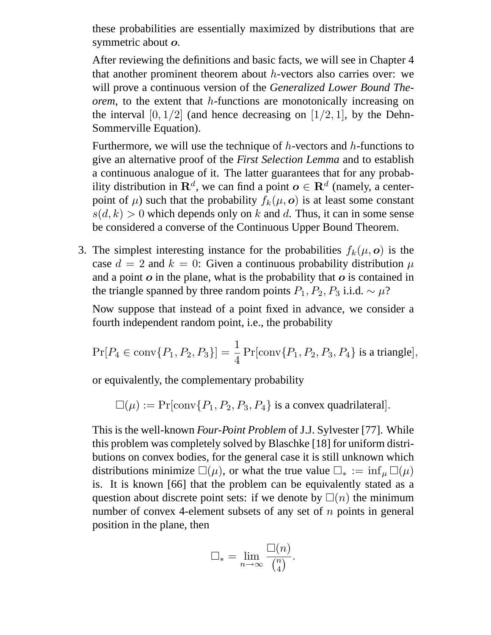these probabilities are essentially maximized by distributions that are symmetric about  $o$ .

After reviewing the definitions and basic facts, we will see in Chapter 4 that another prominent theorem about h-vectors also carries over: we will prove a continuous version of the *Generalized Lower Bound Theorem*, to the extent that h-functions are monotonically increasing on the interval  $[0, 1/2]$  (and hence decreasing on  $[1/2, 1]$ , by the Dehn-Sommerville Equation).

Furthermore, we will use the technique of  $h$ -vectors and  $h$ -functions to give an alternative proof of the *First Selection Lemma* and to establish a continuous analogue of it. The latter guarantees that for any probability distribution in  $\mathbf{R}^d$ , we can find a point  $\boldsymbol{o} \in \mathbf{R}^d$  (namely, a centerpoint of  $\mu$ ) such that the probability  $f_k(\mu, o)$  is at least some constant  $s(d, k) > 0$  which depends only on k and d. Thus, it can in some sense be considered a converse of the Continuous Upper Bound Theorem.

3. The simplest interesting instance for the probabilities  $f_k(\mu, o)$  is the case  $d = 2$  and  $k = 0$ : Given a continuous probability distribution  $\mu$ and a point  $\boldsymbol{o}$  in the plane, what is the probability that  $\boldsymbol{o}$  is contained in the triangle spanned by three random points  $P_1$ ,  $P_2$ ,  $P_3$  i.i.d.  $\sim \mu$ ?

Now suppose that instead of a point fixed in advance, we consider a fourth independent random point, i.e., the probability

$$
Pr[P_4 \in conv\{P_1, P_2, P_3\}] = \frac{1}{4} Pr[conv\{P_1, P_2, P_3, P_4\}] \text{ is a triangle}],
$$

or equivalently, the complementary probability

$$
\Box(\mu) := \Pr[\text{conv}\{P_1, P_2, P_3, P_4\} \text{ is a convex quadrilateral}].
$$

This is the well-known *Four-Point Problem* of J.J. Sylvester [77]. While this problem was completely solved by Blaschke [18] for uniform distributions on convex bodies, for the general case it is still unknown which distributions minimize  $\square(\mu)$ , or what the true value  $\square_* := \inf_{\mu} \square(\mu)$ is. It is known [66] that the problem can be equivalently stated as a question about discrete point sets: if we denote by  $\Box(n)$  the minimum number of convex 4-element subsets of any set of  $n$  points in general position in the plane, then

$$
\Box_* = \lim_{n \to \infty} \frac{\Box(n)}{\binom{n}{4}}.
$$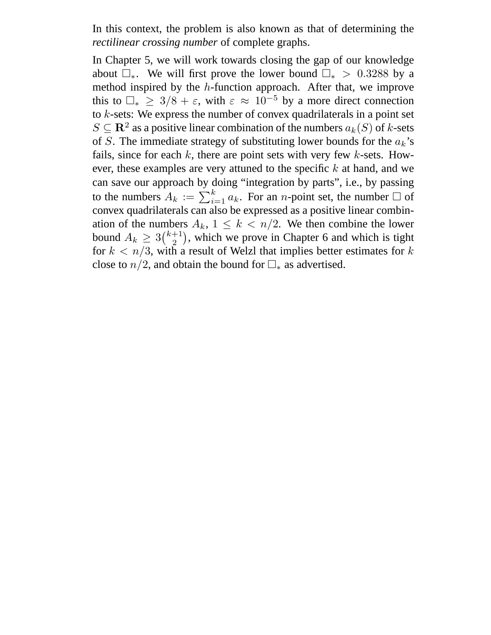In this context, the problem is also known as that of determining the *rectilinear crossing number* of complete graphs.

In Chapter 5, we will work towards closing the gap of our knowledge about  $\Box_*$ . We will first prove the lower bound  $\Box_*$  > 0.3288 by a method inspired by the h-function approach. After that, we improve this to  $\Box_* \geq 3/8 + \varepsilon$ , with  $\varepsilon \approx 10^{-5}$  by a more direct connection to k-sets: We express the number of convex quadrilaterals in a point set  $S \subseteq \mathbb{R}^2$  as a positive linear combination of the numbers  $a_k(S)$  of k-sets of S. The immediate strategy of substituting lower bounds for the  $a_k$ 's fails, since for each  $k$ , there are point sets with very few  $k$ -sets. However, these examples are very attuned to the specific  $k$  at hand, and we can save our approach by doing "integration by parts", i.e., by passing to the numbers  $A_k := \sum_{i=1}^k a_k$ . For an *n*-point set, the number  $\Box$  of convex quadrilaterals can also be expressed as a positive linear combination of the numbers  $A_k$ ,  $1 \leq k \leq n/2$ . We then combine the lower bound  $A_k \geq 3 {k+1 \choose 2}$  $^{+1}_{2}$ ), which we prove in Chapter 6 and which is tight for  $k < n/3$ , with a result of Welzl that implies better estimates for k close to  $n/2$ , and obtain the bound for  $\Box_*$  as advertised.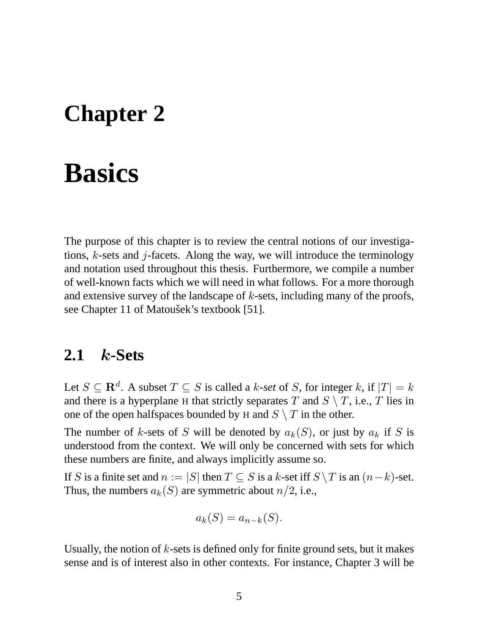### **Chapter 2**

### **Basics**

The purpose of this chapter is to review the central notions of our investigations,  $k$ -sets and  $j$ -facets. Along the way, we will introduce the terminology and notation used throughout this thesis. Furthermore, we compile a number of well-known facts which we will need in what follows. For a more thorough and extensive survey of the landscape of  $k$ -sets, including many of the proofs, see Chapter 11 of Matoušek's textbook [51].

#### **2.1** k**-Sets**

Let  $S \subseteq \mathbf{R}^d$ . A subset  $T \subseteq S$  is called a k-set of S, for integer k, if  $|T| = k$ and there is a hyperplane H that strictly separates T and  $S \setminus T$ , i.e., T lies in one of the open halfspaces bounded by H and  $S \setminus T$  in the other.

The number of k-sets of S will be denoted by  $a_k(S)$ , or just by  $a_k$  if S is understood from the context. We will only be concerned with sets for which these numbers are finite, and always implicitly assume so.

If S is a finite set and  $n := |S|$  then  $T \subseteq S$  is a k-set iff  $S \setminus T$  is an  $(n-k)$ -set. Thus, the numbers  $a_k(S)$  are symmetric about  $n/2$ , i.e.,

$$
a_k(S) = a_{n-k}(S).
$$

Usually, the notion of  $k$ -sets is defined only for finite ground sets, but it makes sense and is of interest also in other contexts. For instance, Chapter 3 will be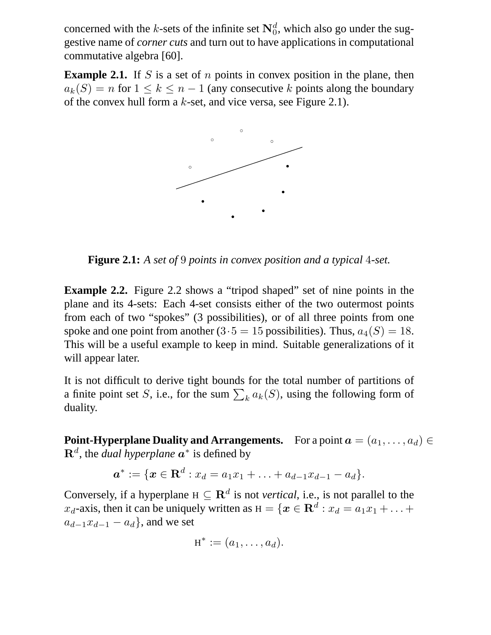concerned with the *k*-sets of the infinite set  $N_0^d$ , which also go under the suggestive name of *corner cuts* and turn out to have applications in computational commutative algebra [60].

**Example 2.1.** If S is a set of n points in convex position in the plane, then  $a_k(S) = n$  for  $1 \leq k \leq n-1$  (any consecutive k points along the boundary of the convex hull form a  $k$ -set, and vice versa, see Figure 2.1).



**Figure 2.1:** *A set of* 9 *points in convex position and a typical* 4*-set.*

**Example 2.2.** Figure 2.2 shows a "tripod shaped" set of nine points in the plane and its 4-sets: Each 4-set consists either of the two outermost points from each of two "spokes" (3 possibilities), or of all three points from one spoke and one point from another  $(3.5 = 15$  possibilities). Thus,  $a_4(S) = 18$ . This will be a useful example to keep in mind. Suitable generalizations of it will appear later.

It is not difficult to derive tight bounds for the total number of partitions of a finite point set S, i.e., for the sum  $\sum_k a_k(S)$ , using the following form of duality.

**Point-Hyperplane Duality and Arrangements.** For a point  $a = (a_1, \ldots, a_d) \in$  $\mathbf{R}^d$ , the *dual hyperplane*  $\boldsymbol{a}^*$  is defined by

$$
\boldsymbol{a}^* := \{\boldsymbol{x} \in \mathbf{R}^d : x_d = a_1 x_1 + \ldots + a_{d-1} x_{d-1} - a_d\}.
$$

Conversely, if a hyperplane  $H \subseteq \mathbb{R}^d$  is not *vertical*, i.e., is not parallel to the  $x_d$ -axis, then it can be uniquely written as  $H = \{ \boldsymbol{x} \in \mathbf{R}^d : x_d = a_1 x_1 + \ldots + a_k \}$  $a_{d-1}x_{d-1} - a_d$ , and we set

$$
H^* := (a_1, \ldots, a_d).
$$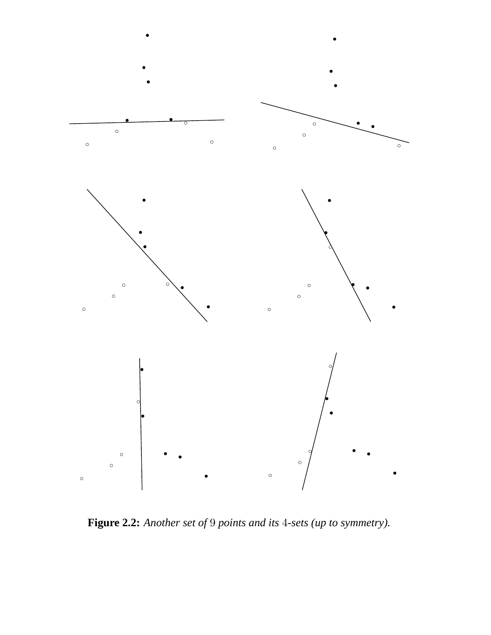

**Figure 2.2:** *Another set of* 9 *points and its* 4*-sets (up to symmetry).*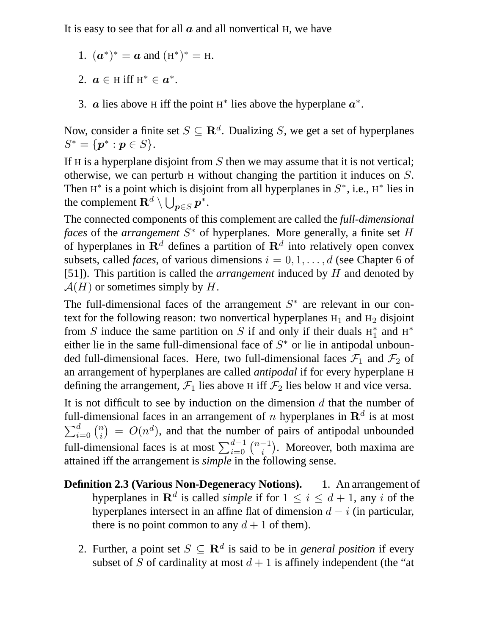It is easy to see that for all  $\alpha$  and all nonvertical H, we have

- 1.  $(a^*)^* = a$  and  $(H^*)^* = H$ .
- 2.  $a \in H$  iff  $H^* \in a^*$ .
- 3. *a* lies above H iff the point H<sup>\*</sup> lies above the hyperplane  $a^*$ .

Now, consider a finite set  $S \subseteq \mathbf{R}^d$ . Dualizing S, we get a set of hyperplanes  $S^* = \{ \bm{p}^* : \bm{p} \in S \}.$ 

If H is a hyperplane disjoint from  $S$  then we may assume that it is not vertical; otherwise, we can perturb H without changing the partition it induces on S. Then  $H^*$  is a point which is disjoint from all hyperplanes in  $S^*$ , i.e.,  $H^*$  lies in the complement  $\mathbf{R}^d \setminus \bigcup_{\bm{p} \in S} \bm{p}^*.$ 

The connected components of this complement are called the *full-dimensional faces* of the *arrangement* S <sup>∗</sup> of hyperplanes. More generally, a finite set H of hyperplanes in  $\mathbf{R}^{d}$  defines a partition of  $\mathbf{R}^{d}$  into relatively open convex subsets, called *faces*, of various dimensions  $i = 0, 1, \ldots, d$  (see Chapter 6 of [51]). This partition is called the *arrangement* induced by H and denoted by  $\mathcal{A}(H)$  or sometimes simply by H.

The full-dimensional faces of the arrangement  $S^*$  are relevant in our context for the following reason: two nonvertical hyperplanes  $H_1$  and  $H_2$  disjoint from S induce the same partition on S if and only if their duals  $H_1^*$  and  $H^*$ either lie in the same full-dimensional face of  $S^*$  or lie in antipodal unbounded full-dimensional faces. Here, two full-dimensional faces  $\mathcal{F}_1$  and  $\mathcal{F}_2$  of an arrangement of hyperplanes are called *antipodal* if for every hyperplane H defining the arrangement,  $\mathcal{F}_1$  lies above H iff  $\mathcal{F}_2$  lies below H and vice versa.

It is not difficult to see by induction on the dimension  $d$  that the number of full-dimensional faces in an arrangement of *n* hyperplanes in  $\mathbf{R}^d$  is at most  $\sum_{i=0}^{d} \binom{n}{i} = O(n^d)$ , and that the number of pairs of antipodal unbounded i full-dimensional faces is at most  $\sum_{i=0}^{d-1} \binom{n-1}{i}$ . Moreover, both maxima are attained iff the arrangement is *simple* in the following sense.

- **Definition 2.3 (Various Non-Degeneracy Notions).** 1. An arrangement of hyperplanes in  $\mathbf{R}^d$  is called *simple* if for  $1 \leq i \leq d+1$ , any i of the hyperplanes intersect in an affine flat of dimension  $d - i$  (in particular, there is no point common to any  $d + 1$  of them).
	- 2. Further, a point set  $S \subseteq \mathbb{R}^d$  is said to be in *general position* if every subset of S of cardinality at most  $d + 1$  is affinely independent (the "at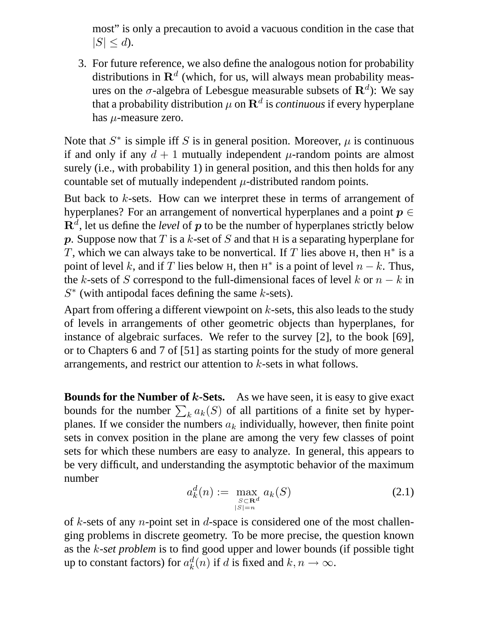most" is only a precaution to avoid a vacuous condition in the case that  $|S| \leq d$ ).

3. For future reference, we also define the analogous notion for probability distributions in  $\mathbf{R}^{d}$  (which, for us, will always mean probability measures on the  $\sigma$ -algebra of Lebesgue measurable subsets of  $\mathbf{R}^{d}$ ): We say that a probability distribution  $\mu$  on  $\mathbf{R}^d$  is *continuous* if every hyperplane has  $\mu$ -measure zero.

Note that  $S^*$  is simple iff S is in general position. Moreover,  $\mu$  is continuous if and only if any  $d + 1$  mutually independent  $\mu$ -random points are almost surely (i.e., with probability 1) in general position, and this then holds for any countable set of mutually independent  $\mu$ -distributed random points.

But back to  $k$ -sets. How can we interpret these in terms of arrangement of hyperplanes? For an arrangement of nonvertical hyperplanes and a point  $p \in$  $\mathbf{R}^{d}$ , let us define the *level* of  $p$  to be the number of hyperplanes strictly below p. Suppose now that T is a k-set of S and that H is a separating hyperplane for T, which we can always take to be nonvertical. If T lies above  $H$ , then  $H^*$  is a point of level k, and if T lies below H, then H<sup>\*</sup> is a point of level  $n - k$ . Thus, the k-sets of S correspond to the full-dimensional faces of level k or  $n - k$  in  $S^*$  (with antipodal faces defining the same  $k$ -sets).

Apart from offering a different viewpoint on  $k$ -sets, this also leads to the study of levels in arrangements of other geometric objects than hyperplanes, for instance of algebraic surfaces. We refer to the survey [2], to the book [69], or to Chapters 6 and 7 of [51] as starting points for the study of more general arrangements, and restrict our attention to k-sets in what follows.

**Bounds for the Number of k-Sets.** As we have seen, it is easy to give exact bounds for the number  $\sum_k a_k(S)$  of all partitions of a finite set by hyperplanes. If we consider the numbers  $a_k$  individually, however, then finite point sets in convex position in the plane are among the very few classes of point sets for which these numbers are easy to analyze. In general, this appears to be very difficult, and understanding the asymptotic behavior of the maximum number

$$
a_k^d(n) := \max_{\substack{S \subset \mathbf{R}^d \\ |S| = n}} a_k(S) \tag{2.1}
$$

of k-sets of any *n*-point set in d-space is considered one of the most challenging problems in discrete geometry. To be more precise, the question known as the k*-set problem* is to find good upper and lower bounds (if possible tight up to constant factors) for  $a_k^d$  $k_n^d(n)$  if d is fixed and  $k, n \to \infty$ .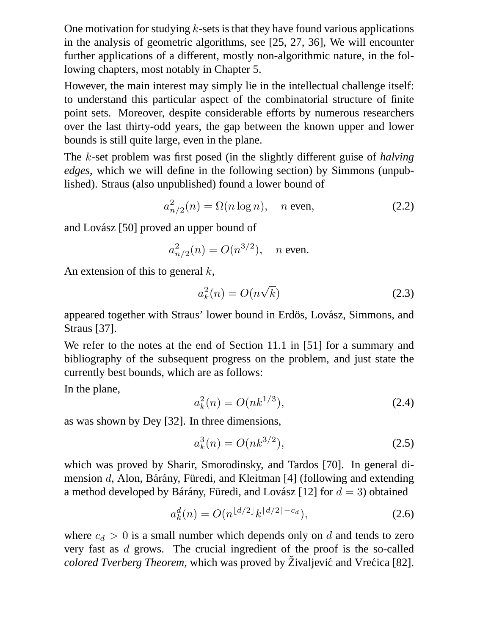One motivation for studying  $k$ -sets is that they have found various applications in the analysis of geometric algorithms, see [25, 27, 36], We will encounter further applications of a different, mostly non-algorithmic nature, in the following chapters, most notably in Chapter 5.

However, the main interest may simply lie in the intellectual challenge itself: to understand this particular aspect of the combinatorial structure of finite point sets. Moreover, despite considerable efforts by numerous researchers over the last thirty-odd years, the gap between the known upper and lower bounds is still quite large, even in the plane.

The k-set problem was first posed (in the slightly different guise of *halving edges*, which we will define in the following section) by Simmons (unpublished). Straus (also unpublished) found a lower bound of

$$
a_{n/2}^2(n) = \Omega(n \log n), \quad n \text{ even}, \tag{2.2}
$$

and Lovász [50] proved an upper bound of

$$
a_{n/2}^2(n) = O(n^{3/2}),
$$
 n even.

An extension of this to general  $k$ ,

$$
a_k^2(n) = O(n\sqrt{k})\tag{2.3}
$$

appeared together with Straus' lower bound in Erdös, Lovász, Simmons, and Straus [37].

We refer to the notes at the end of Section 11.1 in [51] for a summary and bibliography of the subsequent progress on the problem, and just state the currently best bounds, which are as follows:

In the plane,

$$
a_k^2(n) = O(nk^{1/3}),\tag{2.4}
$$

as was shown by Dey [32]. In three dimensions,

$$
a_k^3(n) = O(nk^{3/2}),\tag{2.5}
$$

which was proved by Sharir, Smorodinsky, and Tardos [70]. In general dimension d, Alon, Bárány, Füredi, and Kleitman [4] (following and extending a method developed by Bárány, Füredi, and Lovász [12] for  $d = 3$ ) obtained

$$
a_k^d(n) = O(n^{\lfloor d/2 \rfloor} k^{\lceil d/2 \rceil - c_d}),\tag{2.6}
$$

where  $c_d > 0$  is a small number which depends only on d and tends to zero very fast as d grows. The crucial ingredient of the proof is the so-called *colored Tverberg Theorem*, which was proved by Živaljević and Vrećica [82].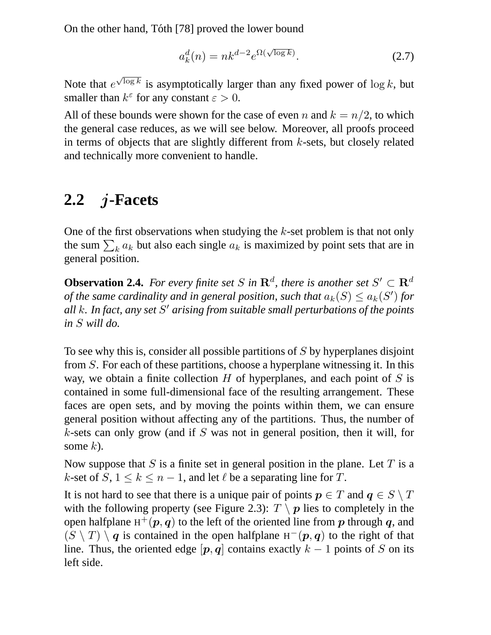On the other hand, Tóth [78] proved the lower bound

$$
a_k^d(n) = nk^{d-2}e^{\Omega(\sqrt{\log k})}.
$$
 (2.7)

Note that  $e^{\sqrt{\log k}}$  is asymptotically larger than any fixed power of  $\log k$ , but smaller than  $k^{\varepsilon}$  for any constant  $\varepsilon > 0$ .

All of these bounds were shown for the case of even n and  $k = n/2$ , to which the general case reduces, as we will see below. Moreover, all proofs proceed in terms of objects that are slightly different from  $k$ -sets, but closely related and technically more convenient to handle.

#### **2.2** j**-Facets**

One of the first observations when studying the  $k$ -set problem is that not only the sum  $\sum_k a_k$  but also each single  $a_k$  is maximized by point sets that are in general position.

**Observation 2.4.** For every finite set S in  $\mathbb{R}^d$ , there is another set  $S' \subset \mathbb{R}^d$ *of the same cardinality and in general position, such that*  $a_k(S) \le a_k(S')$  for *all* k*. In fact, any set* S <sup>0</sup> *arising from suitable small perturbations of the points in* S *will do.*

To see why this is, consider all possible partitions of S by hyperplanes disjoint from S. For each of these partitions, choose a hyperplane witnessing it. In this way, we obtain a finite collection  $H$  of hyperplanes, and each point of  $S$  is contained in some full-dimensional face of the resulting arrangement. These faces are open sets, and by moving the points within them, we can ensure general position without affecting any of the partitions. Thus, the number of  $k$ -sets can only grow (and if  $S$  was not in general position, then it will, for some  $k$ ).

Now suppose that S is a finite set in general position in the plane. Let T is a k-set of  $S, 1 \leq k \leq n-1$ , and let  $\ell$  be a separating line for T.

It is not hard to see that there is a unique pair of points  $p \in T$  and  $q \in S \setminus T$ with the following property (see Figure 2.3):  $T \setminus p$  lies to completely in the open halfplane  $H^+({\bm p},{\bm q})$  to the left of the oriented line from  ${\bm p}$  through  ${\bm q},$  and  $(S \setminus T) \setminus q$  is contained in the open halfplane H<sup>-</sup>(p, q) to the right of that line. Thus, the oriented edge  $[p, q]$  contains exactly  $k - 1$  points of S on its left side.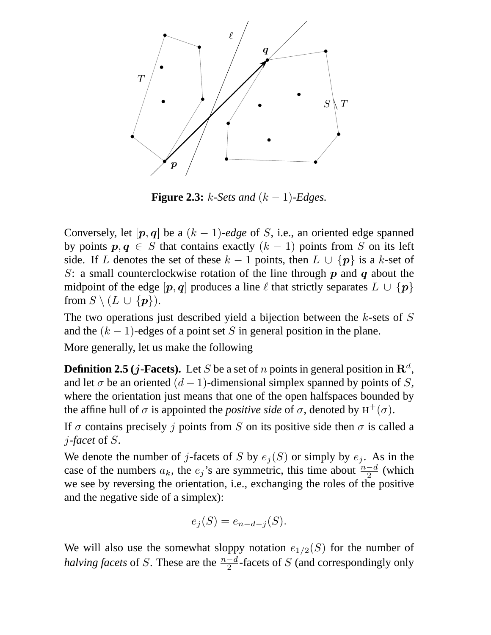

**Figure 2.3:**  $k$ -Sets and  $(k-1)$ -Edges.

Conversely, let  $[p, q]$  be a  $(k - 1)$ -edge of S, i.e., an oriented edge spanned by points  $p, q \in S$  that contains exactly  $(k - 1)$  points from S on its left side. If L denotes the set of these  $k - 1$  points, then  $L \cup \{p\}$  is a k-set of S: a small counterclockwise rotation of the line through  $p$  and  $q$  about the midpoint of the edge  $[p, q]$  produces a line  $\ell$  that strictly separates  $L \cup \{p\}$ from  $S \setminus (L \cup \{p\})$ .

The two operations just described yield a bijection between the  $k$ -sets of  $S$ and the  $(k - 1)$ -edges of a point set S in general position in the plane.

More generally, let us make the following

**Definition 2.5** (*j*-Facets). Let *S* be a set of *n* points in general position in  $\mathbb{R}^d$ , and let  $\sigma$  be an oriented  $(d-1)$ -dimensional simplex spanned by points of S, where the orientation just means that one of the open halfspaces bounded by the affine hull of  $\sigma$  is appointed the *positive side* of  $\sigma$ , denoted by  $H^+(\sigma)$ .

If  $\sigma$  contains precisely j points from S on its positive side then  $\sigma$  is called a j*-facet* of S.

We denote the number of j-facets of S by  $e_j(S)$  or simply by  $e_j$ . As in the case of the numbers  $a_k$ , the  $e_j$ 's are symmetric, this time about  $\frac{n-d}{2}$  (which we see by reversing the orientation, i.e., exchanging the roles of the positive and the negative side of a simplex):

$$
e_j(S) = e_{n-d-j}(S).
$$

We will also use the somewhat sloppy notation  $e_{1/2}(S)$  for the number of *halving facets* of S. These are the  $\frac{n-d}{2}$ -facets of S (and correspondingly only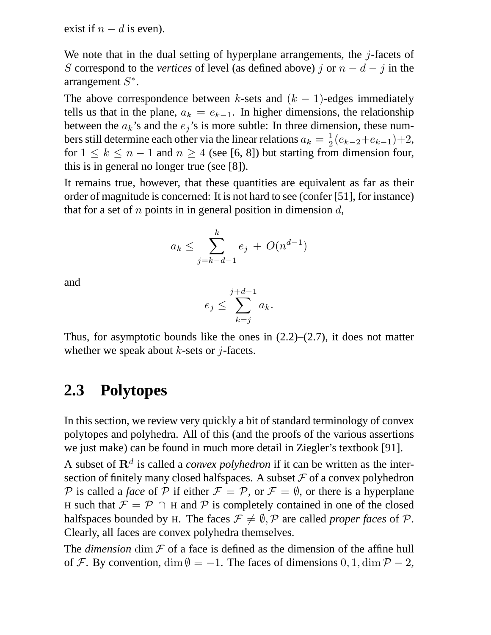exist if  $n - d$  is even).

We note that in the dual setting of hyperplane arrangements, the  $j$ -facets of S correspond to the *vertices* of level (as defined above) j or  $n - d - j$  in the arrangement  $S^*$ .

The above correspondence between k-sets and  $(k - 1)$ -edges immediately tells us that in the plane,  $a_k = e_{k-1}$ . In higher dimensions, the relationship between the  $a_k$ 's and the  $e_j$ 's is more subtle: In three dimension, these numbers still determine each other via the linear relations  $a_k = \frac{1}{2}$  $\frac{1}{2}(e_{k-2}+e_{k-1})+2,$ for  $1 \leq k \leq n-1$  and  $n \geq 4$  (see [6, 8]) but starting from dimension four, this is in general no longer true (see [8]).

It remains true, however, that these quantities are equivalent as far as their order of magnitude is concerned: It is not hard to see (confer [51], for instance) that for a set of n points in in general position in dimension  $d$ ,

$$
a_k \le \sum_{j=k-d-1}^k e_j + O(n^{d-1})
$$

and

$$
e_j \le \sum_{k=j}^{j+d-1} a_k.
$$

Thus, for asymptotic bounds like the ones in  $(2.2)$ – $(2.7)$ , it does not matter whether we speak about  $k$ -sets or j-facets.

#### **2.3 Polytopes**

In this section, we review very quickly a bit of standard terminology of convex polytopes and polyhedra. All of this (and the proofs of the various assertions we just make) can be found in much more detail in Ziegler's textbook [91].

A subset of  $\mathbb{R}^d$  is called a *convex polyhedron* if it can be written as the intersection of finitely many closed halfspaces. A subset  $\mathcal F$  of a convex polyhedron P is called a *face* of P if either  $\mathcal{F} = \mathcal{P}$ , or  $\mathcal{F} = \emptyset$ , or there is a hyperplane H such that  $\mathcal{F} = \mathcal{P} \cap H$  and  $\mathcal{P}$  is completely contained in one of the closed halfspaces bounded by H. The faces  $\mathcal{F} \neq \emptyset$ , P are called *proper faces* of P. Clearly, all faces are convex polyhedra themselves.

The *dimension* dim  $F$  of a face is defined as the dimension of the affine hull of F. By convention, dim  $\emptyset = -1$ . The faces of dimensions 0, 1, dim  $\mathcal{P} - 2$ ,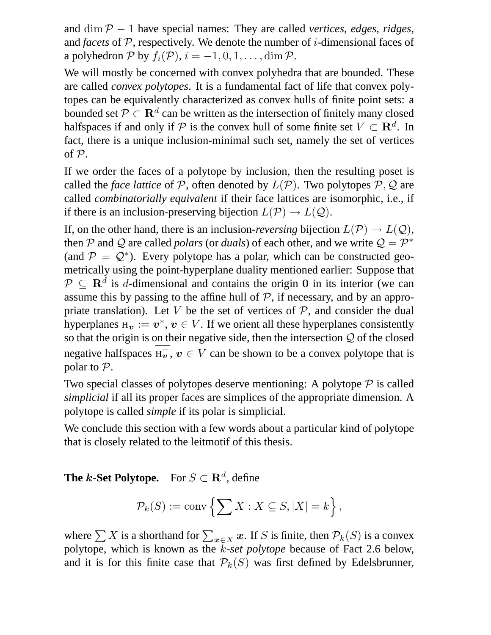and dim P − 1 have special names: They are called *vertices*, *edges*, *ridges*, and *facets* of  $P$ , respectively. We denote the number of *i*-dimensional faces of a polyhedron P by  $f_i(\mathcal{P}), i = -1, 0, 1, \dots, \dim \mathcal{P}$ .

We will mostly be concerned with convex polyhedra that are bounded. These are called *convex polytopes*. It is a fundamental fact of life that convex polytopes can be equivalently characterized as convex hulls of finite point sets: a bounded set  $\mathcal{P} \subset \mathbf{R}^d$  can be written as the intersection of finitely many closed halfspaces if and only if  $P$  is the convex hull of some finite set  $V \subset \mathbf{R}^d$ . In fact, there is a unique inclusion-minimal such set, namely the set of vertices of P.

If we order the faces of a polytope by inclusion, then the resulting poset is called the *face lattice* of P, often denoted by  $L(\mathcal{P})$ . Two polytopes P, Q are called *combinatorially equivalent* if their face lattices are isomorphic, i.e., if if there is an inclusion-preserving bijection  $L(\mathcal{P}) \to L(\mathcal{Q})$ .

If, on the other hand, there is an inclusion-*reversing* bijection  $L(\mathcal{P}) \to L(\mathcal{Q})$ , then P and Q are called *polars* (or *duals*) of each other, and we write  $Q = P^*$ (and  $P = Q^*$ ). Every polytope has a polar, which can be constructed geometrically using the point-hyperplane duality mentioned earlier: Suppose that  $\mathcal{P} \subseteq \mathbf{R}^d$  is d-dimensional and contains the origin 0 in its interior (we can assume this by passing to the affine hull of  $P$ , if necessary, and by an appropriate translation). Let V be the set of vertices of  $P$ , and consider the dual hyperplanes  $H_{\boldsymbol{v}} := \boldsymbol{v}^*, \boldsymbol{v} \in V$ . If we orient all these hyperplanes consistently so that the origin is on their negative side, then the intersection  $Q$  of the closed negative halfspaces  $H_v$ ,  $v \in V$  can be shown to be a convex polytope that is polar to  $P$ .

Two special classes of polytopes deserve mentioning: A polytope  $\mathcal P$  is called *simplicial* if all its proper faces are simplices of the appropriate dimension. A polytope is called *simple* if its polar is simplicial.

We conclude this section with a few words about a particular kind of polytope that is closely related to the leitmotif of this thesis.

#### **The** *k***-Set Polytope.** For  $S \subset \mathbf{R}^d$ , define

$$
\mathcal{P}_k(S) := \text{conv}\left\{ \sum X : X \subseteq S, |X| = k \right\},\
$$

where  $\sum X$  is a shorthand for  $\sum_{x \in X} x$ . If S is finite, then  $\mathcal{P}_k(S)$  is a convex polytope, which is known as the  $\bar{k}$ -set polytope because of Fact 2.6 below, and it is for this finite case that  $\mathcal{P}_k(S)$  was first defined by Edelsbrunner,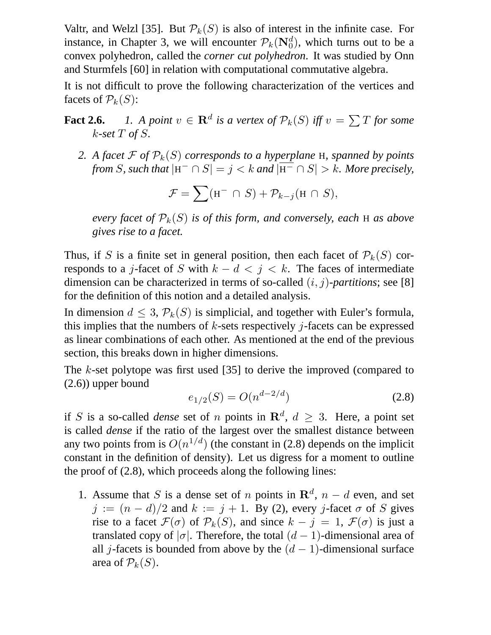Valtr, and Welzl [35]. But  $\mathcal{P}_k(S)$  is also of interest in the infinite case. For instance, in Chapter 3, we will encounter  $\mathcal{P}_k(\mathbf{N}_0^d)$ , which turns out to be a convex polyhedron, called the *corner cut polyhedron*. It was studied by Onn and Sturmfels [60] in relation with computational commutative algebra.

It is not difficult to prove the following characterization of the vertices and facets of  $\mathcal{P}_k(S)$ :

- **Fact 2.6.** *1.* A point  $v \in \mathbf{R}^d$  is a vertex of  $\mathcal{P}_k(S)$  iff  $v = \sum T$  for some k*-set* T *of* S*.*
	- 2. A facet  $\mathcal F$  of  $\mathcal P_k(S)$  corresponds to a hyperplane H, spanned by points *from* S, such that  $|H^{-} \cap S| = j < k$  and  $|H^{-} \cap S| > k$ . More precisely,

$$
\mathcal{F} = \sum (\mathbf{H}^- \cap S) + \mathcal{P}_{k-j}(\mathbf{H} \cap S),
$$

*every facet of*  $\mathcal{P}_k(S)$  *is of this form, and conversely, each* H *as above gives rise to a facet.*

Thus, if S is a finite set in general position, then each facet of  $\mathcal{P}_k(S)$  corresponds to a j-facet of S with  $k - d < j < k$ . The faces of intermediate dimension can be characterized in terms of so-called (i, j)*-partitions*; see [8] for the definition of this notion and a detailed analysis.

In dimension  $d \leq 3$ ,  $\mathcal{P}_k(S)$  is simplicial, and together with Euler's formula, this implies that the numbers of  $k$ -sets respectively *j*-facets can be expressed as linear combinations of each other. As mentioned at the end of the previous section, this breaks down in higher dimensions.

The k-set polytope was first used [35] to derive the improved (compared to (2.6)) upper bound

$$
e_{1/2}(S) = O(n^{d-2/d})\tag{2.8}
$$

if S is a so-called *dense* set of n points in  $\mathbb{R}^d$ ,  $d \geq 3$ . Here, a point set is called *dense* if the ratio of the largest over the smallest distance between any two points from is  $O(n^{1/d})$  (the constant in (2.8) depends on the implicit constant in the definition of density). Let us digress for a moment to outline the proof of (2.8), which proceeds along the following lines:

1. Assume that S is a dense set of n points in  $\mathbb{R}^d$ ,  $n - d$  even, and set  $j := (n - d)/2$  and  $k := j + 1$ . By (2), every j-facet  $\sigma$  of S gives rise to a facet  $\mathcal{F}(\sigma)$  of  $\mathcal{P}_k(S)$ , and since  $k - j = 1$ ,  $\mathcal{F}(\sigma)$  is just a translated copy of  $|\sigma|$ . Therefore, the total  $(d-1)$ -dimensional area of all j-facets is bounded from above by the  $(d - 1)$ -dimensional surface area of  $\mathcal{P}_k(S)$ .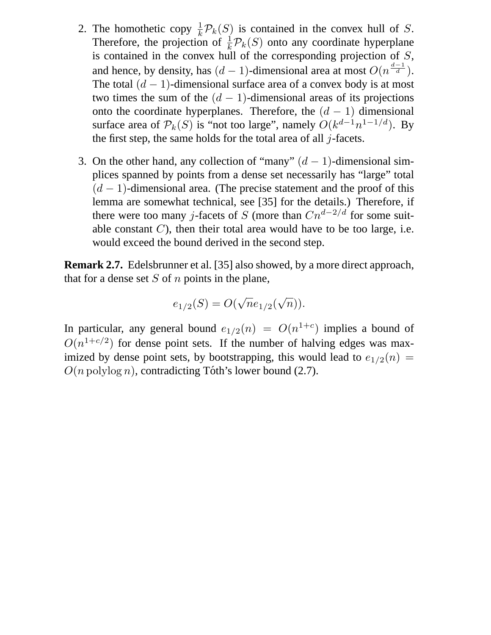- 2. The homothetic copy  $\frac{1}{k}\mathcal{P}_k(S)$  is contained in the convex hull of S. Therefore, the projection of  $\frac{1}{k} \mathcal{P}_k(S)$  onto any coordinate hyperplane is contained in the convex hull of the corresponding projection of S, and hence, by density, has  $(d-1)$ -dimensional area at most  $O(n^{\frac{d-1}{d}})$ . The total  $(d - 1)$ -dimensional surface area of a convex body is at most two times the sum of the  $(d - 1)$ -dimensional areas of its projections onto the coordinate hyperplanes. Therefore, the  $(d - 1)$  dimensional surface area of  $\mathcal{P}_k(S)$  is "not too large", namely  $O(k^{d-1}n^{1-1/d})$ . By the first step, the same holds for the total area of all  $j$ -facets.
- 3. On the other hand, any collection of "many"  $(d-1)$ -dimensional simplices spanned by points from a dense set necessarily has "large" total  $(d-1)$ -dimensional area. (The precise statement and the proof of this lemma are somewhat technical, see [35] for the details.) Therefore, if there were too many j-facets of S (more than  $Cn^{d-2/d}$  for some suitable constant  $C$ ), then their total area would have to be too large, i.e. would exceed the bound derived in the second step.

**Remark 2.7.** Edelsbrunner et al. [35] also showed, by a more direct approach, that for a dense set  $S$  of  $n$  points in the plane,

$$
e_{1/2}(S) = O(\sqrt{n}e_{1/2}(\sqrt{n})).
$$

In particular, any general bound  $e_{1/2}(n) = O(n^{1+c})$  implies a bound of  $O(n^{1+c/2})$  for dense point sets. If the number of halving edges was maximized by dense point sets, by bootstrapping, this would lead to  $e_{1/2}(n)$  =  $O(n \text{ polylog } n)$ , contradicting Tóth's lower bound (2.7).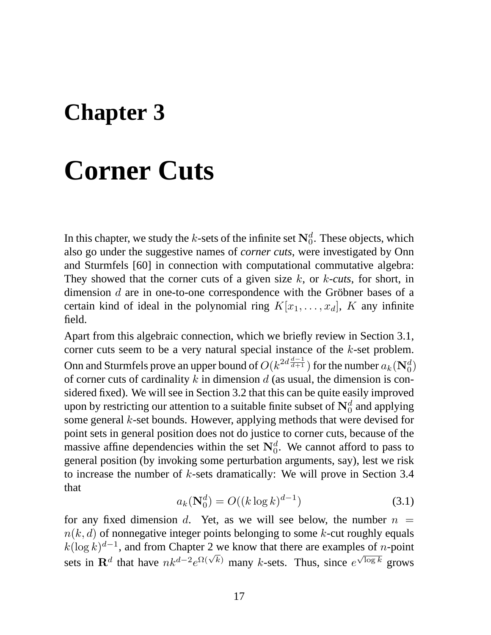### **Chapter 3**

# **Corner Cuts**

In this chapter, we study the *k*-sets of the infinite set  $\mathbf{N}_0^d$ . These objects, which also go under the suggestive names of *corner cuts*, were investigated by Onn and Sturmfels [60] in connection with computational commutative algebra: They showed that the corner cuts of a given size k, or k*-cuts*, for short, in dimension  $d$  are in one-to-one correspondence with the Gröbner bases of a certain kind of ideal in the polynomial ring  $K[x_1, \ldots, x_d]$ , K any infinite field.

Apart from this algebraic connection, which we briefly review in Section 3.1, corner cuts seem to be a very natural special instance of the k-set problem. Onn and Sturmfels prove an upper bound of  $O(k^{2d\frac{d-1}{d+1}})$  for the number  $a_k(\mathbf{N}_0^d)$ of corner cuts of cardinality  $k$  in dimension  $d$  (as usual, the dimension is considered fixed). We will see in Section 3.2 that this can be quite easily improved upon by restricting our attention to a suitable finite subset of  $\mathbf{N}_0^d$  and applying some general k-set bounds. However, applying methods that were devised for point sets in general position does not do justice to corner cuts, because of the massive affine dependencies within the set  $\mathbf{N}_0^d$ . We cannot afford to pass to general position (by invoking some perturbation arguments, say), lest we risk to increase the number of k-sets dramatically: We will prove in Section 3.4 that

$$
a_k(\mathbf{N}_0^d) = O((k \log k)^{d-1})\tag{3.1}
$$

for any fixed dimension d. Yet, as we will see below, the number  $n =$  $n(k, d)$  of nonnegative integer points belonging to some k-cut roughly equals  $k(\log k)^{d-1}$ , and from Chapter 2 we know that there are examples of *n*-point sets in  $\mathbf{R}^d$  that have  $nk^{d-2}e^{\Omega(\sqrt{k})}$  many k-sets. Thus, since  $e^{\sqrt{\log k}}$  grows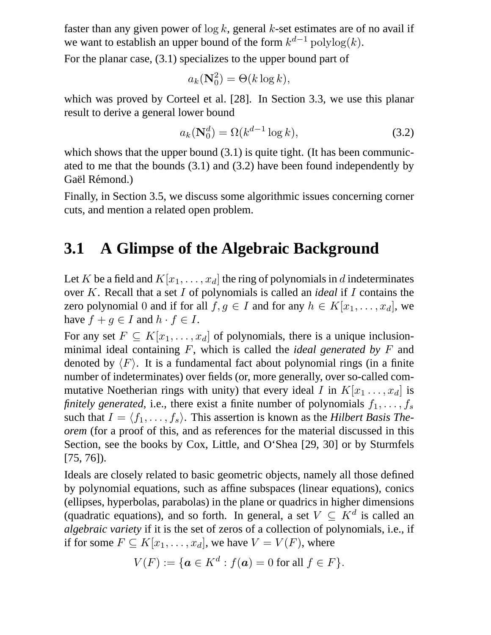faster than any given power of  $\log k$ , general k-set estimates are of no avail if we want to establish an upper bound of the form  $k^{d-1}$   $polylog(k)$ .

For the planar case, (3.1) specializes to the upper bound part of

$$
a_k(\mathbf{N}_0^2) = \Theta(k \log k),
$$

which was proved by Corteel et al. [28]. In Section 3.3, we use this planar result to derive a general lower bound

$$
a_k(\mathbf{N}_0^d) = \Omega(k^{d-1}\log k),\tag{3.2}
$$

which shows that the upper bound  $(3.1)$  is quite tight. (It has been communicated to me that the bounds (3.1) and (3.2) have been found independently by Gaël Rémond.)

Finally, in Section 3.5, we discuss some algorithmic issues concerning corner cuts, and mention a related open problem.

#### **3.1 A Glimpse of the Algebraic Background**

Let K be a field and  $K[x_1, \ldots, x_d]$  the ring of polynomials in d indeterminates over K. Recall that a set I of polynomials is called an *ideal* if I contains the zero polynomial 0 and if for all  $f, g \in I$  and for any  $h \in K[x_1, \ldots, x_d]$ , we have  $f + g \in I$  and  $h \cdot f \in I$ .

For any set  $F \subseteq K[x_1, \ldots, x_d]$  of polynomials, there is a unique inclusionminimal ideal containing F, which is called the *ideal generated by* F and denoted by  $\langle F \rangle$ . It is a fundamental fact about polynomial rings (in a finite number of indeterminates) over fields (or, more generally, over so-called commutative Noetherian rings with unity) that every ideal I in  $K[x_1 \ldots, x_d]$  is *finitely generated*, i.e., there exist a finite number of polynomials  $f_1, \ldots, f_s$ such that  $I = \langle f_1, \ldots, f_s \rangle$ . This assertion is known as the *Hilbert Basis Theorem* (for a proof of this, and as references for the material discussed in this Section, see the books by Cox, Little, and O'Shea [29, 30] or by Sturmfels [75, 76]).

Ideals are closely related to basic geometric objects, namely all those defined by polynomial equations, such as affine subspaces (linear equations), conics (ellipses, hyperbolas, parabolas) in the plane or quadrics in higher dimensions (quadratic equations), and so forth. In general, a set  $V \subseteq K^d$  is called an *algebraic variety* if it is the set of zeros of a collection of polynomials, i.e., if if for some  $F \subseteq K[x_1, \ldots, x_d]$ , we have  $V = V(F)$ , where

$$
V(F) := \{ \mathbf{a} \in K^d : f(\mathbf{a}) = 0 \text{ for all } f \in F \}.
$$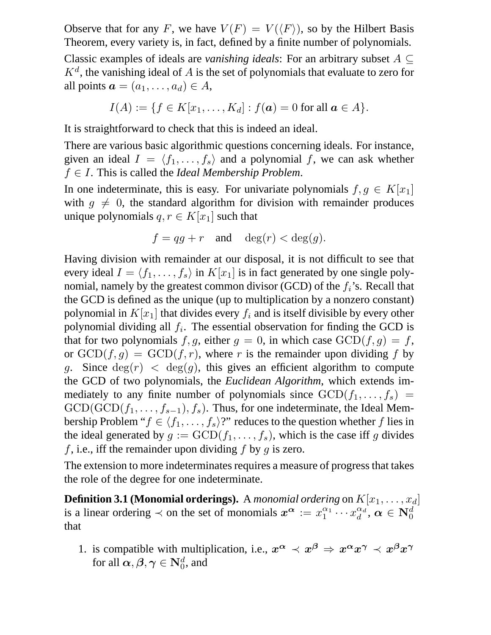Observe that for any F, we have  $V(F) = V(\langle F \rangle)$ , so by the Hilbert Basis Theorem, every variety is, in fact, defined by a finite number of polynomials.

Classic examples of ideals are *vanishing ideals*: For an arbitrary subset  $A \subseteq$  $K^d$ , the vanishing ideal of A is the set of polynomials that evaluate to zero for all points  $a = (a_1, \ldots, a_d) \in A$ ,

$$
I(A) := \{ f \in K[x_1, ..., K_d] : f(a) = 0 \text{ for all } a \in A \}.
$$

It is straightforward to check that this is indeed an ideal.

There are various basic algorithmic questions concerning ideals. For instance, given an ideal  $I = \langle f_1, \ldots, f_s \rangle$  and a polynomial f, we can ask whether f ∈ I. This is called the *Ideal Membership Problem*.

In one indeterminate, this is easy. For univariate polynomials  $f, g \in K[x_1]$ with  $q \neq 0$ , the standard algorithm for division with remainder produces unique polynomials  $q, r \in K[x_1]$  such that

$$
f = qg + r \quad \text{and} \quad \deg(r) < \deg(g).
$$

Having division with remainder at our disposal, it is not difficult to see that every ideal  $I = \langle f_1, \ldots, f_s \rangle$  in  $K[x_1]$  is in fact generated by one single polynomial, namely by the greatest common divisor (GCD) of the  $f_i$ 's. Recall that the GCD is defined as the unique (up to multiplication by a nonzero constant) polynomial in  $K[x_1]$  that divides every  $f_i$  and is itself divisible by every other polynomial dividing all  $f_i$ . The essential observation for finding the GCD is that for two polynomials f, g, either  $g = 0$ , in which case  $GCD(f, g) = f$ , or  $GCD(f, g) = GCD(f, r)$ , where r is the remainder upon dividing f by q. Since  $deg(r) < deg(q)$ , this gives an efficient algorithm to compute the GCD of two polynomials, the *Euclidean Algorithm*, which extends immediately to any finite number of polynomials since  $GCD(f_1, \ldots, f_s)$  =  $GCD(GCD(f_1, \ldots, f_{s-1}), f_s)$ . Thus, for one indeterminate, the Ideal Membership Problem " $f \in \langle f_1, \ldots, f_s \rangle$ ?" reduces to the question whether f lies in the ideal generated by  $g := \text{GCD}(f_1, \ldots, f_s)$ , which is the case iff g divides f, i.e., iff the remainder upon dividing f by g is zero.

The extension to more indeterminates requires a measure of progress that takes the role of the degree for one indeterminate.

**Definition 3.1 (Monomial orderings).** A *monomial ordering* on  $K[x_1, \ldots, x_d]$ is a linear ordering  $\prec$  on the set of monomials  $x^{\alpha} := x_1^{\alpha_1}$  $\frac{\alpha_1}{1} \cdots x_d^{\alpha_d}$  $_{d}^{\alpha_d},\,\alpha\in \mathbf{N}_0^d$ that

1. is compatible with multiplication, i.e.,  $x^{\alpha} \prec x^{\beta} \Rightarrow x^{\alpha} x^{\gamma} \prec x^{\beta} x^{\gamma}$ for all  $\boldsymbol{\alpha}, \boldsymbol{\beta}, \boldsymbol{\gamma} \in \mathbf{N}_0^d$ , and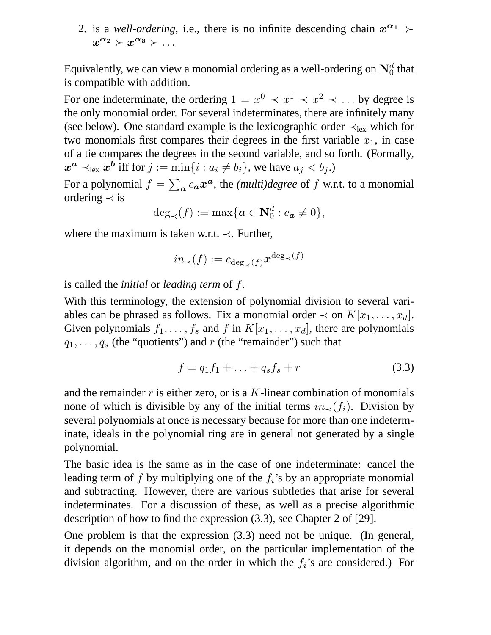2. is a *well-ordering*, i.e., there is no infinite descending chain  $x^{\alpha_1}$   $\succ$  $x^{\alpha_2} \succ x^{\alpha_3} \succ \dots$ 

Equivalently, we can view a monomial ordering as a well-ordering on  $\mathbf{N}_0^d$  that is compatible with addition.

For one indeterminate, the ordering  $1 = x^0 \prec x^1 \prec x^2 \prec \dots$  by degree is the only monomial order. For several indeterminates, there are infinitely many (see below). One standard example is the lexicographic order  $\prec_{\text{lex}}$  which for two monomials first compares their degrees in the first variable  $x_1$ , in case of a tie compares the degrees in the second variable, and so forth. (Formally,  $\boldsymbol{x^a} \prec_{\text{lex}} \boldsymbol{x^b}$  iff for  $j := \min\{i: a_i \neq b_i\}$ , we have  $a_j < b_j$ .)

For a polynomial  $f = \sum_a c_a x^a$ , the *(multi)degree* of  $f$  w.r.t. to a monomial ordering  $\prec$  is

$$
\deg_{\prec}(f) := \max\{\boldsymbol{a} \in \mathbf{N}_0^d : c_{\boldsymbol{a}} \neq 0\},\
$$

where the maximum is taken w.r.t.  $\prec$ . Further,

$$
in_{\prec}(f):=c_{\deg_{\prec}(f)}\boldsymbol{x}^{\deg_{\prec}(f)}
$$

is called the *initial* or *leading term* of f.

With this terminology, the extension of polynomial division to several variables can be phrased as follows. Fix a monomial order  $\prec$  on  $K[x_1, \ldots, x_d]$ . Given polynomials  $f_1, \ldots, f_s$  and f in  $K[x_1, \ldots, x_d]$ , there are polynomials  $q_1, \ldots, q_s$  (the "quotients") and r (the "remainder") such that

$$
f = q_1 f_1 + \ldots + q_s f_s + r \tag{3.3}
$$

and the remainder  $r$  is either zero, or is a  $K$ -linear combination of monomials none of which is divisible by any of the initial terms  $in_{\prec}(f_i)$ . Division by several polynomials at once is necessary because for more than one indeterminate, ideals in the polynomial ring are in general not generated by a single polynomial.

The basic idea is the same as in the case of one indeterminate: cancel the leading term of f by multiplying one of the  $f_i$ 's by an appropriate monomial and subtracting. However, there are various subtleties that arise for several indeterminates. For a discussion of these, as well as a precise algorithmic description of how to find the expression (3.3), see Chapter 2 of [29].

One problem is that the expression (3.3) need not be unique. (In general, it depends on the monomial order, on the particular implementation of the division algorithm, and on the order in which the  $f_i$ 's are considered.) For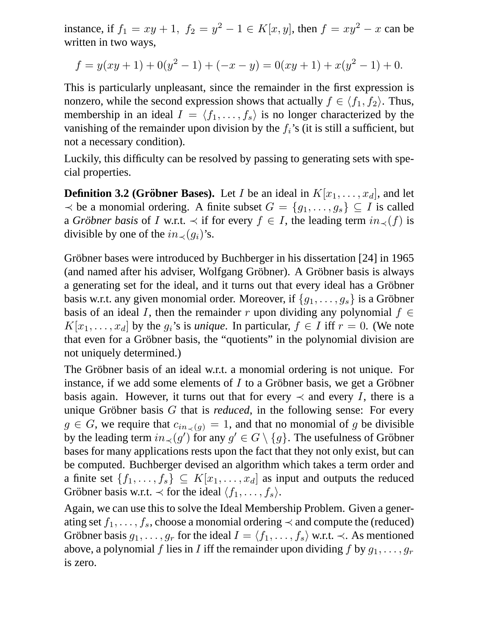instance, if  $f_1 = xy + 1$ ,  $f_2 = y^2 - 1 \in K[x, y]$ , then  $f = xy^2 - x$  can be written in two ways,

$$
f = y(xy + 1) + 0(y2 - 1) + (-x - y) = 0(xy + 1) + x(y2 - 1) + 0.
$$

This is particularly unpleasant, since the remainder in the first expression is nonzero, while the second expression shows that actually  $f \in \langle f_1, f_2 \rangle$ . Thus, membership in an ideal  $I = \langle f_1, \ldots, f_s \rangle$  is no longer characterized by the vanishing of the remainder upon division by the  $f_i$ 's (it is still a sufficient, but not a necessary condition).

Luckily, this difficulty can be resolved by passing to generating sets with special properties.

**Definition 3.2 (Gröbner Bases).** Let I be an ideal in  $K[x_1, \ldots, x_d]$ , and let  $\prec$  be a monomial ordering. A finite subset  $G = \{g_1, \ldots, g_s\} \subseteq I$  is called a *Gröbner basis* of I w.r.t.  $\prec$  if for every  $f \in I$ , the leading term  $in_{\prec}(f)$  is divisible by one of the  $in_{\prec}(g_i)$ 's.

Gröbner bases were introduced by Buchberger in his dissertation [24] in 1965 (and named after his adviser, Wolfgang Gröbner). A Gröbner basis is always a generating set for the ideal, and it turns out that every ideal has a Gröbner basis w.r.t. any given monomial order. Moreover, if  ${g_1, \ldots, g_s}$  is a Gröbner basis of an ideal I, then the remainder r upon dividing any polynomial  $f \in$  $K[x_1, \ldots, x_d]$  by the  $g_i$ 's is *unique*. In particular,  $f \in I$  iff  $r = 0$ . (We note that even for a Gröbner basis, the "quotients" in the polynomial division are not uniquely determined.)

The Gröbner basis of an ideal w.r.t. a monomial ordering is not unique. For instance, if we add some elements of  $I$  to a Gröbner basis, we get a Gröbner basis again. However, it turns out that for every  $\prec$  and every I, there is a unique Gröbner basis  $G$  that is *reduced*, in the following sense: For every  $g \in G$ , we require that  $c_{in\langle g \rangle} = 1$ , and that no monomial of g be divisible by the leading term  $in_{\prec}(g')$  for any  $g' \in G \setminus \{g\}$ . The usefulness of Gröbner bases for many applications rests upon the fact that they not only exist, but can be computed. Buchberger devised an algorithm which takes a term order and a finite set  $\{f_1, \ldots, f_s\} \subseteq K[x_1, \ldots, x_d]$  as input and outputs the reduced Gröbner basis w.r.t.  $\prec$  for the ideal  $\langle f_1, \ldots, f_s \rangle$ .

Again, we can use this to solve the Ideal Membership Problem. Given a generating set  $f_1, \ldots, f_s$ , choose a monomial ordering  $\prec$  and compute the (reduced) Gröbner basis  $g_1, \ldots, g_r$  for the ideal  $I = \langle f_1, \ldots, f_s \rangle$  w.r.t. ≺. As mentioned above, a polynomial f lies in I iff the remainder upon dividing f by  $g_1, \ldots, g_r$ is zero.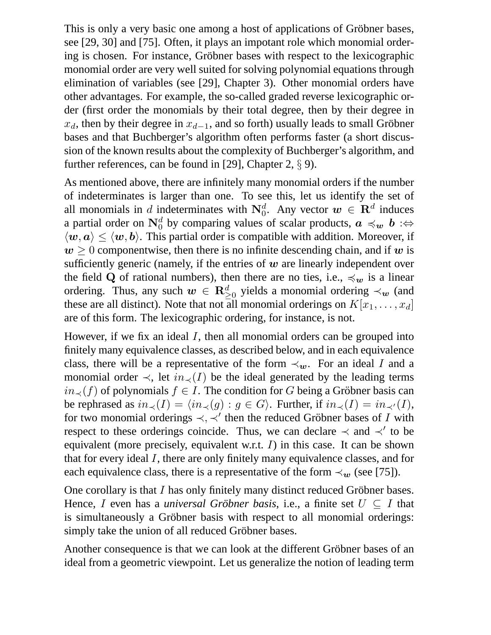This is only a very basic one among a host of applications of Gröbner bases, see [29, 30] and [75]. Often, it plays an impotant role which monomial ordering is chosen. For instance, Gröbner bases with respect to the lexicographic monomial order are very well suited for solving polynomial equations through elimination of variables (see [29], Chapter 3). Other monomial orders have other advantages. For example, the so-called graded reverse lexicographic order (first order the monomials by their total degree, then by their degree in  $x_d$ , then by their degree in  $x_{d-1}$ , and so forth) usually leads to small Gröbner bases and that Buchberger's algorithm often performs faster (a short discussion of the known results about the complexity of Buchberger's algorithm, and further references, can be found in [29], Chapter 2,  $\S$  9).

As mentioned above, there are infinitely many monomial orders if the number of indeterminates is larger than one. To see this, let us identify the set of all monomials in d indeterminates with  $N_0^d$ . Any vector  $w \in \mathbb{R}^d$  induces a partial order on  $\mathbf{N}_0^d$  by comparing values of scalar products,  $\boldsymbol{a} \preccurlyeq_w \boldsymbol{b} : \Leftrightarrow$  $\langle w, a \rangle \leq \langle w, b \rangle$ . This partial order is compatible with addition. Moreover, if  $w \geq 0$  componentwise, then there is no infinite descending chain, and if w is sufficiently generic (namely, if the entries of  $w$  are linearly independent over the field Q of rational numbers), then there are no ties, i.e.,  $\preccurlyeq_w$  is a linear ordering. Thus, any such  $w \in \mathbb{R}_{\geq 0}^d$  yields a monomial ordering  $\prec_w$  (and these are all distinct). Note that not all monomial orderings on  $K[x_1, \ldots, x_d]$ are of this form. The lexicographic ordering, for instance, is not.

However, if we fix an ideal  $I$ , then all monomial orders can be grouped into finitely many equivalence classes, as described below, and in each equivalence class, there will be a representative of the form  $\prec_w$ . For an ideal I and a monomial order  $\prec$ , let  $in_{\prec}(I)$  be the ideal generated by the leading terms  $in_{\prec}(f)$  of polynomials  $f \in I$ . The condition for G being a Gröbner basis can be rephrased as  $in_{\prec}(I) = \langle in_{\prec}(g) : g \in G \rangle$ . Further, if  $in_{\prec}(I) = in_{\prec'}(I)$ , for two monomial orderings  $\prec, \prec'$  then the reduced Gröbner bases of I with respect to these orderings coincide. Thus, we can declare  $\prec$  and  $\prec'$  to be equivalent (more precisely, equivalent w.r.t.  $I$ ) in this case. It can be shown that for every ideal I, there are only finitely many equivalence classes, and for each equivalence class, there is a representative of the form  $\prec_w$  (see [75]).

One corollary is that  $I$  has only finitely many distinct reduced Gröbner bases. Hence, I even has a *universal Gröbner basis*, i.e., a finite set  $U \subseteq I$  that is simultaneously a Gröbner basis with respect to all monomial orderings: simply take the union of all reduced Gröbner bases.

Another consequence is that we can look at the different Gröbner bases of an ideal from a geometric viewpoint. Let us generalize the notion of leading term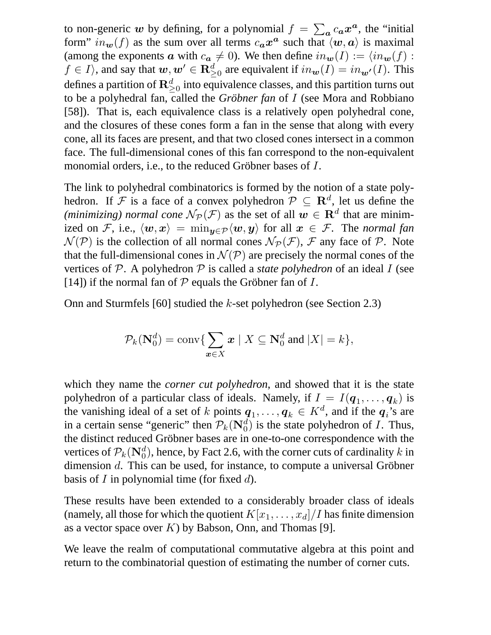to non-generic w by defining, for a polynomial  $f = \sum_a c_a x^a$ , the "initial form"  $in_w(f)$  as the sum over all terms  $c_a x^a$  such that  $\langle w, a \rangle$  is maximal (among the exponents  $\boldsymbol{a}$  with  $c_{\boldsymbol{a}} \neq 0$ ). We then define  $in_{\boldsymbol{w}}(I) := \langle in_{\boldsymbol{w}}(f) :$  $f \in I$ , and say that  $w, w' \in \mathbf{R}_{\geq 0}^d$  are equivalent if  $in_w(I) = in_{w'}(I)$ . This defines a partition of  $\mathbb{R}^d_{\geq 0}$  into equivalence classes, and this partition turns out to be a polyhedral fan, called the *Gröbner fan* of I (see Mora and Robbiano [58]). That is, each equivalence class is a relatively open polyhedral cone, and the closures of these cones form a fan in the sense that along with every cone, all its faces are present, and that two closed cones intersect in a common face. The full-dimensional cones of this fan correspond to the non-equivalent monomial orders, i.e., to the reduced Gröbner bases of  $I$ .

The link to polyhedral combinatorics is formed by the notion of a state polyhedron. If F is a face of a convex polyhedron  $P \subseteq \mathbb{R}^d$ , let us define the *(minimizing) normal cone*  $N_{\mathcal{P}}(\mathcal{F})$  as the set of all  $w \in \mathbf{R}^d$  that are minimized on F, i.e.,  $\langle w, x \rangle = \min_{y \in \mathcal{P}} \langle w, y \rangle$  for all  $x \in \mathcal{F}$ . The *normal fan*  $\mathcal{N}(\mathcal{P})$  is the collection of all normal cones  $\mathcal{N}_{\mathcal{P}}(\mathcal{F})$ ,  $\mathcal F$  any face of  $\mathcal P$ . Note that the full-dimensional cones in  $\mathcal{N}(\mathcal{P})$  are precisely the normal cones of the vertices of P. A polyhedron P is called a *state polyhedron* of an ideal I (see [14]) if the normal fan of  $P$  equals the Gröbner fan of  $I$ .

Onn and Sturmfels [60] studied the k-set polyhedron (see Section 2.3)

$$
\mathcal{P}_k(\mathbf{N}_0^d) = \text{conv}\{\sum_{\mathbf{x}\in X} \mathbf{x} \mid X \subseteq \mathbf{N}_0^d \text{ and } |X| = k\},\
$$

which they name the *corner cut polyhedron*, and showed that it is the state polyhedron of a particular class of ideals. Namely, if  $I = I(\boldsymbol{q}_1, \dots, \boldsymbol{q}_k)$  is the vanishing ideal of a set of k points  $q_1, \ldots, q_k \in K^d$ , and if the  $q_i$ 's are in a certain sense "generic" then  $\mathcal{P}_k(\mathbf{N}_0^d)$  is the state polyhedron of *I*. Thus, the distinct reduced Gröbner bases are in one-to-one correspondence with the vertices of  $\mathcal{P}_k(\mathbf{N}_0^d)$ , hence, by Fact 2.6, with the corner cuts of cardinality k in dimension  $d$ . This can be used, for instance, to compute a universal Gröbner basis of  $I$  in polynomial time (for fixed  $d$ ).

These results have been extended to a considerably broader class of ideals (namely, all those for which the quotient  $K[x_1, \ldots, x_d]/I$  has finite dimension as a vector space over  $K$ ) by Babson, Onn, and Thomas [9].

We leave the realm of computational commutative algebra at this point and return to the combinatorial question of estimating the number of corner cuts.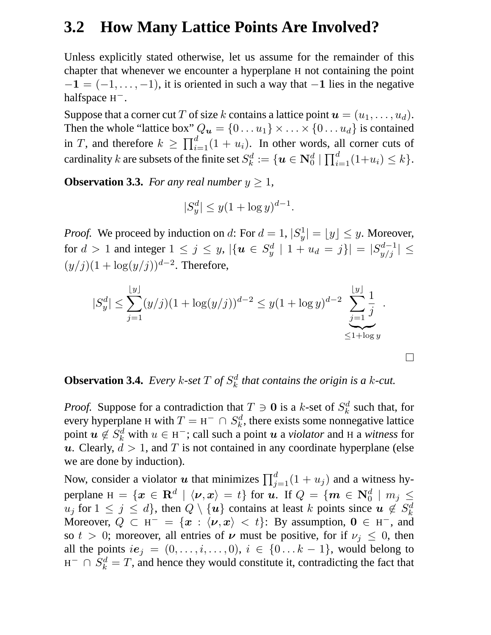#### **3.2 How Many Lattice Points Are Involved?**

Unless explicitly stated otherwise, let us assume for the remainder of this chapter that whenever we encounter a hyperplane H not containing the point  $-1 = (-1, \ldots, -1)$ , it is oriented in such a way that  $-1$  lies in the negative halfspace  $H^-$ .

Suppose that a corner cut T of size k contains a lattice point  $u = (u_1, \dots, u_d)$ . Then the whole "lattice box"  $Q_u = \{0 \dots u_1\} \times \dots \times \{0 \dots u_d\}$  is contained in T, and therefore  $k \geq \prod_{i=1}^{d} (1 + u_i)$ . In other words, all corner cuts of cardinality k are subsets of the finite set  $S_k^d$  $k^d_k := \{ \bm{u} \in \mathbf{N}_0^d \mid \prod_{i=1}^d (1+u_i) \leq k \}.$ 

**Observation 3.3.** *For any real number*  $y \geq 1$ *,* 

$$
|S_y^d| \le y(1 + \log y)^{d-1}.
$$

*Proof.* We proceed by induction on d: For  $d = 1$ ,  $|S_y^1|$  $|y| = |y| \leq y$ . Moreover, for  $d > 1$  and integer  $1 \leq j \leq y$ ,  $\left| \{ \boldsymbol{u} \in S_y^d \right|$  $|y'_y|$   $1 + u_d = j$ } $|S_{y/j}^{d-1}| \leq$  $(y/j)(1 + \log(y/j))^{d-2}$ . Therefore,

$$
|S_y^d| \le \sum_{j=1}^{\lfloor y \rfloor} (y/j)(1 + \log(y/j))^{d-2} \le y(1 + \log y)^{d-2} \sum_{\substack{j=1 \ \le 1 + \log y}}^{\lfloor y \rfloor} \frac{1}{j}.
$$

 $\Box$ 

#### **Observation 3.4.** *Every k*-set  $T$  of  $S_k^d$ k *that contains the origin is a* k*-cut.*

*Proof.* Suppose for a contradiction that  $T \ni \mathbf{0}$  is a k-set of  $S_k^d$  $k \atop k$  such that, for every hyperplane H with  $T = H^- \cap S_k^d$  $k<sub>k</sub><sup>d</sup>$ , there exists some nonnegative lattice point  $\boldsymbol{u} \not\in S^d_k$  with  $u \in \text{H}^-$ ; call such a point  $\boldsymbol{u}$  a *violator* and H a *witness* for u. Clearly,  $d > 1$ , and T is not contained in any coordinate hyperplane (else we are done by induction).

Now, consider a violator  $u$  that minimizes  $\prod_{j=1}^{d} (1 + u_j)$  and a witness hyperplane  $H = \{x \in \mathbf{R}^d \mid \langle v, x \rangle = t\}$  for  $u$ . If  $Q = \{m \in \mathbf{N}_0^d \mid m_j \leq t\}$  $u_j$  for  $1 \leq j \leq d$ , then  $Q \setminus \{u\}$  contains at least k points since  $u \notin S^d_k$ k Moreover,  $Q \subset H^- = \{x : \langle v, x \rangle < t\}$ : By assumption,  $0 \in H^-$ , and so  $t > 0$ ; moreover, all entries of  $\nu$  must be positive, for if  $\nu_j \leq 0$ , then all the points  $ie_j = (0, \ldots, i, \ldots, 0), i \in \{0 \ldots k-1\}$ , would belong to  $H^- \cap S_k^d = T$ , and hence they would constitute it, contradicting the fact that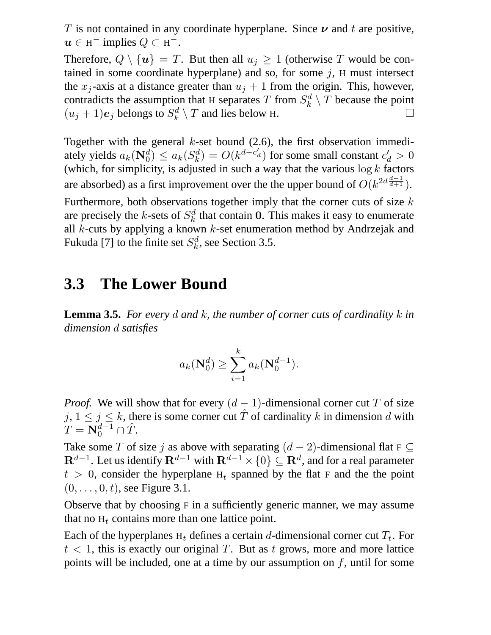T is not contained in any coordinate hyperplane. Since  $\nu$  and t are positive,  $u \in H^-$  implies  $Q \subset H^-$ .

Therefore,  $Q \setminus \{u\} = T$ . But then all  $u_j \geq 1$  (otherwise T would be contained in some coordinate hyperplane) and so, for some  $j$ , H must intersect the  $x_j$ -axis at a distance greater than  $u_j + 1$  from the origin. This, however, contradicts the assumption that H separates T from  $S_k^d$  $\mathcal{L}_{k}^{d} \setminus T$  because the point  $(u_j+1)e_j$  belongs to  $S_k^d$  $\mathcal{L}_k^{d} \setminus T$  and lies below H.

Together with the general  $k$ -set bound (2.6), the first observation immediately yields  $a_k(\mathbf{N}_0^d) \leq a_k(S_k^d)$  $k_a^d$ ) =  $O(k^{d-c'_d})$  for some small constant  $c'_d > 0$ (which, for simplicity, is adjusted in such a way that the various  $\log k$  factors are absorbed) as a first improvement over the the upper bound of  $O(k^{2d \frac{d-1}{d+1}})$ .

Furthermore, both observations together imply that the corner cuts of size  $k$ are precisely the k-sets of  $S_k^d$  $\frac{d}{k}$  that contain 0. This makes it easy to enumerate all k-cuts by applying a known k-set enumeration method by Andrzejak and Fukuda [7] to the finite set  $S_k^d$  $k^d$ , see Section 3.5.

#### **3.3 The Lower Bound**

**Lemma 3.5.** *For every* d *and* k*, the number of corner cuts of cardinality* k *in dimension* d *satisfies*

$$
a_k(\mathbf{N}_0^d) \ge \sum_{i=1}^k a_k(\mathbf{N}_0^{d-1}).
$$

*Proof.* We will show that for every  $(d - 1)$ -dimensional corner cut T of size  $j, 1 \le j \le k$ , there is some corner cut  $\hat{T}$  of cardinality k in dimension d with  $T = \mathbf{N}_0^{d-1} \cap \hat{T}.$ 

Take some T of size j as above with separating  $(d-2)$ -dimensional flat F  $\subseteq$  ${\bf R}^{d-1}.$  Let us identify  ${\bf R}^{d-1}$  with  ${\bf R}^{d-1}\times\{0\}\subseteq{\bf R}^d,$  and for a real parameter  $t > 0$ , consider the hyperplane H<sub>t</sub> spanned by the flat F and the the point  $(0, \ldots, 0, t)$ , see Figure 3.1.

Observe that by choosing F in a sufficiently generic manner, we may assume that no  $H_t$  contains more than one lattice point.

Each of the hyperplanes  $H_t$  defines a certain d-dimensional corner cut  $T_t$ . For  $t < 1$ , this is exactly our original T. But as t grows, more and more lattice points will be included, one at a time by our assumption on  $f$ , until for some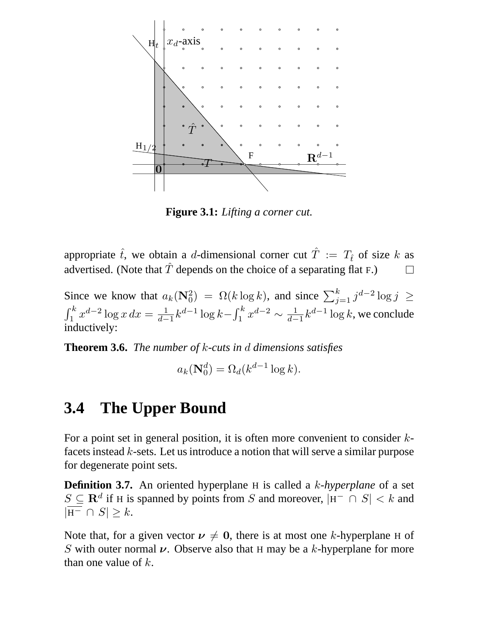

**Figure 3.1:** *Lifting a corner cut.*

appropriate  $\hat{t}$ , we obtain a d-dimensional corner cut  $\hat{T} := T_{\hat{t}}$  of size k as advertised. (Note that  $\hat{T}$  depends on the choice of a separating flat F.)  $\Box$ 

Since we know that  $a_k(\mathbf{N}_0^2) = \Omega(k \log k)$ , and since  $\sum_{j=1}^k j^{d-2} \log j \ge$  $\int_1^k x^{d-2} \log x \, dx = \frac{1}{d-1}$  $\frac{1}{d-1}k^{d-1}\log k - \int_1^k x^{d-2} \sim \frac{1}{d-1}$  $\frac{1}{d-1}k^{d-1}\log k$ , we conclude inductively:

**Theorem 3.6.** *The number of* k*-cuts in* d *dimensions satisfies*

 $a_k(\mathbf{N}_0^d) = \Omega_d(k^{d-1}\log k).$ 

#### **3.4 The Upper Bound**

For a point set in general position, it is often more convenient to consider  $k$ facets instead k-sets. Let us introduce a notion that will serve a similar purpose for degenerate point sets.

**Definition 3.7.** An oriented hyperplane H is called a k*-hyperplane* of a set  $S \subseteq \mathbf{R}^d$  if H is spanned by points from S and moreover,  $|H^- \cap S| < k$  and  $|\overline{H^-} \cap S| \geq k$ .

Note that, for a given vector  $v \neq 0$ , there is at most one k-hyperplane H of S with outer normal  $\nu$ . Observe also that H may be a k-hyperplane for more than one value of  $k$ .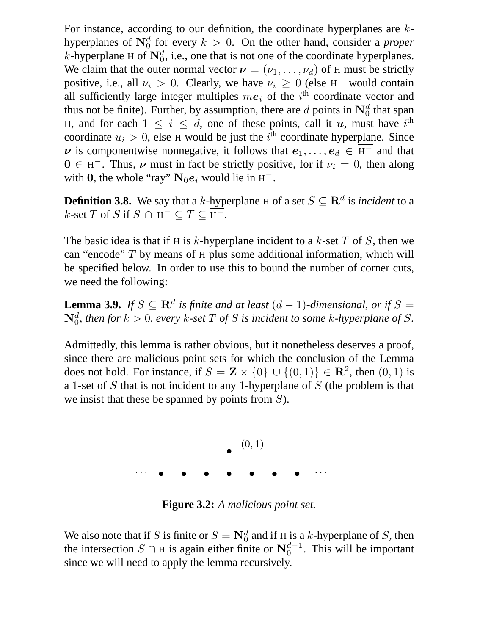For instance, according to our definition, the coordinate hyperplanes are khyperplanes of  $\mathbb{N}_0^d$  for every  $k > 0$ . On the other hand, consider a *proper* k-hyperplane H of  $\mathbf{N}_0^d$ , i.e., one that is not one of the coordinate hyperplanes. We claim that the outer normal vector  $v = (v_1, \dots, v_d)$  of H must be strictly positive, i.e., all  $\nu_i > 0$ . Clearly, we have  $\nu_i \geq 0$  (else H<sup>-</sup> would contain all sufficiently large integer multiples  $me_i$  of the i<sup>th</sup> coordinate vector and thus not be finite). Further, by assumption, there are d points in  $\mathbb{N}_0^d$  that span H, and for each  $1 \leq i \leq d$ , one of these points, call it u, must have i<sup>th</sup> coordinate  $u_i > 0$ , else H would be just the  $i<sup>th</sup>$  coordinate hyperplane. Since  $\nu$  is componentwise nonnegative, it follows that  $e_1, \ldots, e_d \in \overline{H}^-$  and that  $0 \in H^-$ . Thus,  $\nu$  must in fact be strictly positive, for if  $\nu_i = 0$ , then along with 0, the whole "ray"  $N_0e_i$  would lie in  $H^-$ .

**Definition 3.8.** We say that a k-hyperplane H of a set  $S \subseteq \mathbb{R}^d$  is *incident* to a  $k$ -set T of S if  $S \cap H^- \subseteq T \subseteq H^-$ .

The basic idea is that if H is k-hyperplane incident to a k-set  $T$  of  $S$ , then we can "encode"  $T$  by means of  $H$  plus some additional information, which will be specified below. In order to use this to bound the number of corner cuts, we need the following:

**Lemma 3.9.** *If*  $S \subseteq \mathbb{R}^d$  *is finite and at least*  $(d-1)$ *-dimensional, or if*  $S =$  $\mathbf{N}_0^d$ , then for  $k > 0$ , every  $k$ -set  $T$  of  $S$  is incident to some  $k$ -hyperplane of  $S$ .

Admittedly, this lemma is rather obvious, but it nonetheless deserves a proof, since there are malicious point sets for which the conclusion of the Lemma does not hold. For instance, if  $S = \mathbf{Z} \times \{0\} \cup \{(0,1)\} \in \mathbb{R}^2$ , then  $(0,1)$  is a 1-set of S that is not incident to any 1-hyperplane of S (the problem is that we insist that these be spanned by points from S).



**Figure 3.2:** *A malicious point set.*

We also note that if S is finite or  $S = \mathbb{N}_0^d$  and if H is a k-hyperplane of S, then the intersection  $S \cap H$  is again either finite or  $N_0^{d-1}$ . This will be important since we will need to apply the lemma recursively.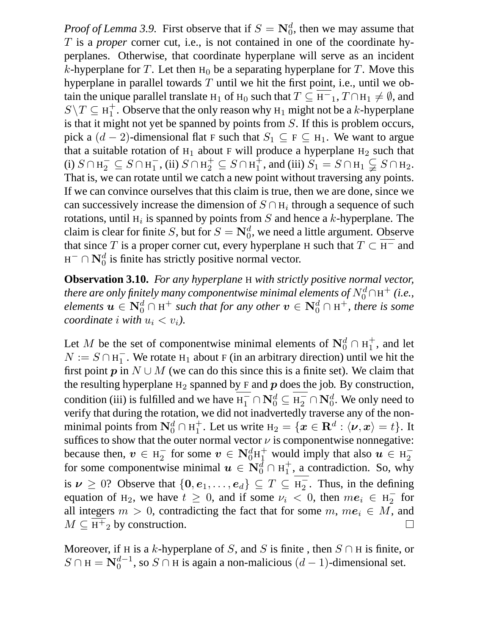*Proof of Lemma 3.9.* First observe that if  $S = \mathbb{N}_0^d$ , then we may assume that T is a *proper* corner cut, i.e., is not contained in one of the coordinate hyperplanes. Otherwise, that coordinate hyperplane will serve as an incident k-hyperplane for T. Let then  $H_0$  be a separating hyperplane for T. Move this hyperplane in parallel towards  $T$  until we hit the first point, i.e., until we obtain the unique parallel translate H<sub>1</sub> of H<sub>0</sub> such that  $T \subseteq H^-$ <sub>1</sub>,  $T \cap H_1 \neq \emptyset$ , and  $S\backslash T\subseteq \text{H}_1^+$  $_1^+$ . Observe that the only reason why  $H_1$  might not be a k-hyperplane is that it might not yet be spanned by points from S. If this is problem occurs, pick a  $(d-2)$ -dimensional flat F such that  $S_1 \subseteq F \subseteq H_1$ . We want to argue that a suitable rotation of  $H_1$  about F will produce a hyperplane  $H_2$  such that (i)  $S \cap H_2^-$  ⊆  $S \cap H_1^-$ , (ii)  $S \cap H_2^+$  ⊆  $S \cap H_1^+$  $_1^+$ , and (iii)  $S_1 = S \cap H_1 \subsetneq S \cap H_2$ . That is, we can rotate until we catch a new point without traversing any points. If we can convince ourselves that this claim is true, then we are done, since we can successively increase the dimension of  $S \cap H_i$  through a sequence of such rotations, until  $H_i$  is spanned by points from  $S$  and hence a k-hyperplane. The claim is clear for finite S, but for  $S = \mathbf{N}_0^d$ , we need a little argument. Observe that since T is a proper corner cut, every hyperplane H such that  $T \subset \overline{H^{-}}$  and  $H^- \cap \mathbf{N}_0^d$  is finite has strictly positive normal vector.

**Observation 3.10.** *For any hyperplane* H *with strictly positive normal vector, there are only finitely many componentwise minimal elements of*  $N_0^d \cap H^+$  (*i.e.*, *elements*  $u \in N_0^d \cap H^+$  *such that for any other*  $v \in N_0^d \cap H^+$ *, there is some coordinate i with*  $u_i < v_i$ *).* 

Let M be the set of componentwise minimal elements of  $N_0^d \cap H_1^+$  $_1^+$ , and let  $N := S \cap H_1^-$ . We rotate H<sub>1</sub> about F (in an arbitrary direction) until we hit the first point p in  $N \cup M$  (we can do this since this is a finite set). We claim that the resulting hyperplane  $H_2$  spanned by F and  $p$  does the job. By construction, condition (iii) is fulfilled and we have  $H_1^- \cap N_0^d \subseteq H_2^- \cap N_0^d$ . We only need to verify that during the rotation, we did not inadvertedly traverse any of the nonminimal points from  $\mathbf{N}_0^d \cap \mathrm{H}_1^+$  $_1^+$ . Let us write  $H_2 = \{ \boldsymbol{x} \in \mathbf{R}^d : \langle \boldsymbol{\nu}, \boldsymbol{x} \rangle = t \}.$  It suffices to show that the outer normal vector  $\nu$  is componentwise nonnegative: because then,  $v \in H_2^-$  for some  $v \in N_0^d H_1^+$  would imply that also  $u \in H_2^$ for some componentwise minimal  $\mathbf{u} \in \mathbf{N}_0^d \cap \mathrm{H}_1^+$  $_1^+$ , a contradiction. So, why is  $\nu \geq 0$ ? Observe that  $\{0, e_1, \ldots, e_d\} \subseteq T \subseteq H_2$ . Thus, in the defining equation of H<sub>2</sub>, we have  $t \geq 0$ , and if some  $\nu_i < 0$ , then  $me_i \in H_2^-$  for all integers  $m > 0$ , contradicting the fact that for some  $m, me_i \in M$ , and  $M \subseteq \overline{H^+}$ , by construction.  $M \subseteq \overline{H^+}_2$  by construction.

Moreover, if H is a k-hyperplane of S, and S is finite, then  $S \cap H$  is finite, or  $S \cap H = \mathbf{N}_0^{d-1}$ , so  $S \cap H$  is again a non-malicious  $(d-1)$ -dimensional set.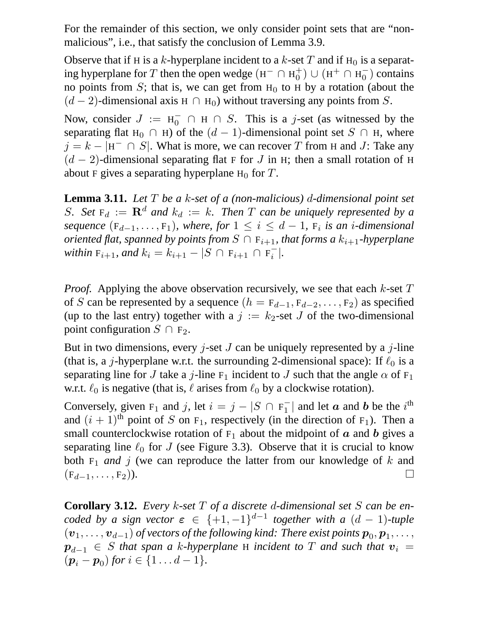For the remainder of this section, we only consider point sets that are "nonmalicious", i.e., that satisfy the conclusion of Lemma 3.9.

Observe that if H is a k-hyperplane incident to a k-set T and if  $H_0$  is a separating hyperplane for T then the open wedge ( $H^- \cap H_0^+$  $\binom{+}{0}$   $\cup$   $(H^+ \cap H_0^-)$  contains no points from S; that is, we can get from  $H_0$  to H by a rotation (about the  $(d-2)$ -dimensional axis H  $\cap$  H<sub>0</sub>) without traversing any points from S.

Now, consider  $J := H_0^- \cap H \cap S$ . This is a j-set (as witnessed by the separating flat H<sub>0</sub> ∩ H) of the  $(d-1)$ -dimensional point set S ∩ H, where  $j = k - |H^- \cap S|$ . What is more, we can recover T from H and J: Take any  $(d-2)$ -dimensional separating flat F for J in H; then a small rotation of H about F gives a separating hyperplane  $H_0$  for T.

**Lemma 3.11.** *Let* T *be a* k*-set of a (non-malicious)* d*-dimensional point set* S. Set  $F_d := \mathbf{R}^d$  and  $k_d := k$ . Then T can be uniquely represented by a  $sequence \ (F_{d-1}, \ldots, F_1)$ *, where, for*  $1 \leq i \leq d-1$ *,*  $F_i$  *is an i-dimensional oriented flat, spanned by points from*  $S \cap F_{i+1}$ *, that forms a*  $k_{i+1}$ *-hyperplane within*  $F_{i+1}$ *, and*  $k_i = k_{i+1} - |S \cap F_{i+1} \cap F_i^-|$ *.* 

*Proof.* Applying the above observation recursively, we see that each  $k$ -set  $T$ of S can be represented by a sequence  $(h = F_{d-1}, F_{d-2}, \ldots, F_2)$  as specified (up to the last entry) together with a  $j := k_2$ -set J of the two-dimensional point configuration  $S \cap F_2$ .

But in two dimensions, every *j*-set *J* can be uniquely represented by a *j*-line (that is, a *j*-hyperplane w.r.t. the surrounding 2-dimensional space): If  $\ell_0$  is a separating line for J take a j-line  $F_1$  incident to J such that the angle  $\alpha$  of  $F_1$ w.r.t.  $\ell_0$  is negative (that is,  $\ell$  arises from  $\ell_0$  by a clockwise rotation).

Conversely, given F<sub>1</sub> and j, let  $i = j - |S \cap F_1^-|$  and let a and b be the i<sup>th</sup> and  $(i + 1)$ <sup>th</sup> point of S on F<sub>1</sub>, respectively (in the direction of F<sub>1</sub>). Then a small counterclockwise rotation of  $F_1$  about the midpoint of  $\alpha$  and  $\beta$  gives a separating line  $\ell_0$  for J (see Figure 3.3). Observe that it is crucial to know both  $F_1$  *and* j (we can reproduce the latter from our knowledge of k and  $(F_{d-1}, \ldots, F_2)$ ).  $\Box$ 

**Corollary 3.12.** *Every* k*-set* T *of a discrete* d*-dimensional set* S *can be encoded by a sign vector*  $\epsilon \in \{+1, -1\}^{d-1}$  together with a  $(d-1)$ -tuple  $(\bm{v}_1,\dots,\bm{v}_{d-1})$  of vectors of the following kind: There exist points  $\bm{p}_0,\bm{p}_1,\dots,$  $p_{d-1} \in S$  *that span a k-hyperplane* H *incident to* T *and such that*  $v_i =$  $(p_i - p_0)$  for  $i \in \{1 \dots d - 1\}.$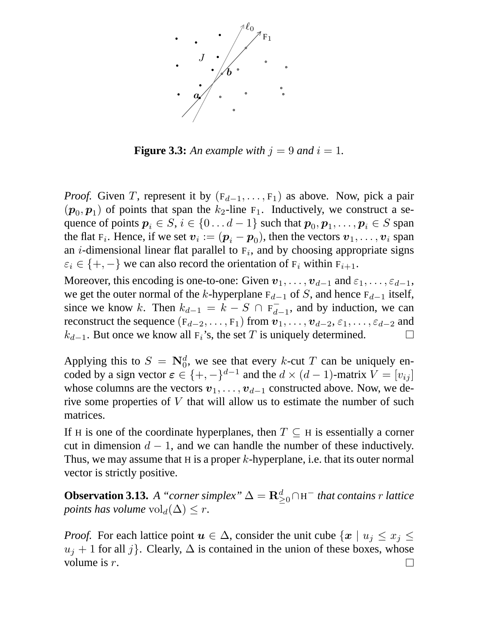

**Figure 3.3:** An example with  $j = 9$  and  $i = 1$ .

*Proof.* Given T, represent it by  $(F_{d-1}, \ldots, F_1)$  as above. Now, pick a pair  $(p_0, p_1)$  of points that span the  $k_2$ -line  $F_1$ . Inductively, we construct a sequence of points  $p_i \in S, i \in \{0 \dots d-1\}$  such that  $p_0, p_1, \dots, p_i \in S$  span the flat  $F_i$ . Hence, if we set  $v_i := (\boldsymbol{p}_i - \boldsymbol{p}_0)$ , then the vectors  $v_1, \ldots, v_i$  span an *i*-dimensional linear flat parallel to  $F_i$ , and by choosing appropriate signs  $\varepsilon_i \in \{+, -\}$  we can also record the orientation of  $F_i$  within  $F_{i+1}$ .

Moreover, this encoding is one-to-one: Given  $v_1, \ldots, v_{d-1}$  and  $\varepsilon_1, \ldots, \varepsilon_{d-1}$ , we get the outer normal of the k-hyperplane  $F_{d-1}$  of S, and hence  $F_{d-1}$  itself, since we know k. Then  $k_{d-1} = k - S \cap F_{d-1}$ , and by induction, we can reconstruct the sequence ( $F_{d-2}, \ldots, F_1$ ) from  $v_1, \ldots, v_{d-2}, \varepsilon_1, \ldots, \varepsilon_{d-2}$  and  $k_{d-1}$ . But once we know all  $F_i$ 's, the set T is uniquely determined.  $k_{d-1}$ . But once we know all F<sub>i</sub>'s, the set T is uniquely determined.

Applying this to  $S = \mathbb{N}_0^d$ , we see that every k-cut T can be uniquely encoded by a sign vector  $\epsilon \in \{+, -\}^{d-1}$  and the  $d \times (d-1)$ -matrix  $V = [v_{ij}]$ whose columns are the vectors  $v_1, \ldots, v_{d-1}$  constructed above. Now, we derive some properties of  $V$  that will allow us to estimate the number of such matrices.

If H is one of the coordinate hyperplanes, then  $T \subseteq H$  is essentially a corner cut in dimension  $d - 1$ , and we can handle the number of these inductively. Thus, we may assume that H is a proper  $k$ -hyperplane, i.e. that its outer normal vector is strictly positive.

**Observation 3.13.** *A* "*corner simplex*"  $\Delta = \mathbf{R}_{\geq 0}^d \cap H^-$  *that contains r lattice points has volume*  $\mathrm{vol}_d(\Delta) \leq r$ .

*Proof.* For each lattice point  $u \in \Delta$ , consider the unit cube  $\{x \mid u_i \leq x_i \leq \Delta\}$  $u_j + 1$  for all j}. Clearly,  $\Delta$  is contained in the union of these boxes, whose volume is r.  $\perp$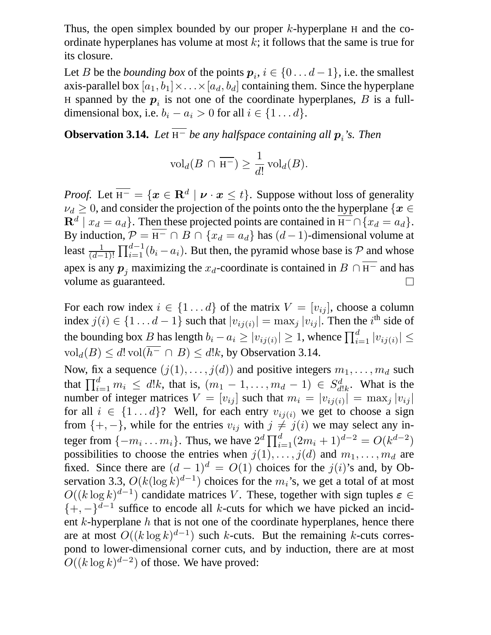Thus, the open simplex bounded by our proper  $k$ -hyperplane H and the coordinate hyperplanes has volume at most  $k$ ; it follows that the same is true for its closure.

Let *B* be the *bounding box* of the points  $p_i, i \in \{0 \dots d-1\}$ , i.e. the smallest axis-parallel box  $[a_1, b_1] \times \ldots \times [a_d, b_d]$  containing them. Since the hyperplane H spanned by the  $p_i$  is not one of the coordinate hyperplanes,  $B$  is a fulldimensional box, i.e.  $b_i - a_i > 0$  for all  $i \in \{1 \dots d\}$ .

**Observation 3.14.** Let  $H^-$  be any halfspace containing all  $p_i$ 's. Then

$$
\text{vol}_d(B \cap \overline{\mathbf{H}^-}) \ge \frac{1}{d!} \text{vol}_d(B).
$$

*Proof.* Let  $\overline{H^-} = \{x \in \mathbb{R}^d \mid \nu \cdot x \leq t\}$ . Suppose without loss of generality  $\nu_d \geq 0$ , and consider the projection of the points onto the the hyperplane { $x \in$  $\mathbf{R}^d \mid x_d = a_d$ . Then these projected points are contained in  $\overline{H^-} \cap \{x_d = a_d\}$ . By induction,  $\mathcal{P} = \overline{H^-} \cap B \cap \{x_d = a_d\}$  has  $(d-1)$ -dimensional volume at least  $\frac{1}{(d-1)!}$  $\prod_{i=1}^{d-1} (b_i - a_i)$ . But then, the pyramid whose base is  $P$  and whose apex is any  $p_j$  maximizing the  $x_d$ -coordinate is contained in  $B \cap \overline{H}^-$  and has volume as guaranteed. volume as guaranteed.

For each row index  $i \in \{1...d\}$  of the matrix  $V = [v_{ij}]$ , choose a column index  $j(i) \in \{1 \dots d - 1\}$  such that  $|v_{ij(i)}| = \max_j |v_{ij}|$ . Then the  $i^{\text{th}}$  side of the bounding box B has length  $b_i - a_i \ge |v_{ij}(i)| \ge 1$ , whence  $\prod_{i=1}^d |v_{ij}(i)| \le$  $\text{vol}_d(B) \leq d! \text{vol}(\overline{h^-} \cap B) \leq d!k$ , by Observation 3.14.

Now, fix a sequence  $(j(1), \ldots, j(d))$  and positive integers  $m_1, \ldots, m_d$  such that  $\prod_{i=1}^{d} m_i \leq d!k$ , that is,  $(m_1 - 1, \ldots, m_d - 1) \in S_d^d$  $d!_k$ . What is the number of integer matrices  $V = [v_{ij}]$  such that  $m_i = |v_{ij}(i)| = \max_j |v_{ij}|$ for all  $i \in \{1...d\}$ ? Well, for each entry  $v_{ij(i)}$  we get to choose a sign from  $\{+, -\}$ , while for the entries  $v_{ij}$  with  $j \neq j(i)$  we may select any integer from  $\{-m_i \dots m_i\}$ . Thus, we have  $2^d \prod_{i=1}^d (2m_i + 1)^{d-2} = O(k^{d-2})$ possibilities to choose the entries when  $j(1), \ldots, j(d)$  and  $m_1, \ldots, m_d$  are fixed. Since there are  $(d-1)^d = O(1)$  choices for the  $j(i)$ 's and, by Observation 3.3,  $O(k(\log k)^{d-1})$  choices for the  $m_i$ 's, we get a total of at most  $O((k \log k)^{d-1})$  candidate matrices V. These, together with sign tuples  $\varepsilon \in$  $\{+, -\}^{d-1}$  suffice to encode all k-cuts for which we have picked an incident  $k$ -hyperplane  $h$  that is not one of the coordinate hyperplanes, hence there are at most  $O((k \log k)^{d-1})$  such k-cuts. But the remaining k-cuts correspond to lower-dimensional corner cuts, and by induction, there are at most  $O((k \log k)^{d-2})$  of those. We have proved: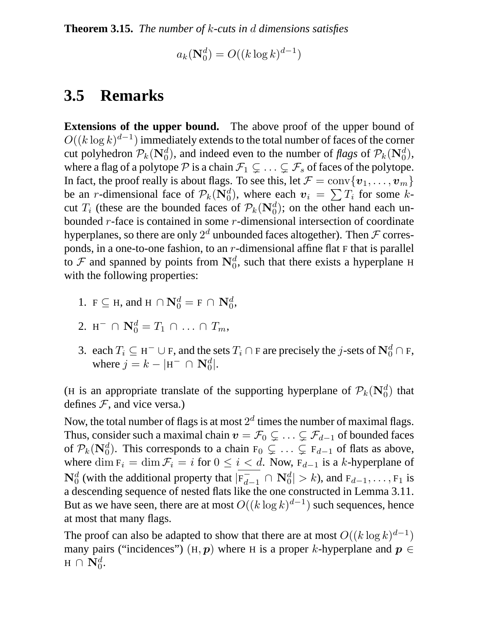**Theorem 3.15.** *The number of* k*-cuts in* d *dimensions satisfies*

$$
a_k(\mathbf{N}_0^d) = O((k \log k)^{d-1})
$$

## **3.5 Remarks**

**Extensions of the upper bound.** The above proof of the upper bound of  $O((k \log k)^{d-1})$  immediately extends to the total number of faces of the corner cut polyhedron  $\mathcal{P}_k(\mathbf{N}_0^d)$ , and indeed even to the number of *flags* of  $\mathcal{P}_k(\mathbf{N}_0^d)$ , where a flag of a polytope P is a chain  $\mathcal{F}_1 \subsetneq \ldots \subsetneq \mathcal{F}_s$  of faces of the polytope. In fact, the proof really is about flags. To see this, let  $\mathcal{F} = \text{conv}\{\boldsymbol{v}_1, \dots, \boldsymbol{v}_m\}$ be an *r*-dimensional face of  $\mathcal{P}_k(\mathbf{N}_0^d)$ , where each  $v_i = \sum T_i$  for some kcut  $T_i$  (these are the bounded faces of  $\mathcal{P}_k(\mathbf{N}_0^d)$ ; on the other hand each unbounded  $r$ -face is contained in some  $r$ -dimensional intersection of coordinate hyperplanes, so there are only  $2^d$  unbounded faces altogether). Then  $\mathcal F$  corresponds, in a one-to-one fashion, to an  $r$ -dimensional affine flat  $F$  that is parallel to  $\mathcal F$  and spanned by points from  $\mathbb N_0^d$ , such that there exists a hyperplane H with the following properties:

- 1.  $F \subseteq H$ , and  $H \cap \mathbf{N}_0^d = F \cap \mathbf{N}_0^d$ ,
- 2. H<sup>-</sup>  $\cap$   $\mathbf{N}_0^d = T_1 \cap ... \cap T_m$ ,
- 3. each  $T_i \subseteq H^- \cup F$ , and the sets  $T_i \cap F$  are precisely the j-sets of  $\mathbb{N}_0^d \cap F$ , where  $j = k - |H^- \cap N_0^d|$ .

(H is an appropriate translate of the supporting hyperplane of  $\mathcal{P}_k(\mathbf{N}_0^d)$  that defines  $F$ , and vice versa.)

Now, the total number of flags is at most  $2^d$  times the number of maximal flags. Thus, consider such a maximal chain  $v = \mathcal{F}_0 \subsetneq \ldots \subsetneq \mathcal{F}_{d-1}$  of bounded faces of  $\mathcal{P}_k(\mathbf{N}_0^d)$ . This corresponds to a chain  $F_0 \subsetneq \ldots \subsetneq F_{d-1}$  of flats as above, where dim  $F_i = \dim \mathcal{F}_i = i$  for  $0 \leq i < d$ . Now,  $F_{d-1}$  is a k-hyperplane of  $N_0^d$  (with the additional property that  $|F_{d-1}^- \cap N_0^d| > k$ ), and  $F_{d-1}, \ldots, F_1$  is a descending sequence of nested flats like the one constructed in Lemma 3.11. But as we have seen, there are at most  $O((k \log k)^{d-1})$  such sequences, hence at most that many flags.

The proof can also be adapted to show that there are at most  $O((k \log k)^{d-1})$ many pairs ("incidences") (H, p) where H is a proper k-hyperplane and  $p \in$  $\text{H} \,\cap\,\mathbf{N}_0^d.$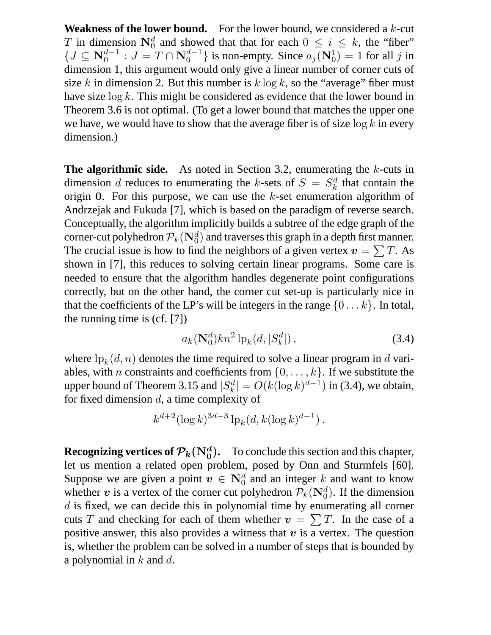**Weakness of the lower bound.** For the lower bound, we considered a  $k$ -cut T in dimension  $N_0^d$  and showed that that for each  $0 \le i \le k$ , the "fiber"  $\{J \subseteq \mathbb{N}_0^{d-1} : J = T \cap \mathbb{N}_0^{d-1}\}$  is non-empty. Since  $a_j(\mathbb{N}_0^1) = 1$  for all j in dimension 1, this argument would only give a linear number of corner cuts of size k in dimension 2. But this number is  $k \log k$ , so the "average" fiber must have size  $\log k$ . This might be considered as evidence that the lower bound in Theorem 3.6 is not optimal. (To get a lower bound that matches the upper one we have, we would have to show that the average fiber is of size  $\log k$  in every dimension.)

**The algorithmic side.** As noted in Section 3.2, enumerating the k-cuts in dimension d reduces to enumerating the k-sets of  $S = S_k^d$  $\kappa$ <sup>d</sup> that contain the origin 0. For this purpose, we can use the  $k$ -set enumeration algorithm of Andrzejak and Fukuda [7], which is based on the paradigm of reverse search. Conceptually, the algorithm implicitly builds a subtree of the edge graph of the corner-cut polyhedron  $\mathcal{P}_k(\mathbf{N}_0^d)$  and traverses this graph in a depth first manner. The crucial issue is how to find the neighbors of a given vertex  $v = \sum T$ . As shown in [7], this reduces to solving certain linear programs. Some care is needed to ensure that the algorithm handles degenerate point configurations correctly, but on the other hand, the corner cut set-up is particularly nice in that the coefficients of the LP's will be integers in the range  $\{0 \dots k\}$ . In total, the running time is (cf. [7])

$$
a_k(\mathbf{N}_0^d)kn^2\,\mathrm{lp}_k(d,|S_k^d|)\,,\tag{3.4}
$$

where  $\ln_k(d, n)$  denotes the time required to solve a linear program in d variables, with *n* constraints and coefficients from  $\{0, \ldots, k\}$ . If we substitute the upper bound of Theorem 3.15 and  $|S_k^d|$  $|k|_k^d$  =  $O(k(\log k)^{d-1})$  in (3.4), we obtain, for fixed dimension d, a time complexity of

$$
k^{d+2} (\log k)^{3d-3} \ln k (d, k (\log k)^{d-1}).
$$

**Recognizing vertices of**  $\mathcal{P}_k(N_0^d)$ **.** To conclude this section and this chapter, let us mention a related open problem, posed by Onn and Sturmfels [60]. Suppose we are given a point  $v \in N_0^d$  and an integer k and want to know whether v is a vertex of the corner cut polyhedron  $P_k(\mathbf{N}_0^d)$ . If the dimension d is fixed, we can decide this in polynomial time by enumerating all corner cuts T and checking for each of them whether  $v = \sum T$ . In the case of a positive answer, this also provides a witness that  $v$  is a vertex. The question is, whether the problem can be solved in a number of steps that is bounded by a polynomial in  $k$  and  $d$ .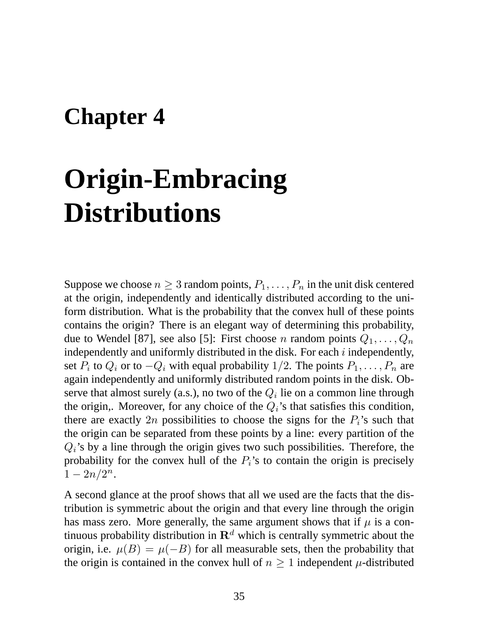## **Chapter 4**

# **Origin-Embracing Distributions**

Suppose we choose  $n \geq 3$  random points,  $P_1, \ldots, P_n$  in the unit disk centered at the origin, independently and identically distributed according to the uniform distribution. What is the probability that the convex hull of these points contains the origin? There is an elegant way of determining this probability, due to Wendel [87], see also [5]: First choose n random points  $Q_1, \ldots, Q_n$ independently and uniformly distributed in the disk. For each  $i$  independently, set  $P_i$  to  $Q_i$  or to  $-Q_i$  with equal probability 1/2. The points  $P_1, \ldots, P_n$  are again independently and uniformly distributed random points in the disk. Observe that almost surely (a.s.), no two of the  $Q_i$  lie on a common line through the origin,. Moreover, for any choice of the  $Q_i$ 's that satisfies this condition, there are exactly 2n possibilities to choose the signs for the  $P_i$ 's such that the origin can be separated from these points by a line: every partition of the  $Q_i$ 's by a line through the origin gives two such possibilities. Therefore, the probability for the convex hull of the  $P_i$ 's to contain the origin is precisely  $1 - 2n/2^n$ .

A second glance at the proof shows that all we used are the facts that the distribution is symmetric about the origin and that every line through the origin has mass zero. More generally, the same argument shows that if  $\mu$  is a continuous probability distribution in  $\mathbb{R}^d$  which is centrally symmetric about the origin, i.e.  $\mu(B) = \mu(-B)$  for all measurable sets, then the probability that the origin is contained in the convex hull of  $n \geq 1$  independent  $\mu$ -distributed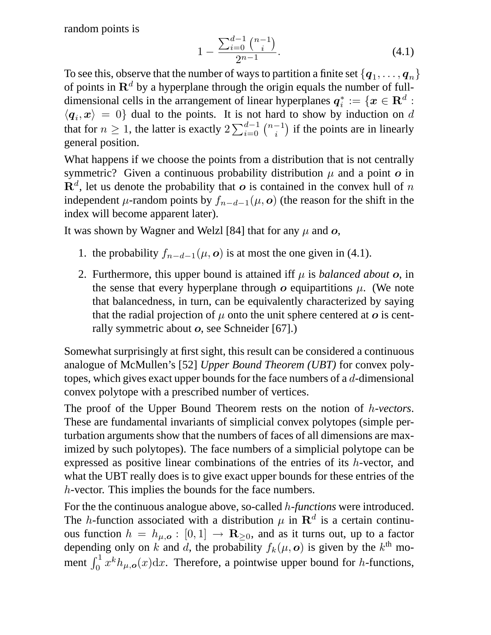random points is

$$
1 - \frac{\sum_{i=0}^{d-1} \binom{n-1}{i}}{2^{n-1}}.\tag{4.1}
$$

To see this, observe that the number of ways to partition a finite set  $\{q_1, \ldots, q_n\}$ of points in  $\mathbb{R}^d$  by a hyperplane through the origin equals the number of fulldimensional cells in the arrangement of linear hyperplanes  $q_i^* := \{x \in \mathbf{R}^d : \}$  $\langle q_i, x \rangle = 0$  dual to the points. It is not hard to show by induction on d that for  $n \geq 1$ , the latter is exactly  $2 \sum_{i=0}^{d-1} \binom{n-1}{i}$  if the points are in linearly general position.

What happens if we choose the points from a distribution that is not centrally symmetric? Given a continuous probability distribution  $\mu$  and a point  $\sigma$  in  $\mathbf{R}^{d}$ , let us denote the probability that  $\boldsymbol{o}$  is contained in the convex hull of n independent  $\mu$ -random points by  $f_{n-d-1}(\mu, o)$  (the reason for the shift in the index will become apparent later).

It was shown by Wagner and Welzl [84] that for any  $\mu$  and  $\boldsymbol{o}$ ,

- 1. the probability  $f_{n-d-1}(\mu, o)$  is at most the one given in (4.1).
- 2. Furthermore, this upper bound is attained iff  $\mu$  is *balanced about*  $\boldsymbol{o}$ , in the sense that every hyperplane through  $\boldsymbol{o}$  equipartitions  $\mu$ . (We note that balancedness, in turn, can be equivalently characterized by saying that the radial projection of  $\mu$  onto the unit sphere centered at  $\sigma$  is centrally symmetric about o, see Schneider [67].)

Somewhat surprisingly at first sight, this result can be considered a continuous analogue of McMullen's [52] *Upper Bound Theorem (UBT)* for convex polytopes, which gives exact upper bounds for the face numbers of a d-dimensional convex polytope with a prescribed number of vertices.

The proof of the Upper Bound Theorem rests on the notion of h*-vectors*. These are fundamental invariants of simplicial convex polytopes (simple perturbation arguments show that the numbers of faces of all dimensions are maximized by such polytopes). The face numbers of a simplicial polytope can be expressed as positive linear combinations of the entries of its h-vector, and what the UBT really does is to give exact upper bounds for these entries of the h-vector. This implies the bounds for the face numbers.

For the the continuous analogue above, so-called h*-functions* were introduced. The *h*-function associated with a distribution  $\mu$  in  $\mathbb{R}^d$  is a certain continuous function  $h = h_{\mu, o} : [0, 1] \rightarrow \mathbb{R}_{\geq 0}$ , and as it turns out, up to a factor depending only on k and d, the probability  $f_k(\mu, o)$  is given by the  $k^{\text{th}}$  moment  $\int_0^1 x^k h_{\mu,\mathbf{o}}(x) dx$ . Therefore, a pointwise upper bound for *h*-functions,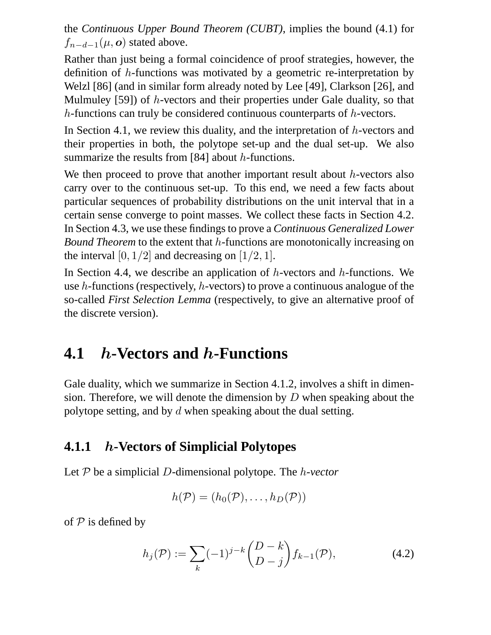the *Continuous Upper Bound Theorem (CUBT)*, implies the bound (4.1) for  $f_{n-d-1}(\mu, o)$  stated above.

Rather than just being a formal coincidence of proof strategies, however, the definition of h-functions was motivated by a geometric re-interpretation by Welzl [86] (and in similar form already noted by Lee [49], Clarkson [26], and Mulmuley [59]) of h-vectors and their properties under Gale duality, so that h-functions can truly be considered continuous counterparts of h-vectors.

In Section 4.1, we review this duality, and the interpretation of  $h$ -vectors and their properties in both, the polytope set-up and the dual set-up. We also summarize the results from [84] about  $h$ -functions.

We then proceed to prove that another important result about  $h$ -vectors also carry over to the continuous set-up. To this end, we need a few facts about particular sequences of probability distributions on the unit interval that in a certain sense converge to point masses. We collect these facts in Section 4.2. In Section 4.3, we use these findings to prove a *Continuous Generalized Lower Bound Theorem* to the extent that h-functions are monotonically increasing on the interval  $[0, 1/2]$  and decreasing on  $[1/2, 1]$ .

In Section 4.4, we describe an application of  $h$ -vectors and  $h$ -functions. We use h-functions (respectively, h-vectors) to prove a continuous analogue of the so-called *First Selection Lemma* (respectively, to give an alternative proof of the discrete version).

## **4.1** h**-Vectors and** h**-Functions**

Gale duality, which we summarize in Section 4.1.2, involves a shift in dimension. Therefore, we will denote the dimension by  $D$  when speaking about the polytope setting, and by  $d$  when speaking about the dual setting.

## **4.1.1** h**-Vectors of Simplicial Polytopes**

Let P be a simplicial D-dimensional polytope. The h*-vector*

$$
h(\mathcal{P})=(h_0(\mathcal{P}),\ldots,h_D(\mathcal{P}))
$$

of  $P$  is defined by

$$
h_j(\mathcal{P}) := \sum_{k} (-1)^{j-k} {D-k \choose D-j} f_{k-1}(\mathcal{P}), \tag{4.2}
$$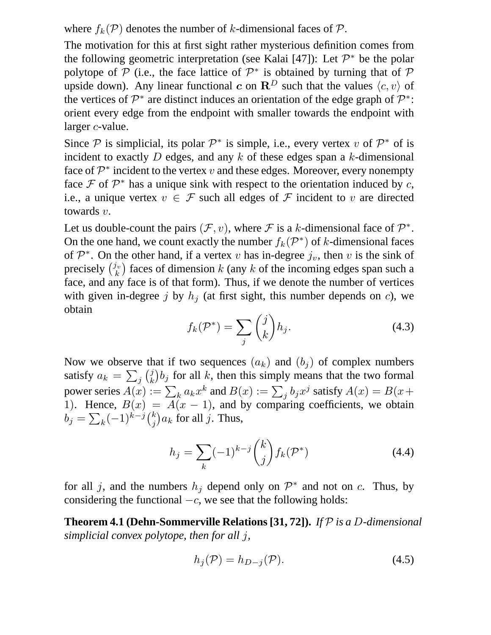where  $f_k(\mathcal{P})$  denotes the number of k-dimensional faces of  $\mathcal{P}$ .

The motivation for this at first sight rather mysterious definition comes from the following geometric interpretation (see Kalai [47]): Let  $\mathcal{P}^*$  be the polar polytope of P (i.e., the face lattice of  $\mathcal{P}^*$  is obtained by turning that of P upside down). Any linear functional c on  $\mathbb{R}^D$  such that the values  $\langle c, v \rangle$  of the vertices of  $\mathcal{P}^*$  are distinct induces an orientation of the edge graph of  $\mathcal{P}^*$ : orient every edge from the endpoint with smaller towards the endpoint with larger *c*-value.

Since  $P$  is simplicial, its polar  $P^*$  is simple, i.e., every vertex v of  $P^*$  of is incident to exactly  $D$  edges, and any  $k$  of these edges span a  $k$ -dimensional face of  $\mathcal{P}^*$  incident to the vertex v and these edges. Moreover, every nonempty face  $\mathcal F$  of  $\mathcal P^*$  has a unique sink with respect to the orientation induced by c, i.e., a unique vertex  $v \in \mathcal{F}$  such all edges of  $\mathcal F$  incident to v are directed towards v.

Let us double-count the pairs  $(\mathcal{F}, v)$ , where  $\mathcal{F}$  is a k-dimensional face of  $\mathcal{P}^*$ . On the one hand, we count exactly the number  $f_k(\mathcal{P}^*)$  of k-dimensional faces of  $\mathcal{P}^*$ . On the other hand, if a vertex v has in-degree  $j_v$ , then v is the sink of precisely  $\binom{j_v}{k_v}$  $\binom{h}{k}$  faces of dimension k (any k of the incoming edges span such a face, and any face is of that form). Thus, if we denote the number of vertices with given in-degree j by  $h_j$  (at first sight, this number depends on c), we obtain

$$
f_k(\mathcal{P}^*) = \sum_j \binom{j}{k} h_j.
$$
 (4.3)

Now we observe that if two sequences  $(a_k)$  and  $(b_i)$  of complex numbers satisfy  $a_k = \sum_j \binom{j}{k}$  $(k, k)$  for all k, then this simply means that the two formal power series  $A(x) := \sum_k a_k x^k$  and  $B(x) := \sum_j b_j x^j$  satisfy  $A(x) = B(x+)$ 1). Hence,  $B(x) = A(x - 1)$ , and by comparing coefficients, we obtain  $b_j = \sum_k (-1)^{k-j} {k \choose j}$  $\bigl( \begin{smallmatrix} k \ j \end{smallmatrix} \bigr) a_k$  for all  $j.$  Thus,

$$
h_j = \sum_k (-1)^{k-j} \binom{k}{j} f_k(\mathcal{P}^*)
$$
\n(4.4)

for all j, and the numbers  $h_j$  depend only on  $\mathcal{P}^*$  and not on c. Thus, by considering the functional  $-c$ , we see that the following holds:

**Theorem 4.1 (Dehn-Sommerville Relations [31, 72]).** *If* P *is a* D*-dimensional simplicial convex polytope, then for all* j*,*

$$
h_j(\mathcal{P}) = h_{D-j}(\mathcal{P}).\tag{4.5}
$$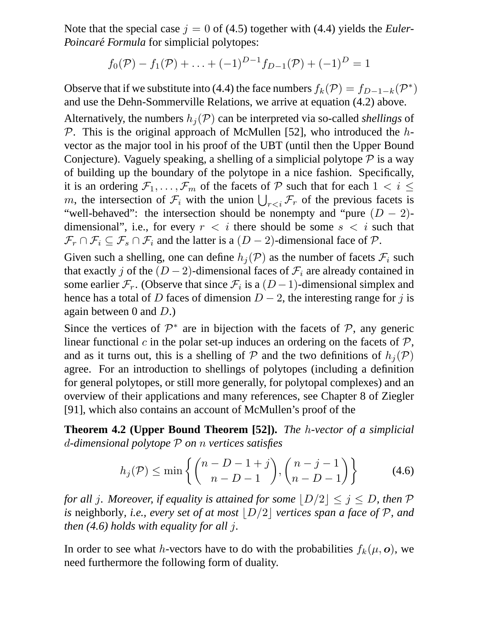Note that the special case  $j = 0$  of (4.5) together with (4.4) yields the *Euler*-*Poincaré Formula* for simplicial polytopes:

$$
f_0(\mathcal{P}) - f_1(\mathcal{P}) + \ldots + (-1)^{D-1} f_{D-1}(\mathcal{P}) + (-1)^D = 1
$$

Observe that if we substitute into (4.4) the face numbers  $f_k(\mathcal{P}) = f_{D-1-k}(\mathcal{P}^*)$ and use the Dehn-Sommerville Relations, we arrive at equation (4.2) above.

Alternatively, the numbers  $h_i(\mathcal{P})$  can be interpreted via so-called *shellings* of  $\mathcal P$ . This is the original approach of McMullen [52], who introduced the hvector as the major tool in his proof of the UBT (until then the Upper Bound Conjecture). Vaguely speaking, a shelling of a simplicial polytope  $\mathcal P$  is a way of building up the boundary of the polytope in a nice fashion. Specifically, it is an ordering  $\mathcal{F}_1, \ldots, \mathcal{F}_m$  of the facets of  $\mathcal P$  such that for each  $1 \lt i \leq$ m, the intersection of  $\mathcal{F}_i$  with the union  $\bigcup_{r of the previous facets is$ "well-behaved": the intersection should be nonempty and "pure  $(D - 2)$ dimensional", i.e., for every  $r < i$  there should be some  $s < i$  such that  $\mathcal{F}_r \cap \mathcal{F}_i \subseteq \mathcal{F}_s \cap \mathcal{F}_i$  and the latter is a  $(D-2)$ -dimensional face of  $\mathcal{P}$ .

Given such a shelling, one can define  $h_j(\mathcal{P})$  as the number of facets  $\mathcal{F}_i$  such that exactly j of the  $(D-2)$ -dimensional faces of  $\mathcal{F}_i$  are already contained in some earlier  $\mathcal{F}_r$ . (Observe that since  $\mathcal{F}_i$  is a  $(D-1)$ -dimensional simplex and hence has a total of D faces of dimension  $D-2$ , the interesting range for j is again between 0 and  $D$ .)

Since the vertices of  $\mathcal{P}^*$  are in bijection with the facets of  $\mathcal{P}$ , any generic linear functional c in the polar set-up induces an ordering on the facets of  $P$ , and as it turns out, this is a shelling of P and the two definitions of  $h_i(\mathcal{P})$ agree. For an introduction to shellings of polytopes (including a definition for general polytopes, or still more generally, for polytopal complexes) and an overview of their applications and many references, see Chapter 8 of Ziegler [91], which also contains an account of McMullen's proof of the

**Theorem 4.2 (Upper Bound Theorem [52]).** *The* h*-vector of a simplicial* d*-dimensional polytope* P *on* n *vertices satisfies*

$$
h_j(\mathcal{P}) \le \min\left\{ \binom{n-D-1+j}{n-D-1}, \binom{n-j-1}{n-D-1} \right\} \tag{4.6}
$$

*for all j. Moreover, if equality is attained for some*  $|D/2| \le j \le D$ *, then* P *is* neighborly, *i.e., every set of at most*  $|D/2|$  *vertices span a face of* P, and *then (4.6) holds with equality for all* j*.*

In order to see what h-vectors have to do with the probabilities  $f_k(\mu, o)$ , we need furthermore the following form of duality.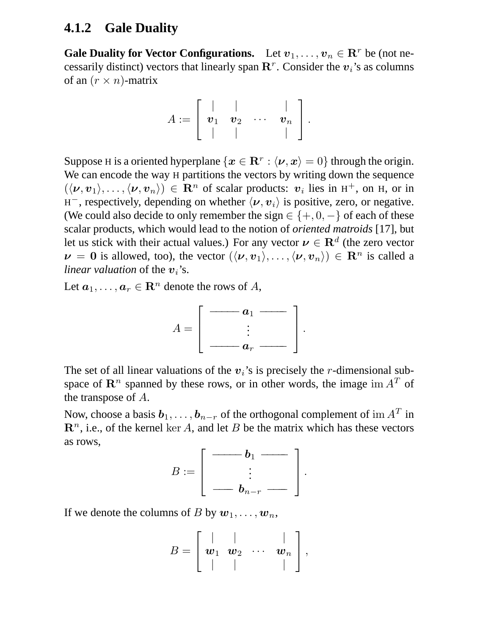## **4.1.2 Gale Duality**

**Gale Duality for Vector Configurations.** Let  $v_1, \ldots, v_n \in \mathbb{R}^r$  be (not necessarily distinct) vectors that linearly span  $\mathbb{R}^r$ . Consider the  $v_i$ 's as columns of an  $(r \times n)$ -matrix

$$
A:=\left[\begin{array}{cccc} \vert & \vert & \vert & \vert \\ \boldsymbol{v}_1 & \boldsymbol{v}_2 & \cdots & \boldsymbol{v}_n \\ \vert & \vert & \vert & \vert \end{array}\right].
$$

Suppose H is a oriented hyperplane  $\{\bm x\in \mathbf{R}^r: \langle \bm \nu, \bm x\rangle = 0\}$  through the origin. We can encode the way H partitions the vectors by writing down the sequence  $(\langle v, v_1 \rangle, \ldots, \langle v, v_n \rangle) \in \mathbb{R}^n$  of scalar products:  $v_i$  lies in H<sup>+</sup>, on H, or in  $H^-$ , respectively, depending on whether  $\langle v, v_i \rangle$  is positive, zero, or negative. (We could also decide to only remember the sign  $\in \{+,0,-\}$  of each of these scalar products, which would lead to the notion of *oriented matroids* [17], but let us stick with their actual values.) For any vector  $\nu \in \mathbb{R}^d$  (the zero vector  $\nu = 0$  is allowed, too), the vector  $(\langle v, v_1 \rangle, \ldots, \langle v, v_n \rangle) \in \mathbb{R}^n$  is called a *linear valuation* of the  $v_i$ 's.

Let  $a_1, \ldots, a_r \in \mathbb{R}^n$  denote the rows of A,



The set of all linear valuations of the  $v_i$ 's is precisely the r-dimensional subspace of  $\mathbb{R}^n$  spanned by these rows, or in other words, the image im  $A<sup>T</sup>$  of the transpose of A.

Now, choose a basis  $b_1, \ldots, b_{n-r}$  of the orthogonal complement of im  $A^T$  in  $\mathbb{R}^n$ , i.e., of the kernel ker A, and let B be the matrix which has these vectors as rows,

$$
B:=\left[\begin{array}{c|c} \rule[1pt]{1em}{1pt}\quad \quad & b_1 \rule[1pt]{1em}{1pt}\quad \quad \\ \quad \vdots \quad \quad \\ \quad \quad \quad & b_{n-r} \rule[1pt]{1em}{1pt}\quad \quad \quad \end{array}\right].
$$

If we denote the columns of B by  $w_1, \ldots, w_n$ ,

$$
B=\left[\begin{array}{cccc} | & | & \cdots & | \\ \mathbf{w}_1 & \mathbf{w}_2 & \cdots & \mathbf{w}_n \\ | & | & | & \cdots & | \end{array}\right],
$$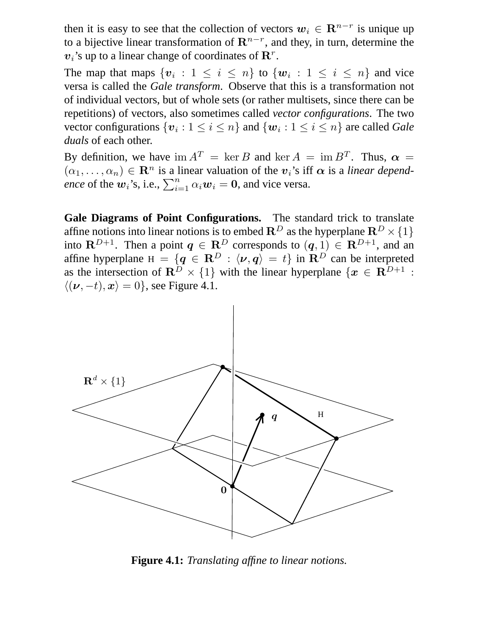then it is easy to see that the collection of vectors  $w_i \in \mathbb{R}^{n-r}$  is unique up to a bijective linear transformation of  $\mathbf{R}^{n-r}$ , and they, in turn, determine the  $v_i$ 's up to a linear change of coordinates of  $\mathbf{R}^r$ .

The map that maps  $\{v_i : 1 \le i \le n\}$  to  $\{w_i : 1 \le i \le n\}$  and vice versa is called the *Gale transform*. Observe that this is a transformation not of individual vectors, but of whole sets (or rather multisets, since there can be repetitions) of vectors, also sometimes called *vector configurations*. The two vector configurations  $\{v_i : 1 \le i \le n\}$  and  $\{w_i : 1 \le i \le n\}$  are called *Gale duals* of each other.

By definition, we have  $\text{im } A^T = \text{ker } B$  and  $\text{ker } A = \text{im } B^T$ . Thus,  $\alpha =$  $(\alpha_1, \ldots, \alpha_n) \in \mathbb{R}^n$  is a linear valuation of the  $v_i$ 's iff  $\alpha$  is a *linear dependence* of the  $w_i$ 's, i.e.,  $\sum_{i=1}^n \alpha_i w_i = 0$ , and vice versa.

**Gale Diagrams of Point Configurations.** The standard trick to translate affine notions into linear notions is to embed  $\mathbb{R}^D$  as the hyperplane  $\mathbb{R}^D \times \{1\}$ into  $\mathbf{R}^{D+1}$ . Then a point  $q \in \mathbf{R}^D$  corresponds to  $(q, 1) \in \mathbf{R}^{D+1}$ , and an affine hyperplane  $H = \{q \in \mathbb{R}^D : \langle v, q \rangle = t\}$  in  $\mathbb{R}^D$  can be interpreted as the intersection of  $\mathbb{R}^D \times \{1\}$  with the linear hyperplane  $\{x \in \mathbb{R}^{D+1}$ :  $\langle (\nu, -t), x \rangle = 0$ , see Figure 4.1.



**Figure 4.1:** *Translating affine to linear notions.*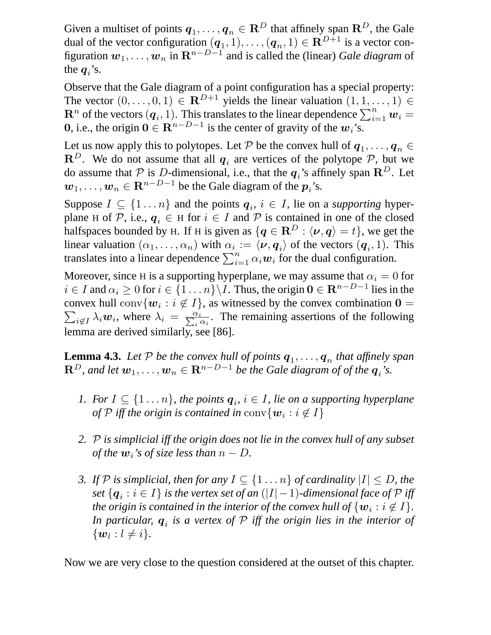Given a multiset of points  $q_1, \ldots, q_n \in \mathbb{R}^D$  that affinely span  $\mathbb{R}^D$ , the Gale dual of the vector configuration  $(q_1, 1), \ldots, (q_n, 1) \in \mathbb{R}^{D+1}$  is a vector configuration  $w_1, \ldots, w_n$  in  $\mathbf{R}^{n-D-1}$  and is called the (linear) *Gale diagram* of the  $q_i$ 's.

Observe that the Gale diagram of a point configuration has a special property: The vector  $(0, \ldots, 0, 1) \in \mathbb{R}^{D+1}$  yields the linear valuation  $(1, 1, \ldots, 1) \in$  $\mathbf{R}^n$  of the vectors  $(\boldsymbol{q}_i, 1)$ . This translates to the linear dependence  $\sum_{i=1}^n \boldsymbol{w}_i =$ **0**, i.e., the origin  $\mathbf{0} \in \mathbb{R}^{n-D-1}$  is the center of gravity of the  $w_i$ 's.

Let us now apply this to polytopes. Let P be the convex hull of  $q_1, \ldots, q_n \in \mathbb{R}$  $\mathbf{R}^D$ . We do not assume that all  $q_i$  are vertices of the polytope  $P$ , but we do assume that  $P$  is D-dimensional, i.e., that the  $q_i$ 's affinely span  $\mathbb{R}^D$ . Let  $w_1, \ldots, w_n \in \mathbf{R}^{n-D-1}$  be the Gale diagram of the  $p_i$ 's.

Suppose  $I \subseteq \{1 \dots n\}$  and the points  $q_i, i \in I$ , lie on a *supporting* hyperplane H of P, i.e.,  $q_i \in H$  for  $i \in I$  and P is contained in one of the closed halfspaces bounded by H. If H is given as  $\{q \in \mathbb{R}^D : \langle v, q \rangle = t\}$ , we get the linear valuation  $(\alpha_1, \ldots, \alpha_n)$  with  $\alpha_i := \langle \nu, q_i \rangle$  of the vectors  $(q_i, 1)$ . This translates into a linear dependence  $\sum_{i=1}^{n} \alpha_i \boldsymbol{w}_i$  for the dual configuration.

Moreover, since H is a supporting hyperplane, we may assume that  $\alpha_i = 0$  for  $i \in I$  and  $\alpha_i \geq 0$  for  $i \in \{1, ..., n\} \setminus I$ . Thus, the origin  $\mathbf{0} \in \mathbb{R}^{n-D-1}$  lies in the convex hull conv $\{w_i : i \notin I\}$ , as witnessed by the convex combination  $\mathbf{0} =$  $\sum_{i \notin I} \lambda_i w_i$ , where  $\lambda_i = \frac{\alpha_i}{\sum_i \alpha_i}$ . The remaining assertions of the following lemma are derived similarly, see [86].

**Lemma 4.3.** Let  $P$  be the convex hull of points  $q_1, \ldots, q_n$  that affinely span  $\mathbf{R}^D$ , and let  $\boldsymbol{w}_1,\ldots,\boldsymbol{w}_n\in \mathbf{R}^{n-D-1}$  be the Gale diagram of of the  $\boldsymbol{q}_i$ 's.

- *1. For*  $I \subseteq \{1 \ldots n\}$ , the points  $q_i$ ,  $i \in I$ , lie on a supporting hyperplane *of*  $\mathcal P$  *iff the origin is contained in* conv $\{\boldsymbol{w}_i : i \not\in I\}$
- *2.* P *is simplicial iff the origin does not lie in the convex hull of any subset of the*  $w_i$ *'s of size less than*  $n - D$ .
- *3. If*  $P$  *is simplicial, then for any*  $I \subseteq \{1 \dots n\}$  *of cardinality*  $|I| \le D$ *, the*  $set$   $\{\boldsymbol{q}_i: i \in I\}$  is the vertex set of an  $(|I|-1)$ -dimensional face of  ${\mathcal{P}}$  iff *the origin is contained in the interior of the convex hull of*  $\{w_i : i \notin I\}$ *.* In particular,  $\boldsymbol{q}_i$  is a vertex of  $\mathcal P$  iff the origin lies in the interior of  $\{w_l: l \neq i\}.$

Now we are very close to the question considered at the outset of this chapter.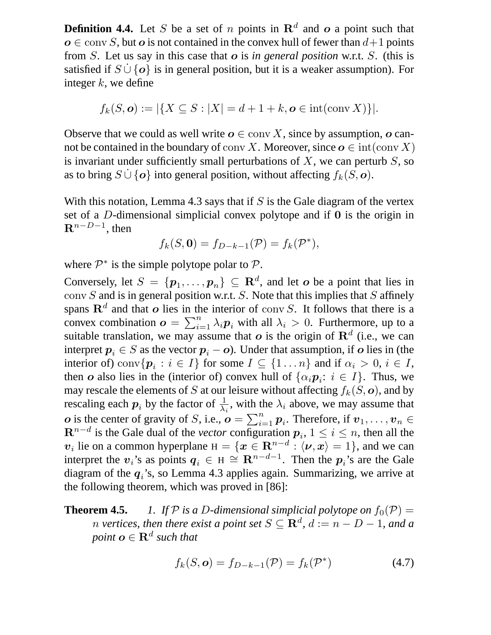**Definition 4.4.** Let S be a set of n points in  $\mathbb{R}^d$  and o a point such that  $o \in \text{conv } S$ , but *o* is not contained in the convex hull of fewer than  $d+1$  points from S. Let us say in this case that o is *in general position* w.r.t. S. (this is satisfied if  $S \cup \{o\}$  is in general position, but it is a weaker assumption). For integer  $k$ , we define

$$
f_k(S, \mathbf{o}) := |\{X \subseteq S : |X| = d + 1 + k, \mathbf{o} \in \text{int}(\text{conv } X)\}|.
$$

Observe that we could as well write  $o \in \text{conv } X$ , since by assumption, o cannot be contained in the boundary of conv X. Moreover, since  $o \in \text{int}(\text{conv } X)$ is invariant under sufficiently small perturbations of  $X$ , we can perturb  $S$ , so as to bring  $S \cup \{o\}$  into general position, without affecting  $f_k(S, o)$ .

With this notation, Lemma 4.3 says that if  $S$  is the Gale diagram of the vertex set of a D-dimensional simplicial convex polytope and if 0 is the origin in  $\mathbf{R}^{n-D-1}$ , then

$$
f_k(S, \mathbf{0}) = f_{D-k-1}(\mathcal{P}) = f_k(\mathcal{P}^*),
$$

where  $\mathcal{P}^*$  is the simple polytope polar to  $\mathcal{P}$ .

Conversely, let  $S = \{p_1, \ldots, p_n\} \subseteq \mathbb{R}^d$ , and let  $o$  be a point that lies in conv  $S$  and is in general position w.r.t.  $S$ . Note that this implies that  $S$  affinely spans  $\mathbf{R}^d$  and that o lies in the interior of conv S. It follows that there is a convex combination  $\boldsymbol{o} = \sum_{i=1}^n \lambda_i \boldsymbol{p}_i$  with all  $\lambda_i > 0$ . Furthermore, up to a suitable translation, we may assume that  $o$  is the origin of  $\mathbf{R}^{d}$  (i.e., we can interpret  $p_i \in S$  as the vector  $p_i - o$ ). Under that assumption, if o lies in (the interior of) conv $\{p_i : i \in I\}$  for some  $I \subseteq \{1 \dots n\}$  and if  $\alpha_i > 0, i \in I$ , then *o* also lies in the (interior of) convex hull of  $\{\alpha_i p_i : i \in I\}$ . Thus, we may rescale the elements of S at our leisure without affecting  $f_k(S, o)$ , and by rescaling each  $p_i$  by the factor of  $\frac{1}{\lambda_i}$ , with the  $\lambda_i$  above, we may assume that  $o$  is the center of gravity of S, i.e.,  $o = \sum_{i=1}^{n} p_i$ . Therefore, if  $v_1, \ldots, v_n \in$  $\mathbf{R}^{n-d}$  is the Gale dual of the *vector* configuration  $p_i$ ,  $1 \leq i \leq n$ , then all the  $v_i$  lie on a common hyperplane  $H = \{x \in \mathbb{R}^{n-d} : \langle v, x \rangle = 1\}$ , and we can interpret the  $v_i$ 's as points  $q_i \in H \cong \mathbb{R}^{n-d-1}$ . Then the  $p_i$ 's are the Gale diagram of the  $q_i$ 's, so Lemma 4.3 applies again. Summarizing, we arrive at the following theorem, which was proved in [86]:

**Theorem 4.5.** *1. If*  $P$  *is a D-dimensional simplicial polytope on*  $f_0(P)$  = *n* vertices, then there exist a point set  $S \subseteq \mathbf{R}^d$ ,  $d := n - D - 1$ , and a  $point$   $\boldsymbol{o} \in \mathbf{R}^d$  such that

$$
f_k(S, \mathbf{o}) = f_{D-k-1}(\mathcal{P}) = f_k(\mathcal{P}^*)
$$
\n(4.7)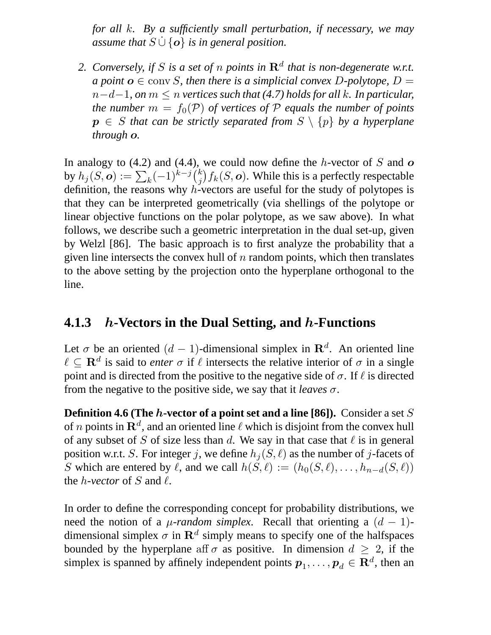*for all* k*. By a sufficiently small perturbation, if necessary, we may assume that*  $S \cup \{o\}$  *is in general position.* 

2. Conversely, if S is a set of n points in  $\mathbb{R}^d$  that is non-degenerate w.r.t. *a point*  $o \in \text{conv } S$ , then there is a simplicial convex D-polytope,  $D =$ n−d−1*, on* m ≤ n *vertices such that (4.7) holds for all* k*. In particular, the number*  $m = f_0(\mathcal{P})$  *of vertices of*  $\mathcal{P}$  *equals the number of points*  $p \in S$  *that can be strictly separated from*  $S \setminus \{p\}$  *by a hyperplane through* o*.*

In analogy to  $(4.2)$  and  $(4.4)$ , we could now define the h-vector of S and  $\boldsymbol{o}$ by  $h_j(S, \bm{o}) := \sum_k (-1)^{k-j} {k \choose j}$  $f_j^k \big) f_k(S, \textbf{\textit{o}}).$  While this is a perfectly respectable definition, the reasons why  $h$ -vectors are useful for the study of polytopes is that they can be interpreted geometrically (via shellings of the polytope or linear objective functions on the polar polytope, as we saw above). In what follows, we describe such a geometric interpretation in the dual set-up, given by Welzl [86]. The basic approach is to first analyze the probability that a given line intersects the convex hull of  $n$  random points, which then translates to the above setting by the projection onto the hyperplane orthogonal to the line.

### **4.1.3** h**-Vectors in the Dual Setting, and** h**-Functions**

Let  $\sigma$  be an oriented  $(d-1)$ -dimensional simplex in  $\mathbb{R}^d$ . An oriented line  $\ell \subseteq \mathbf{R}^d$  is said to *enter*  $\sigma$  if  $\ell$  intersects the relative interior of  $\sigma$  in a single point and is directed from the positive to the negative side of  $\sigma$ . If  $\ell$  is directed from the negative to the positive side, we say that it *leaves* σ.

**Definition 4.6 (The** h**-vector of a point set and a line [86]).** Consider a set S of *n* points in  $\mathbf{R}^d$ , and an oriented line  $\ell$  which is disjoint from the convex hull of any subset of S of size less than d. We say in that case that  $\ell$  is in general position w.r.t. S. For integer j, we define  $h_j(S, \ell)$  as the number of j-facets of S which are entered by  $\ell$ , and we call  $h(\check{S}, \ell) := (h_0(S, \ell), \ldots, h_{n-d}(S, \ell))$ the *h*-vector of S and  $\ell$ .

In order to define the corresponding concept for probability distributions, we need the notion of a  $\mu$ -random simplex. Recall that orienting a  $(d - 1)$ dimensional simplex  $\sigma$  in  $\mathbf{R}^{d}$  simply means to specify one of the halfspaces bounded by the hyperplane aff  $\sigma$  as positive. In dimension  $d \geq 2$ , if the simplex is spanned by affinely independent points  $p_1, \ldots, p_d \in \mathbf{R}^d$ , then an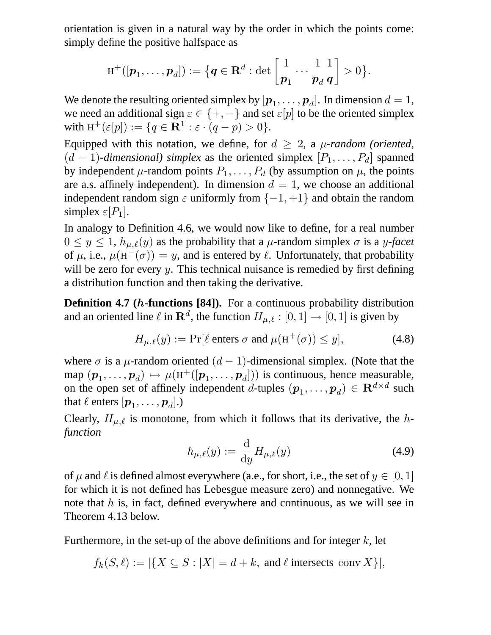orientation is given in a natural way by the order in which the points come: simply define the positive halfspace as

$$
\texttt{H}^+([\boldsymbol{p}_1,\ldots,\boldsymbol{p}_d]):=\big\{\boldsymbol{q}\in\mathbf{R}^d: \det\left[\frac{1}{\boldsymbol{p}_1}\cdots\frac{1}{\boldsymbol{p}_d}\frac{1}{\boldsymbol{q}}\right]>0\big\}.
$$

We denote the resulting oriented simplex by  $[\boldsymbol{p}_1,\dots,\boldsymbol{p}_d].$  In dimension  $d=1,$ we need an additional sign  $\varepsilon \in \{+, -\}$  and set  $\varepsilon[p]$  to be the oriented simplex with  $H^+(\varepsilon[p]) := \{q \in \mathbf{R}^1 : \varepsilon \cdot (q-p) > 0\}.$ 

Equipped with this notation, we define, for  $d \geq 2$ , a  $\mu$ -random (oriented,  $(d-1)$ -dimensional) simplex as the oriented simplex  $[P_1, \ldots, P_d]$  spanned by independent  $\mu$ -random points  $P_1, \ldots, P_d$  (by assumption on  $\mu$ , the points are a.s. affinely independent). In dimension  $d = 1$ , we choose an additional independent random sign  $\varepsilon$  uniformly from  $\{-1, +1\}$  and obtain the random simplex  $\varepsilon[P_1]$ .

In analogy to Definition 4.6, we would now like to define, for a real number  $0 \le y \le 1$ ,  $h_{\mu,\ell}(y)$  as the probability that a  $\mu$ -random simplex  $\sigma$  is a y-facet of  $\mu$ , i.e.,  $\mu(\text{H}^+(\sigma)) = y$ , and is entered by  $\ell$ . Unfortunately, that probability will be zero for every  $y$ . This technical nuisance is remedied by first defining a distribution function and then taking the derivative.

**Definition 4.7 (***h***-functions [84]).** For a continuous probability distribution and an oriented line  $\ell$  in  $\mathbf{R}^d$ , the function  $H_{\mu,\ell} : [0, 1] \rightarrow [0, 1]$  is given by

$$
H_{\mu,\ell}(y) := \Pr[\ell \text{ enters } \sigma \text{ and } \mu(\mathbf{H}^+(\sigma)) \le y], \tag{4.8}
$$

where  $\sigma$  is a  $\mu$ -random oriented  $(d-1)$ -dimensional simplex. (Note that the map  $(p_1, \ldots, p_d) \mapsto \mu(\text{H}^+([p_1, \ldots, p_d]))$  is continuous, hence measurable, on the open set of affinely independent *d*-tuples  $(\mathbf{p}_1, \dots, \mathbf{p}_d) \in \mathbb{R}^{d \times d}$  such that  $\ell$  enters  $[\boldsymbol{p}_1, \dots, \boldsymbol{p}_d].$ )

Clearly,  $H_{\mu,\ell}$  is monotone, from which it follows that its derivative, the h*function*

$$
h_{\mu,\ell}(y) := \frac{\mathrm{d}}{\mathrm{d}y} H_{\mu,\ell}(y) \tag{4.9}
$$

of  $\mu$  and  $\ell$  is defined almost everywhere (a.e., for short, i.e., the set of  $y \in [0, 1]$ ) for which it is not defined has Lebesgue measure zero) and nonnegative. We note that  $h$  is, in fact, defined everywhere and continuous, as we will see in Theorem 4.13 below.

Furthermore, in the set-up of the above definitions and for integer  $k$ , let

$$
f_k(S, \ell) := |\{ X \subseteq S : |X| = d + k, \text{ and } \ell \text{ intersects conv } X \}|,
$$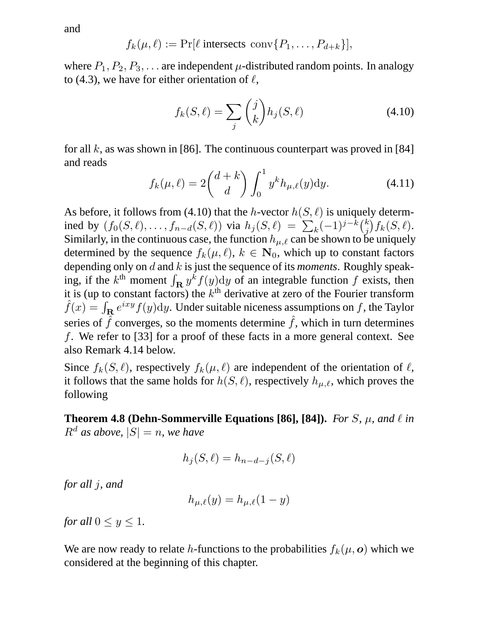and

$$
f_k(\mu,\ell) := \Pr[\ell \text{ intersects conv}\{P_1,\ldots,P_{d+k}\}],
$$

where  $P_1, P_2, P_3, \ldots$  are independent  $\mu$ -distributed random points. In analogy to (4.3), we have for either orientation of  $\ell$ ,

$$
f_k(S,\ell) = \sum_j \binom{j}{k} h_j(S,\ell) \tag{4.10}
$$

for all k, as was shown in [86]. The continuous counterpart was proved in [84] and reads

$$
f_k(\mu,\ell) = 2\binom{d+k}{d} \int_0^1 y^k h_{\mu,\ell}(y) dy.
$$
 (4.11)

As before, it follows from (4.10) that the h-vector  $h(S, \ell)$  is uniquely determined by  $(f_0(S, \ell), \ldots, f_{n-d}(S, \ell))$  via  $h_j(S, \ell) = \sum_k (-1)^{j-k} {k \choose j}$  $_{j}^{k}\big)f_{k}(S,\ell).$ Similarly, in the continuous case, the function  $h_{\mu,\ell}$  can be shown to be uniquely determined by the sequence  $f_k(\mu, \ell)$ ,  $k \in \mathbb{N}_0$ , which up to constant factors depending only on d and k is just the sequence of its *moments*. Roughly speaking, if the  $k^{\text{th}}$  moment  $\int_{\mathbf{R}} y^k f(y) dy$  of an integrable function f exists, then it is (up to constant factors) the  $k<sup>th</sup>$  derivative at zero of the Fourier transform  $\hat{f}(x) = \int_{\mathbf{R}} e^{ixy} f(y) \mathrm{d}y$ . Under suitable niceness assumptions on f, the Taylor series of  $\hat{f}$  converges, so the moments determine  $\hat{f}$ , which in turn determines f. We refer to [33] for a proof of these facts in a more general context. See also Remark 4.14 below.

Since  $f_k(S, \ell)$ , respectively  $f_k(\mu, \ell)$  are independent of the orientation of  $\ell$ , it follows that the same holds for  $h(S, \ell)$ , respectively  $h_{\mu,\ell}$ , which proves the following

**Theorem 4.8 (Dehn-Sommerville Equations [86], [84]).** *For S*,  $\mu$ , and  $\ell$  *in*  $R^d$  *as above,*  $|S| = n$ *, we have* 

$$
h_j(S, \ell) = h_{n-d-j}(S, \ell)
$$

*for all* j*, and*

$$
h_{\mu,\ell}(y) = h_{\mu,\ell}(1-y)
$$

*for all*  $0 \le y \le 1$ *.* 

We are now ready to relate h-functions to the probabilities  $f_k(\mu, o)$  which we considered at the beginning of this chapter.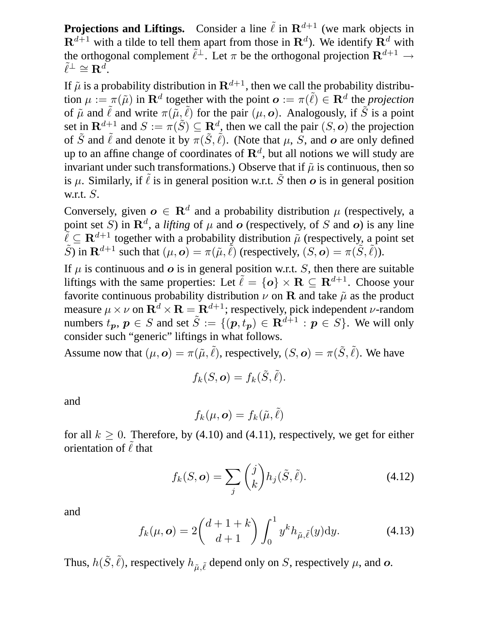**Projections and Liftings.** Consider a line  $\tilde{\ell}$  in  $\mathbb{R}^{d+1}$  (we mark objects in  $\mathbf{R}^{d+1}$  with a tilde to tell them apart from those in  $\mathbf{R}^{d}$ ). We identify  $\mathbf{R}^{d}$  with the orthogonal complement  $\tilde{\ell}^{\perp}$ . Let  $\pi$  be the orthogonal projection  $\mathbf{R}^{d+1} \to \tilde{\ell}$  $\tilde{\ell}^{\perp} \cong \mathbf{R}^{d}$ .

If  $\tilde{\mu}$  is a probability distribution in  $\mathbf{R}^{d+1}$ , then we call the probability distribution  $\mu := \pi(\tilde{\mu})$  in  $\mathbf{R}^d$  together with the point  $\mathbf{o} := \pi(\tilde{\ell}) \in \mathbf{R}^d$  the *projection* of  $\tilde{\mu}$  and  $\tilde{\ell}$  and write  $\pi(\tilde{\mu}, \tilde{\ell})$  for the pair  $(\mu, o)$ . Analogously, if  $\tilde{S}$  is a point set in  $\mathbf{R}^{d+1}$  and  $S := \pi(\tilde{S}) \subseteq \mathbf{R}^d$ , then we call the pair  $(S, o)$  the projection of  $\tilde{S}$  and  $\tilde{\ell}$  and denote it by  $\pi(\tilde{S}, \tilde{\ell})$ . (Note that  $\mu$ , S, and o are only defined up to an affine change of coordinates of  $\mathbf{R}^{d}$ , but all notions we will study are invariant under such transformations.) Observe that if  $\tilde{\mu}$  is continuous, then so is  $\mu$ . Similarly, if  $\tilde{\ell}$  is in general position w.r.t.  $\tilde{S}$  then  $\boldsymbol{o}$  is in general position w.r.t. S.

Conversely, given  $o \in \mathbb{R}^d$  and a probability distribution  $\mu$  (respectively, a point set S) in  $\mathbf{R}^d$ , a *lifting* of  $\mu$  and  $\boldsymbol{o}$  (respectively, of S and  $\boldsymbol{o}$ ) is any line  $\tilde{\ell} \subseteq \mathbf{R}^{d+1}$  together with a probability distribution  $\tilde{\mu}$  (respectively, a point set  $\tilde{S}$ ) in  $\mathbf{R}^{d+1}$  such that  $(\mu, \mathbf{o}) = \pi(\tilde{\mu}, \tilde{\ell})$  (respectively,  $(S, \mathbf{o}) = \pi(\tilde{S}, \tilde{\ell})$ ).

If  $\mu$  is continuous and  $\sigma$  is in general position w.r.t. S, then there are suitable liftings with the same properties: Let  $\tilde{\ell} = \{o\} \times \mathbf{R} \subseteq \mathbf{R}^{d+1}$ . Choose your favorite continuous probability distribution  $\nu$  on R and take  $\tilde{\mu}$  as the product measure  $\mu \times \nu$  on  $\mathbf{R}^d \times \mathbf{R} = \mathbf{R}^{d+1}$ ; respectively, pick independent *v*-random numbers  $t_p, p \in S$  and set  $\tilde{S} := \{ (p, t_p) \in \mathbb{R}^{d+1} : p \in S \}$ . We will only consider such "generic" liftings in what follows.

Assume now that  $(\mu, o) = \pi(\tilde{\mu}, \tilde{\ell})$ , respectively,  $(S, o) = \pi(\tilde{S}, \tilde{\ell})$ . We have

$$
f_k(S, \mathbf{o}) = f_k(\tilde{S}, \tilde{\ell}).
$$

and

$$
f_k(\mu, \bm{o}) = f_k(\tilde{\mu}, \tilde{\ell})
$$

for all  $k \geq 0$ . Therefore, by (4.10) and (4.11), respectively, we get for either orientation of  $\tilde{\ell}$  that

$$
f_k(S, \mathbf{o}) = \sum_j {j \choose k} h_j(\tilde{S}, \tilde{\ell}). \tag{4.12}
$$

and

$$
f_k(\mu, \mathbf{o}) = 2\binom{d+1+k}{d+1} \int_0^1 y^k h_{\tilde{\mu}, \tilde{\ell}}(y) \mathrm{d}y. \tag{4.13}
$$

Thus,  $h(\tilde{S}, \tilde{\ell})$ , respectively  $h_{\tilde{\mu}, \tilde{\ell}}$  depend only on S, respectively  $\mu$ , and  $o$ .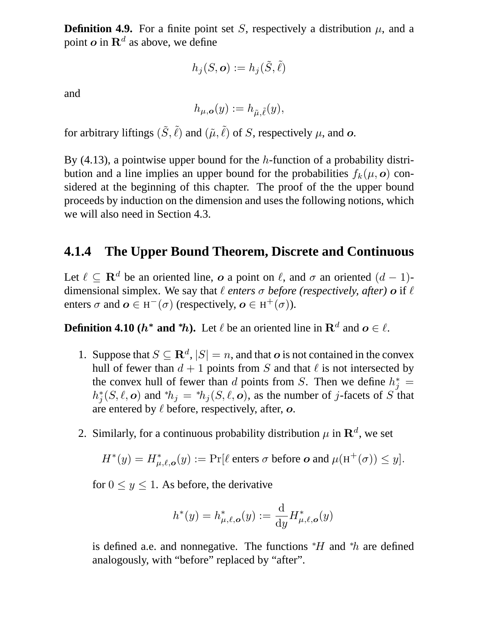**Definition 4.9.** For a finite point set S, respectively a distribution  $\mu$ , and a point  $o$  in  $\mathbf{R}^d$  as above, we define

$$
h_j(S, \bm{o}) := h_j(\tilde{S}, \tilde{\ell})
$$

and

$$
h_{\mu,{\boldsymbol{\rm o}}}(y):=h_{\tilde\mu,\tilde\ell}(y),
$$

for arbitrary liftings  $(\tilde{S}, \tilde{\ell})$  and  $(\tilde{\mu}, \tilde{\ell})$  of S, respectively  $\mu$ , and  $o$ .

By  $(4.13)$ , a pointwise upper bound for the h-function of a probability distribution and a line implies an upper bound for the probabilities  $f_k(\mu, o)$  considered at the beginning of this chapter. The proof of the the upper bound proceeds by induction on the dimension and uses the following notions, which we will also need in Section 4.3.

#### **4.1.4 The Upper Bound Theorem, Discrete and Continuous**

Let  $\ell \subseteq \mathbf{R}^d$  be an oriented line, o a point on  $\ell$ , and  $\sigma$  an oriented  $(d - 1)$ dimensional simplex. We say that  $\ell$  *enters*  $\sigma$  *before (respectively, after)*  $\sigma$  if  $\ell$ enters  $\sigma$  and  $\boldsymbol{o} \in H^-(\sigma)$  (respectively,  $\boldsymbol{o} \in H^+(\sigma)$ ).

**Definition 4.10 (** $h^*$  **and**  $^*h$ **).** Let  $\ell$  be an oriented line in  $\mathbb{R}^d$  and  $o \in \ell$ .

- 1. Suppose that  $S \subseteq \mathbb{R}^d$ ,  $|S| = n$ , and that  $o$  is not contained in the convex hull of fewer than  $d + 1$  points from S and that  $\ell$  is not intersected by the convex hull of fewer than d points from S. Then we define  $h_j^* =$  $h_j^*(S, \ell, o)$  and \* $h_j = {^*h_j}(S, \ell, o)$ , as the number of j-facets of S that are entered by  $\ell$  before, respectively, after,  $\boldsymbol{o}$ .
- 2. Similarly, for a continuous probability distribution  $\mu$  in  $\mathbf{R}^d$ , we set

$$
H^*(y) = H^*_{\mu,\ell,\mathbf{o}}(y) := \Pr[\ell \text{ enters } \sigma \text{ before } \mathbf{o} \text{ and } \mu(\mathbf{H}^+(\sigma)) \le y].
$$

for  $0 \leq y \leq 1$ . As before, the derivative

$$
h^*(y) = h^*_{\mu,\ell,\mathbf{o}}(y) := \frac{\mathrm{d}}{\mathrm{d}y} H^*_{\mu,\ell,\mathbf{o}}(y)
$$

is defined a.e. and nonnegative. The functions  $*H$  and  $*h$  are defined analogously, with "before" replaced by "after".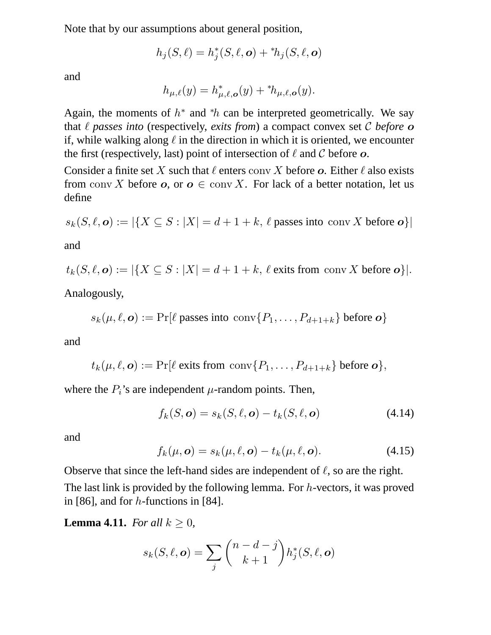Note that by our assumptions about general position,

$$
h_j(S,\ell) = h_j^*(S,\ell,\boldsymbol{o}) + {^*\hbar}_j(S,\ell,\boldsymbol{o})
$$

and

$$
h_{\mu,\ell}(y) = h_{\mu,\ell,\mathbf{o}}^*(y) + {^*h_{\mu,\ell,\mathbf{o}}}(y).
$$

Again, the moments of  $h^*$  and  $^*h$  can be interpreted geometrically. We say that  $\ell$  passes into (respectively, *exits from*) a compact convex set  $\mathcal C$  *before*  $\boldsymbol{o}$ if, while walking along  $\ell$  in the direction in which it is oriented, we encounter the first (respectively, last) point of intersection of  $\ell$  and  $\mathcal C$  before  $\boldsymbol{o}$ .

Consider a finite set X such that  $\ell$  enters conv X before o. Either  $\ell$  also exists from conv X before  $o$ , or  $o \in \text{conv } X$ . For lack of a better notation, let us define

$$
s_k(S, \ell, \mathbf{o}) := |\{ X \subseteq S : |X| = d + 1 + k, \ell \text{ passes into conv } X \text{ before } \mathbf{o} \}|
$$

and

$$
t_k(S, \ell, \mathbf{o}) := |\{ X \subseteq S : |X| = d + 1 + k, \ell \text{ exits from conv } X \text{ before } \mathbf{o} \}|.
$$

Analogously,

$$
s_k(\mu, \ell, \mathbf{o}) := \Pr[\ell \text{ passes into } \text{conv}\{P_1, \ldots, P_{d+1+k}\}\text{ before } \mathbf{o}\}\
$$

and

$$
t_k(\mu,\ell,\boldsymbol{o}) := \Pr[\ell \text{ exits from } \text{conv}\{P_1,\ldots,P_{d+1+k}\} \text{ before } \boldsymbol{o}\},\
$$

where the  $P_i$ 's are independent  $\mu$ -random points. Then,

$$
f_k(S, \mathbf{o}) = s_k(S, \ell, \mathbf{o}) - t_k(S, \ell, \mathbf{o}) \tag{4.14}
$$

and

$$
f_k(\mu, \mathbf{o}) = s_k(\mu, \ell, \mathbf{o}) - t_k(\mu, \ell, \mathbf{o}). \tag{4.15}
$$

Observe that since the left-hand sides are independent of  $\ell$ , so are the right. The last link is provided by the following lemma. For h-vectors, it was proved in [86], and for  $h$ -functions in [84].

**Lemma 4.11.** *For all*  $k \geq 0$ *,* 

$$
s_k(S, \ell, \mathbf{o}) = \sum_j {n - d - j \choose k + 1} h_j^*(S, \ell, \mathbf{o})
$$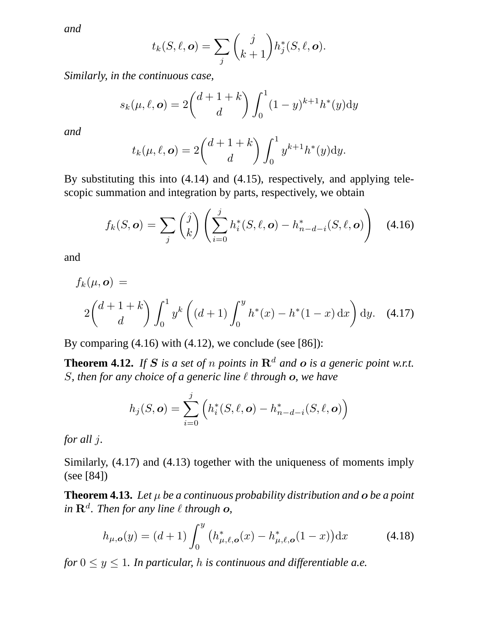*and*

$$
t_k(S,\ell,\boldsymbol{o})=\sum_j {j \choose k+1} h_j^*(S,\ell,\boldsymbol{o}).
$$

*Similarly, in the continuous case,*

$$
s_k(\mu, \ell, \mathbf{o}) = 2\binom{d+1+k}{d} \int_0^1 (1-y)^{k+1} h^*(y) \mathrm{d}y
$$

*and*

$$
t_k(\mu,\ell,\mathbf{o}) = 2\binom{d+1+k}{d}\int_0^1 y^{k+1}h^*(y)\mathrm{d}y.
$$

By substituting this into (4.14) and (4.15), respectively, and applying telescopic summation and integration by parts, respectively, we obtain

$$
f_k(S, \mathbf{o}) = \sum_j \binom{j}{k} \left( \sum_{i=0}^j h_i^*(S, \ell, \mathbf{o}) - h_{n-d-i}^*(S, \ell, \mathbf{o}) \right) \quad (4.16)
$$

and

$$
f_k(\mu, \mathbf{o}) =
$$
  
2 $\binom{d+1+k}{d}$  $\int_0^1 y^k \left( (d+1) \int_0^y h^*(x) - h^*(1-x) \, dx \right) dy.$  (4.17)

By comparing  $(4.16)$  with  $(4.12)$ , we conclude (see [86]):

**Theorem 4.12.** If S is a set of n points in  $\mathbb{R}^d$  and o is a generic point w.r.t. *S*, then for any choice of a generic line  $\ell$  through **o**, we have

$$
h_j(S, \mathbf{o}) = \sum_{i=0}^j \left( h_i^*(S, \ell, \mathbf{o}) - h_{n-d-i}^*(S, \ell, \mathbf{o}) \right)
$$

*for all* j*.*

Similarly, (4.17) and (4.13) together with the uniqueness of moments imply (see [84])

**Theorem 4.13.** Let  $\mu$  be a continuous probability distribution and  $\sigma$  be a point  $\mathbf{R}^d$ *. Then for any line*  $\ell$  *through o,* 

$$
h_{\mu,\mathbf{o}}(y) = (d+1) \int_0^y \left( h_{\mu,\ell,\mathbf{o}}^*(x) - h_{\mu,\ell,\mathbf{o}}^*(1-x) \right) dx \tag{4.18}
$$

*for*  $0 \le y \le 1$ *. In particular, h is continuous and differentiable a.e.*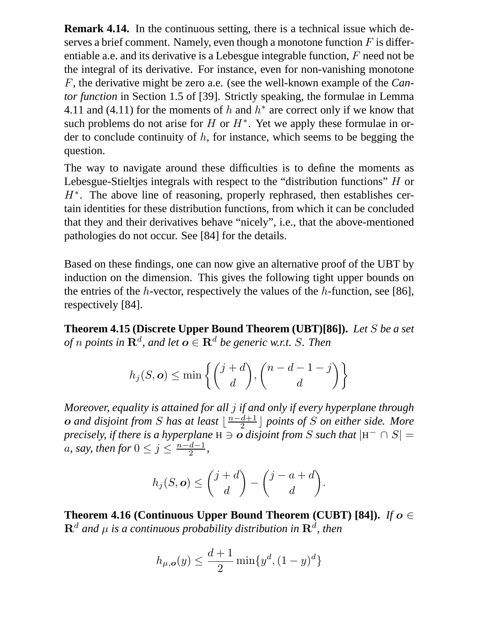**Remark 4.14.** In the continuous setting, there is a technical issue which deserves a brief comment. Namely, even though a monotone function  $F$  is differentiable a.e. and its derivative is a Lebesgue integrable function, F need not be the integral of its derivative. For instance, even for non-vanishing monotone F, the derivative might be zero a.e. (see the well-known example of the *Cantor function* in Section 1.5 of [39]. Strictly speaking, the formulae in Lemma 4.11 and (4.11) for the moments of h and  $h^*$  are correct only if we know that such problems do not arise for  $H$  or  $H^*$ . Yet we apply these formulae in order to conclude continuity of  $h$ , for instance, which seems to be begging the question.

The way to navigate around these difficulties is to define the moments as Lebesgue-Stieltjes integrals with respect to the "distribution functions" H or  $H^*$ . The above line of reasoning, properly rephrased, then establishes certain identities for these distribution functions, from which it can be concluded that they and their derivatives behave "nicely", i.e., that the above-mentioned pathologies do not occur. See [84] for the details.

Based on these findings, one can now give an alternative proof of the UBT by induction on the dimension. This gives the following tight upper bounds on the entries of the h-vector, respectively the values of the h-function, see [86]. respectively [84].

**Theorem 4.15 (Discrete Upper Bound Theorem (UBT)[86]).** *Let* S *be a set of*  $n$  points in  $\mathbf{R}^d$ , and let  $\boldsymbol{o} \in \mathbf{R}^d$  be generic w.r.t. S. Then

$$
h_j(S, \mathbf{o}) \le \min\left\{ \binom{j+d}{d}, \binom{n-d-1-j}{d} \right\}
$$

*Moreover, equality is attained for all* j *if and only if every hyperplane through* **o** and disjoint from S has at least  $\lfloor \frac{n-d+1}{2} \rfloor$  points of S on either side. More *precisely, if there is a hyperplane*  $H \ni o$  *disjoint from* S *such that*  $|H^{-} \cap S|$  = *a*, *say*, *then for*  $0 \leq j \leq \frac{n-d-1}{2}$ ,

$$
h_j(S, \mathbf{o}) \leq {j+d \choose d} - {j-a+d \choose d}.
$$

**Theorem 4.16 (Continuous Upper Bound Theorem (CUBT) [84]).** *If*  $o \in$  $\mathbf{R}^{d}$  and  $\mu$  is a continuous probability distribution in  $\mathbf{R}^{d}$ , then

$$
h_{\mu,\mathbf{o}}(y) \le \frac{d+1}{2} \min\{y^d, (1-y)^d\}
$$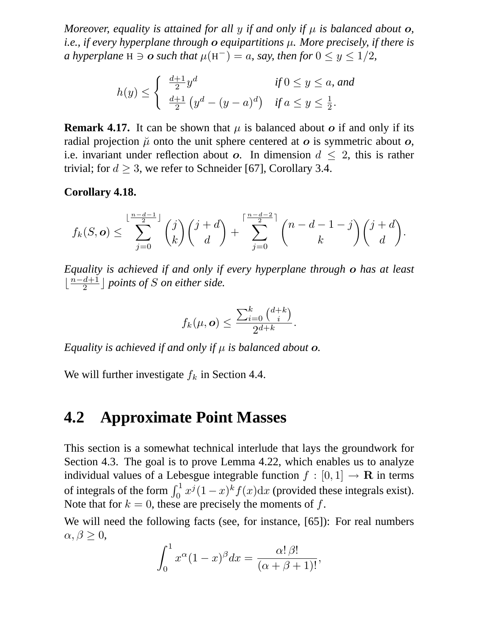*Moreover, equality is attained for all y if and only if*  $\mu$  *is balanced about*  $o$ *, i.e., if every hyperplane through* o *equipartitions* µ*. More precisely, if there is a* hyperplane H  $\ni$   $\boldsymbol{o}$  such that  $\mu$ (H<sup>-</sup>) = a, say, then for  $0 \le y \le 1/2$ ,

$$
h(y) \le \begin{cases} \frac{d+1}{2}y^d & \text{if } 0 \le y \le a, \text{ and} \\ \frac{d+1}{2} \left( y^d - (y-a)^d \right) & \text{if } a \le y \le \frac{1}{2}. \end{cases}
$$

**Remark 4.17.** It can be shown that  $\mu$  is balanced about  $\sigma$  if and only if its radial projection  $\mu$  onto the unit sphere centered at  $\sigma$  is symmetric about  $\sigma$ , i.e. invariant under reflection about o. In dimension  $d \leq 2$ , this is rather trivial; for  $d \geq 3$ , we refer to Schneider [67], Corollary 3.4.

#### **Corollary 4.18.**

$$
f_k(S, \mathbf{o}) \le \sum_{j=0}^{\lfloor \frac{n-d-1}{2} \rfloor} {j \choose k} {j+d \choose d} + \sum_{j=0}^{\lceil \frac{n-d-2}{2} \rceil} {n-d-1-j \choose k} {j+d \choose d}.
$$

*Equality is achieved if and only if every hyperplane through* o *has at least*  $\lfloor \frac{n-d+1}{2} \rfloor$  points of *S* on either side.

$$
f_k(\mu, \mathbf{o}) \le \frac{\sum_{i=0}^k {d+k \choose i}}{2^{d+k}}.
$$

*Equality is achieved if and only if* µ *is balanced about* o*.*

We will further investigate  $f_k$  in Section 4.4.

## **4.2 Approximate Point Masses**

This section is a somewhat technical interlude that lays the groundwork for Section 4.3. The goal is to prove Lemma 4.22, which enables us to analyze individual values of a Lebesgue integrable function  $f : [0, 1] \rightarrow \mathbf{R}$  in terms of integrals of the form  $\int_0^1 x^j (1-x)^k f(x) dx$  (provided these integrals exist). Note that for  $k = 0$ , these are precisely the moments of f.

We will need the following facts (see, for instance, [65]): For real numbers  $\alpha, \beta \geq 0$ ,

$$
\int_0^1 x^{\alpha} (1-x)^{\beta} dx = \frac{\alpha! \beta!}{(\alpha + \beta + 1)!},
$$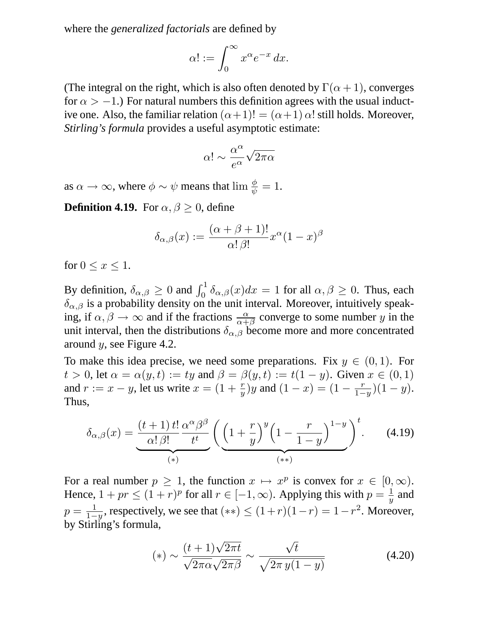where the *generalized factorials* are defined by

$$
\alpha! := \int_0^\infty x^\alpha e^{-x} \, dx.
$$

(The integral on the right, which is also often denoted by  $\Gamma(\alpha + 1)$ , converges for  $\alpha > -1$ .) For natural numbers this definition agrees with the usual inductive one. Also, the familiar relation  $(\alpha+1)! = (\alpha+1) \alpha!$  still holds. Moreover, *Stirling's formula* provides a useful asymptotic estimate:

$$
\alpha!\sim\frac{\alpha^\alpha}{e^\alpha}\sqrt{2\pi\alpha}
$$

as  $\alpha \to \infty$ , where  $\phi \sim \psi$  means that  $\lim \frac{\phi}{\psi} = 1$ .

**Definition 4.19.** For  $\alpha, \beta \geq 0$ , define

$$
\delta_{\alpha,\beta}(x) := \frac{(\alpha + \beta + 1)!}{\alpha!\,\beta!}x^{\alpha}(1-x)^{\beta}
$$

for  $0 \leq x \leq 1$ .

By definition,  $\delta_{\alpha,\beta} \ge 0$  and  $\int_0^1 \delta_{\alpha,\beta}(x) dx = 1$  for all  $\alpha,\beta \ge 0$ . Thus, each  $\delta_{\alpha,\beta}$  is a probability density on the unit interval. Moreover, intuitively speaking, if  $\alpha, \beta \to \infty$  and if the fractions  $\frac{\alpha}{\alpha + \beta}$  converge to some number y in the unit interval, then the distributions  $\delta_{\alpha,\beta}$  become more and more concentrated around  $y$ , see Figure 4.2.

To make this idea precise, we need some preparations. Fix  $y \in (0,1)$ . For  $t > 0$ , let  $\alpha = \alpha(y, t) := ty$  and  $\beta = \beta(y, t) := t(1 - y)$ . Given  $x \in (0, 1)$ and  $r := x - y$ , let us write  $x = (1 + \frac{r}{y})y$  and  $(1 - x) = (1 - \frac{r}{1 - x})y$  $\frac{r}{1-y}$  $(1-y)$ . Thus,

$$
\delta_{\alpha,\beta}(x) = \underbrace{\frac{(t+1)\,t!}{\alpha!\,\beta!} \frac{\alpha^{\alpha}\beta^{\beta}}{t^t}}_{(*)} \left( \underbrace{\left(1+\frac{r}{y}\right)^y \left(1-\frac{r}{1-y}\right)^{1-y}}_{(**)} \right)^t. \tag{4.19}
$$

For a real number  $p \ge 1$ , the function  $x \mapsto x^p$  is convex for  $x \in [0, \infty)$ . Hence,  $1 + pr \leq (1 + r)^p$  for all  $r \in [-1, \infty)$ . Applying this with  $p = \frac{1}{y}$  $\frac{1}{y}$  and  $p = \frac{1}{1 - 1}$  $\frac{1}{1-y}$ , respectively, we see that  $(**) \le (1+r)(1-r) = 1-r^2$ . Moreover, by Stirling's formula,

$$
(*) \sim \frac{(t+1)\sqrt{2\pi t}}{\sqrt{2\pi\alpha}\sqrt{2\pi\beta}} \sim \frac{\sqrt{t}}{\sqrt{2\pi y(1-y)}}
$$
(4.20)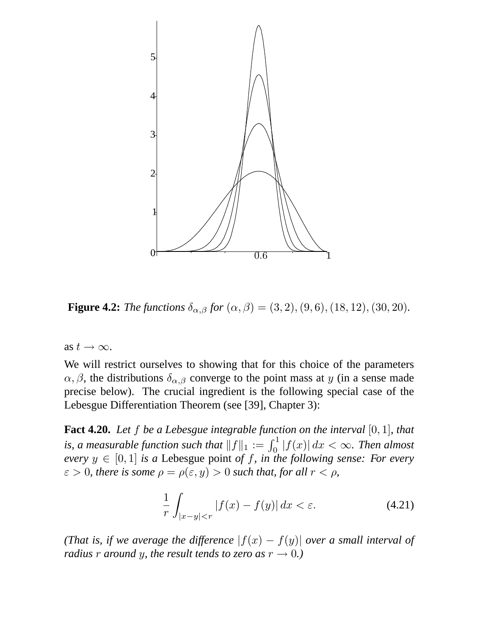

**Figure 4.2:** *The functions*  $\delta_{\alpha,\beta}$  *for*  $(\alpha,\beta) = (3, 2), (9, 6), (18, 12), (30, 20)$ *.* 

as  $t \to \infty$ .

We will restrict ourselves to showing that for this choice of the parameters  $\alpha, \beta$ , the distributions  $\delta_{\alpha,\beta}$  converge to the point mass at y (in a sense made precise below). The crucial ingredient is the following special case of the Lebesgue Differentiation Theorem (see [39], Chapter 3):

**Fact 4.20.** *Let* f *be a Lebesgue integrable function on the interval* [0, 1]*, that* is, a measurable function such that  $||f||_1 := \int_0^1 |f(x)| dx < \infty$ . Then almost *every*  $y \in [0, 1]$  *is a* Lebesgue point *of f, in the following sense: For every*  $\varepsilon > 0$ *, there is some*  $\rho = \rho(\varepsilon, y) > 0$  *such that, for all*  $r < \rho$ *,* 

$$
\frac{1}{r} \int_{|x-y| < r} |f(x) - f(y)| \, dx < \varepsilon. \tag{4.21}
$$

*(That is, if we average the difference*  $|f(x) - f(y)|$  *over a small interval of radius r around y, the result tends to zero as*  $r \rightarrow 0$ *.*)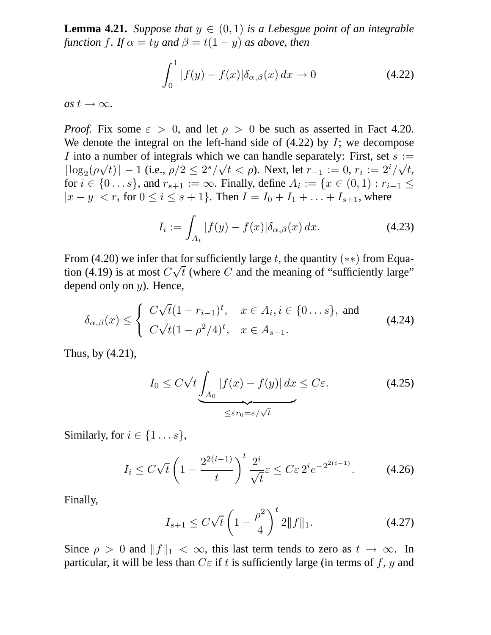**Lemma 4.21.** *Suppose that*  $y \in (0,1)$  *is a Lebesgue point of an integrable function f. If*  $\alpha = ty$  *and*  $\beta = t(1 - y)$  *as above, then* 

$$
\int_0^1 |f(y) - f(x)| \delta_{\alpha,\beta}(x) dx \to 0 \tag{4.22}
$$

 $as t \rightarrow \infty$ .

*Proof.* Fix some  $\varepsilon > 0$ , and let  $\rho > 0$  be such as asserted in Fact 4.20. We denote the integral on the left-hand side of  $(4.22)$  by I; we decompose I into a number of integrals which we can handle separately: First, set  $s :=$  $\left[ \log_2(\rho \sqrt{t}) \right] - 1$  (i.e.,  $\rho/2 \leq 2^s/\sqrt{t} < \rho$ ). Next, let  $r_{-1} := 0$ ,  $r_i := 2^i/\sqrt{t}$ , for  $i \in \{0...s\}$ , and  $r_{s+1} := \infty$ . Finally, define  $A_i := \{x \in (0,1) : r_{i-1} \le$  $|x - y| < r_i$  for  $0 \le i \le s + 1$ . Then  $I = I_0 + I_1 + ... + I_{s+1}$ , where

$$
I_i := \int_{A_i} |f(y) - f(x)| \delta_{\alpha,\beta}(x) dx.
$$
 (4.23)

From (4.20) we infer that for sufficiently large t, the quantity (\*\*) from Equation (4.19) is at most  $C\sqrt{t}$  (where C and the meaning of "sufficiently large" depend only on  $y$ ). Hence,

$$
\delta_{\alpha,\beta}(x) \le \begin{cases}\nC\sqrt{t}(1 - r_{i-1})^t, & x \in A_i, i \in \{0 \dots s\}, \text{ and} \\
C\sqrt{t}(1 - \rho^2/4)^t, & x \in A_{s+1}.\n\end{cases}
$$
\n(4.24)

Thus, by (4.21),

$$
I_0 \le C\sqrt{t} \underbrace{\int_{A_0} |f(x) - f(y)| dx}_{\le \varepsilon r_0 = \varepsilon/\sqrt{t}} \le C\varepsilon. \tag{4.25}
$$

Similarly, for  $i \in \{1...s\},\$ 

$$
I_i \le C\sqrt{t} \left(1 - \frac{2^{2(i-1)}}{t}\right)^t \frac{2^i}{\sqrt{t}} \varepsilon \le C\varepsilon 2^i e^{-2^{2(i-1)}}. \tag{4.26}
$$

Finally,

$$
I_{s+1} \le C\sqrt{t} \left(1 - \frac{\rho^2}{4}\right)^t 2\|f\|_1. \tag{4.27}
$$

Since  $\rho > 0$  and  $||f||_1 < \infty$ , this last term tends to zero as  $t \to \infty$ . In particular, it will be less than  $C\varepsilon$  if t is sufficiently large (in terms of f, y and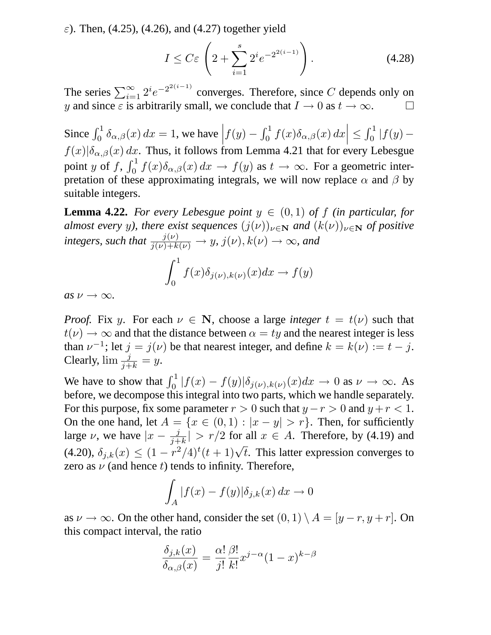$\varepsilon$ ). Then, (4.25), (4.26), and (4.27) together yield

$$
I \leq C\varepsilon \left(2 + \sum_{i=1}^{s} 2^i e^{-2^{2(i-1)}}\right). \tag{4.28}
$$

The series  $\sum_{i=1}^{\infty} 2^i e^{-2^{2(i-1)}}$  converges. Therefore, since C depends only on y and since  $\varepsilon$  is arbitrarily small, we conclude that  $I \to 0$  as  $t \to \infty$ .

Since  $\int_0^1 \delta_{\alpha,\beta}(x) dx = 1$ , we have  $\left| f(y) - \int_0^1 f(x) \delta_{\alpha,\beta}(x) dx \right|$  $\vert \leq$  $\int_0^1 |f(y)$  $f(x)|\delta_{\alpha,\beta}(x) dx$ . Thus, it follows from Lemma 4.21 that for every Lebesgue point y of f,  $\int_0^1 f(x) \delta_{\alpha,\beta}(x) dx \to f(y)$  as  $t \to \infty$ . For a geometric interpretation of these approximating integrals, we will now replace  $\alpha$  and  $\beta$  by suitable integers.

**Lemma 4.22.** *For every Lebesgue point*  $y \in (0,1)$  *of*  $f$  *(in particular, for almost every y), there exist sequences*  $(j(\nu))_{\nu \in \mathbb{N}}$  *and*  $(k(\nu))_{\nu \in \mathbb{N}}$  *of positive integers, such that*  $\frac{j(\nu)}{j(\nu)+k(\nu)} \rightarrow y$ ,  $j(\nu), k(\nu) \rightarrow \infty$ *, and* 

$$
\int_0^1 f(x)\delta_{j(\nu),k(\nu)}(x)dx \to f(y)
$$

 $as \nu \rightarrow \infty$ .

*Proof.* Fix y. For each  $\nu \in \mathbb{N}$ , choose a large *integer*  $t = t(\nu)$  such that  $t(\nu) \rightarrow \infty$  and that the distance between  $\alpha = ty$  and the nearest integer is less than  $\nu^{-1}$ ; let  $j = j(\nu)$  be that nearest integer, and define  $k = k(\nu) := t - j$ . Clearly,  $\lim \frac{j}{j+k} = y$ .

We have to show that  $\int_0^1 |f(x) - f(y)| \delta_{j(\nu),k(\nu)}(x) dx \to 0$  as  $\nu \to \infty$ . As before, we decompose this integral into two parts, which we handle separately. For this purpose, fix some parameter  $r > 0$  such that  $y - r > 0$  and  $y + r < 1$ . On the one hand, let  $A = \{x \in (0,1) : |x - y| > r\}$ . Then, for sufficiently large  $\nu$ , we have  $|x - \frac{j}{j+1}\rangle$  $\frac{j}{j+k}| > r/2$  for all  $x \in A$ . Therefore, by (4.19) and (4.20),  $\delta_{j,k}(x) \leq (1 - r^2/4)^t (t+1) \sqrt{t}$ . This latter expression converges to zero as  $\nu$  (and hence t) tends to infinity. Therefore,

$$
\int_A |f(x) - f(y)| \delta_{j,k}(x) dx \to 0
$$

as  $\nu \to \infty$ . On the other hand, consider the set  $(0, 1) \setminus A = [y - r, y + r]$ . On this compact interval, the ratio

$$
\frac{\delta_{j,k}(x)}{\delta_{\alpha,\beta}(x)} = \frac{\alpha!}{j!} \frac{\beta!}{k!} x^{j-\alpha} (1-x)^{k-\beta}
$$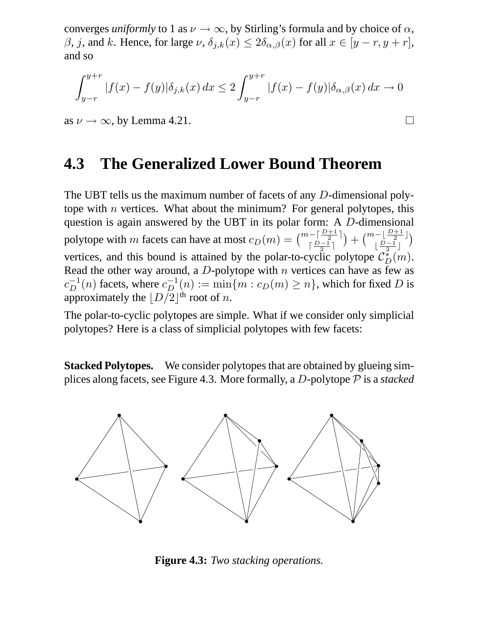converges *uniformly* to 1 as  $\nu \rightarrow \infty$ , by Stirling's formula and by choice of  $\alpha$ ,  $\beta$ , j, and k. Hence, for large  $\nu$ ,  $\delta_{j,k}(x) \leq 2\delta_{\alpha,\beta}(x)$  for all  $x \in [y-r, y+r]$ , and so

$$
\int_{y-r}^{y+r} |f(x) - f(y)| \delta_{j,k}(x) dx \le 2 \int_{y-r}^{y+r} |f(x) - f(y)| \delta_{\alpha,\beta}(x) dx \to 0
$$

 $\Box$ 

as  $\nu \rightarrow \infty$ , by Lemma 4.21.

## **4.3 The Generalized Lower Bound Theorem**

The UBT tells us the maximum number of facets of any D-dimensional polytope with *n* vertices. What about the minimum? For general polytopes, this question is again answered by the UBT in its polar form: A D-dimensional polytope with m facets can have at most  $c_D(m) = \binom{m - \lceil \frac{D+1}{2} \rceil}{\lceil \frac{D-1}{2} \rceil}$  $\lceil \frac{D-1}{2} \rceil$  $+ \binom{m-\lfloor\frac{D+1}{2}\rfloor}{p-1}$  $\lfloor \frac{D-1}{2} \rfloor$  $\lambda$ vertices, and this bound is attained by the polar-to-cyclic polytope  $\mathcal{C}_D^*(m)$ . Read the other way around, a  $D$ -polytope with  $n$  vertices can have as few as  $c_D^{-1}(n)$  facets, where  $c_D^{-1}(n) := \min\{m : c_D(m) \ge n\}$ , which for fixed D is approximately the  $\lfloor D/2 \rfloor^{\text{th}}$  root of *n*.

The polar-to-cyclic polytopes are simple. What if we consider only simplicial polytopes? Here is a class of simplicial polytopes with few facets:

**Stacked Polytopes.** We consider polytopes that are obtained by glueing simplices along facets, see Figure 4.3. More formally, a D-polytope P is a *stacked*



**Figure 4.3:** *Two stacking operations.*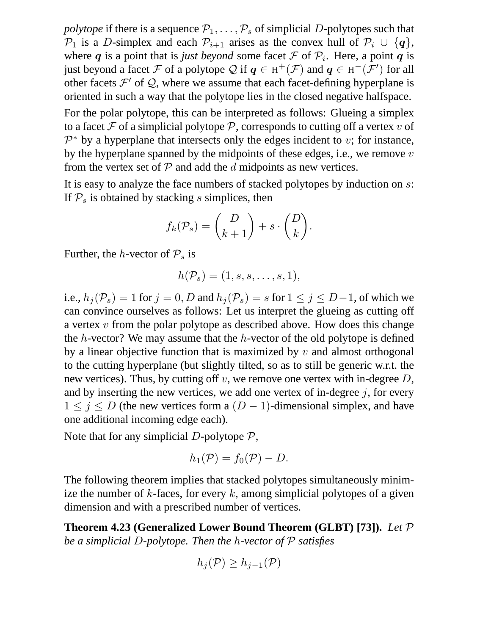*polytope* if there is a sequence  $P_1, \ldots, P_s$  of simplicial D-polytopes such that  $\mathcal{P}_1$  is a D-simplex and each  $\mathcal{P}_{i+1}$  arises as the convex hull of  $\mathcal{P}_i \cup \{q\},$ where q is a point that is *just beyond* some facet  $\mathcal F$  of  $\mathcal P_i$ . Here, a point q is just beyond a facet F of a polytope Q if  $q \in H^+(\mathcal{F})$  and  $q \in H^-(\mathcal{F}')$  for all other facets  $\mathcal{F}'$  of  $\mathcal{Q}$ , where we assume that each facet-defining hyperplane is oriented in such a way that the polytope lies in the closed negative halfspace.

For the polar polytope, this can be interpreted as follows: Glueing a simplex to a facet F of a simplicial polytope P, corresponds to cutting off a vertex v of  $\mathcal{P}^*$  by a hyperplane that intersects only the edges incident to v; for instance, by the hyperplane spanned by the midpoints of these edges, i.e., we remove  $v$ from the vertex set of  $P$  and add the  $d$  midpoints as new vertices.

It is easy to analyze the face numbers of stacked polytopes by induction on s: If  $P<sub>s</sub>$  is obtained by stacking s simplices, then

$$
f_k(\mathcal{P}_s) = \binom{D}{k+1} + s \cdot \binom{D}{k}.
$$

Further, the *h*-vector of  $P_s$  is

$$
h(\mathcal{P}_s)=(1,s,s,\ldots,s,1),
$$

i.e.,  $h_j(\mathcal{P}_s) = 1$  for  $j = 0, D$  and  $h_j(\mathcal{P}_s) = s$  for  $1 \le j \le D-1$ , of which we can convince ourselves as follows: Let us interpret the glueing as cutting off a vertex v from the polar polytope as described above. How does this change the h-vector? We may assume that the h-vector of the old polytope is defined by a linear objective function that is maximized by  $v$  and almost orthogonal to the cutting hyperplane (but slightly tilted, so as to still be generic w.r.t. the new vertices). Thus, by cutting off v, we remove one vertex with in-degree  $D$ , and by inserting the new vertices, we add one vertex of in-degree  $j$ , for every  $1 \leq j \leq D$  (the new vertices form a  $(D-1)$ -dimensional simplex, and have one additional incoming edge each).

Note that for any simplicial D-polytope  $P$ ,

$$
h_1(\mathcal{P}) = f_0(\mathcal{P}) - D.
$$

The following theorem implies that stacked polytopes simultaneously minimize the number of k-faces, for every k, among simplicial polytopes of a given dimension and with a prescribed number of vertices.

**Theorem 4.23 (Generalized Lower Bound Theorem (GLBT) [73]).** *Let* P *be a simplicial* D*-polytope. Then the* h*-vector of* P *satisfies*

$$
h_j(\mathcal{P}) \ge h_{j-1}(\mathcal{P})
$$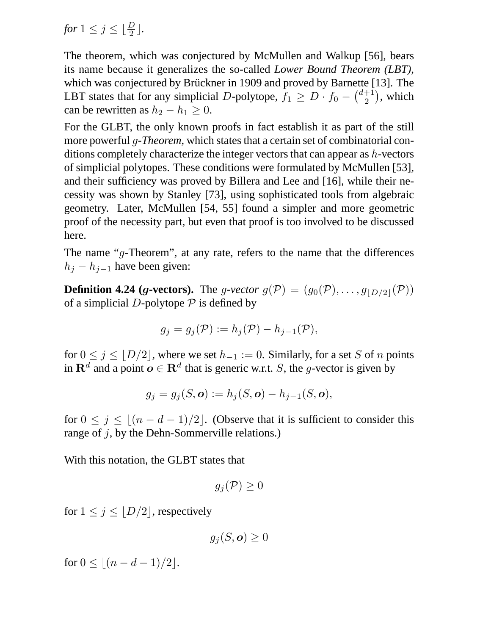*for*  $1 \leq j \leq \lfloor \frac{D}{2} \rfloor$ .

The theorem, which was conjectured by McMullen and Walkup [56], bears its name because it generalizes the so-called *Lower Bound Theorem (LBT)*, which was conjectured by Brückner in 1909 and proved by Barnette [13]. The LBT states that for any simplicial D-polytope,  $f_1 \ge D \cdot f_0 - \binom{d+1}{2}$  $\binom{+1}{2}$ , which can be rewritten as  $h_2 - h_1 \geq 0$ .

For the GLBT, the only known proofs in fact establish it as part of the still more powerful g*-Theorem*, which states that a certain set of combinatorial conditions completely characterize the integer vectors that can appear as h-vectors of simplicial polytopes. These conditions were formulated by McMullen [53], and their sufficiency was proved by Billera and Lee and [16], while their necessity was shown by Stanley [73], using sophisticated tools from algebraic geometry. Later, McMullen [54, 55] found a simpler and more geometric proof of the necessity part, but even that proof is too involved to be discussed here.

The name " $q$ -Theorem", at any rate, refers to the name that the differences  $h_i - h_{i-1}$  have been given:

**Definition 4.24 (g-vectors).** The g-vector  $g(\mathcal{P}) = (g_0(\mathcal{P}), \ldots, g_{|D/2|}(\mathcal{P}))$ of a simplicial D-polytope  $P$  is defined by

$$
g_j = g_j(\mathcal{P}) := h_j(\mathcal{P}) - h_{j-1}(\mathcal{P}),
$$

for  $0 \le j \le \lfloor D/2 \rfloor$ , where we set  $h_{-1} := 0$ . Similarly, for a set S of n points in  $\mathbf{R}^d$  and a point  $\boldsymbol{o} \in \mathbf{R}^d$  that is generic w.r.t. S, the g-vector is given by

$$
g_j=g_j(S,\boldsymbol{o}):=h_j(S,\boldsymbol{o})-h_{j-1}(S,\boldsymbol{o}),
$$

for  $0 \le j \le |(n - d - 1)/2|$ . (Observe that it is sufficient to consider this range of  $j$ , by the Dehn-Sommerville relations.)

With this notation, the GLBT states that

$$
g_j(\mathcal{P}) \geq 0
$$

for  $1 \leq j \leq |D/2|$ , respectively

$$
g_j(S, \mathbf{o}) \geq 0
$$

for  $0 \leq |(n - d - 1)/2|$ .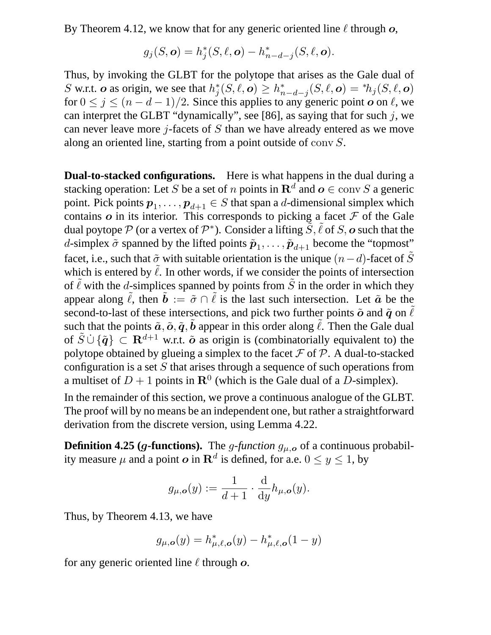By Theorem 4.12, we know that for any generic oriented line  $\ell$  through  $o$ ,

$$
g_j(S, \mathbf{o}) = h_j^*(S, \ell, \mathbf{o}) - h_{n-d-j}^*(S, \ell, \mathbf{o}).
$$

Thus, by invoking the GLBT for the polytope that arises as the Gale dual of S w.r.t. o as origin, we see that  $h_j^*(S, \ell, o) \ge h_{n-d-j}^*(S, \ell, o) = *h_j(S, \ell, o)$ for  $0 \le j \le (n - d - 1)/2$ . Since this applies to any generic point  $\boldsymbol{o}$  on  $\ell$ , we can interpret the GLBT "dynamically", see [86], as saying that for such  $j$ , we can never leave more  $j$ -facets of  $S$  than we have already entered as we move along an oriented line, starting from a point outside of conv S.

**Dual-to-stacked configurations.** Here is what happens in the dual during a stacking operation: Let S be a set of n points in  $\mathbf{R}^d$  and  $\boldsymbol{o} \in \text{conv } S$  a generic point. Pick points  $p_1, \ldots, p_{d+1} \in S$  that span a d-dimensional simplex which contains  $\boldsymbol{o}$  in its interior. This corresponds to picking a facet  $\mathcal F$  of the Gale dual poytope  $P$  (or a vertex of  $P^*$ ). Consider a lifting  $\overline{S}$ ,  $\tilde{\ell}$  of S,  $\boldsymbol{o}$  such that the d-simplex  $\tilde{\sigma}$  spanned by the lifted points  $\tilde{p}_1, \ldots, \tilde{p}_{d+1}$  become the "topmost" facet, i.e., such that  $\tilde{\sigma}$  with suitable orientation is the unique  $(n-d)$ -facet of  $\tilde{S}$ which is entered by  $\tilde{\ell}$ . In other words, if we consider the points of intersection of  $\ell$  with the d-simplices spanned by points from  $\tilde{S}$  in the order in which they appear along  $\tilde{\ell}$ , then  $\tilde{b} := \tilde{\sigma} \cap \tilde{\ell}$  is the last such intersection. Let  $\tilde{a}$  be the second-to-last of these intersections, and pick two further points  $\tilde{o}$  and  $\tilde{q}$  on  $\ell$ such that the points  $\tilde{a}, \tilde{o}, \tilde{q}, \tilde{b}$  appear in this order along  $\tilde{\ell}$ . Then the Gale dual of  $\tilde{S} \cup \{\tilde{q}\}\subset \mathbf{R}^{d+1}$  w.r.t.  $\tilde{\boldsymbol{\sigma}}$  as origin is (combinatorially equivalent to) the polytope obtained by glueing a simplex to the facet  $\mathcal F$  of  $\mathcal P$ . A dual-to-stacked configuration is a set  $S$  that arises through a sequence of such operations from a multiset of  $D+1$  points in  $\mathbf{R}^0$  (which is the Gale dual of a D-simplex).

In the remainder of this section, we prove a continuous analogue of the GLBT. The proof will by no means be an independent one, but rather a straightforward derivation from the discrete version, using Lemma 4.22.

**Definition 4.25 (g-functions).** The g-function  $g_{\mu,o}$  of a continuous probability measure  $\mu$  and a point  $\boldsymbol{o}$  in  $\mathbf{R}^d$  is defined, for a.e.  $0 \le y \le 1$ , by

$$
g_{\mu,\mathbf{o}}(y) := \frac{1}{d+1} \cdot \frac{\mathrm{d}}{\mathrm{d}y} h_{\mu,\mathbf{o}}(y).
$$

Thus, by Theorem 4.13, we have

$$
g_{\mu,\mathbf{o}}(y) = h_{\mu,\ell,\mathbf{o}}^*(y) - h_{\mu,\ell,\mathbf{o}}^*(1-y)
$$

for any generic oriented line  $\ell$  through  $\boldsymbol{o}$ .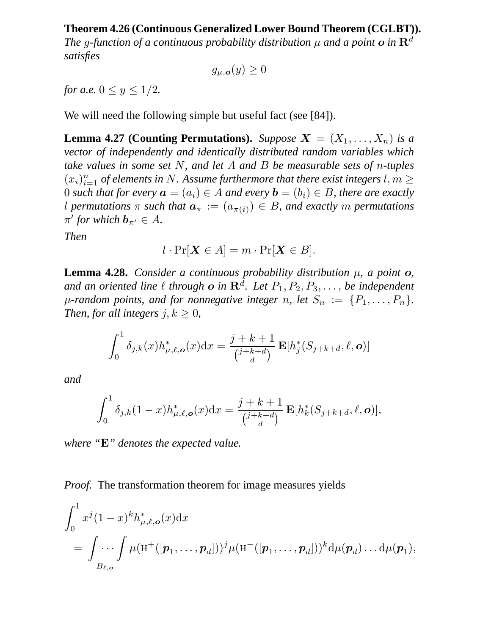#### **Theorem 4.26 (Continuous Generalized Lower Bound Theorem (CGLBT)).**

*The g-function of a continuous probability distribution*  $\mu$  *and a point o in*  $\mathbb{R}^d$ *satisfies*

$$
g_{\mu,{\bm o}}(y)\geq 0
$$

*for a.e.*  $0 \le y \le 1/2$ *.* 

We will need the following simple but useful fact (see [84]).

**Lemma 4.27 (Counting Permutations).** *Suppose*  $X = (X_1, \ldots, X_n)$  *is a vector of independently and identically distributed random variables which take values in some set* N*, and let* A *and* B *be measurable sets of* n*-tuples*  $(x_i)_{i=1}^n$  of elements in N. Assume furthermore that there exist integers  $l, m \geq 1$ 0 *such that for every*  $\mathbf{a} = (a_i) \in A$  *and every*  $\mathbf{b} = (b_i) \in B$ *, there are exactly* l permutations  $\pi$  such that  $\mathbf{a}_{\pi} := (a_{\pi(i)}) \in B$ , and exactly m permutations  $\pi'$  for which  $\mathbf{b}_{\pi'} \in A$ .

*Then*

$$
l \cdot \Pr[\boldsymbol{X} \in A] = m \cdot \Pr[\boldsymbol{X} \in B].
$$

**Lemma 4.28.** *Consider a continuous probability distribution*  $\mu$ *, a point*  $o$ *,* and an oriented line  $\ell$  through  $\boldsymbol{o}$  in  $\mathbf{R}^d$ . Let  $P_1, P_2, P_3, \ldots$ , be independent  $\mu$ -random points, and for nonnegative integer n, let  $S_n := \{P_1, \ldots, P_n\}.$ *Then, for all integers*  $j, k \geq 0$ *,* 

$$
\int_0^1 \delta_{j,k}(x) h^*_{\mu,\ell,\mathbf{o}}(x) dx = \frac{j+k+1}{\binom{j+k+d}{d}} \mathbf{E}[h^*_j(S_{j+k+d}, \ell, \mathbf{o})]
$$

*and*

$$
\int_0^1 \delta_{j,k}(1-x) h_{\mu,\ell,\mathbf{o}}^*(x) dx = \frac{j+k+1}{j+k+d} \mathbf{E}[h_k^*(S_{j+k+d}, \ell, \mathbf{o})],
$$

*where "*E*" denotes the expected value.*

*Proof.* The transformation theorem for image measures yields

$$
\int_0^1 x^j (1-x)^k h_{\mu,\ell,\mathbf{o}}^*(x) dx
$$
  
= 
$$
\int \cdots \int \mu(\mathbf{H}^+([\boldsymbol{p}_1,\ldots,\boldsymbol{p}_d]))^j \mu(\mathbf{H}^-([\boldsymbol{p}_1,\ldots,\boldsymbol{p}_d]))^k d\mu(\boldsymbol{p}_d) \ldots d\mu(\boldsymbol{p}_1),
$$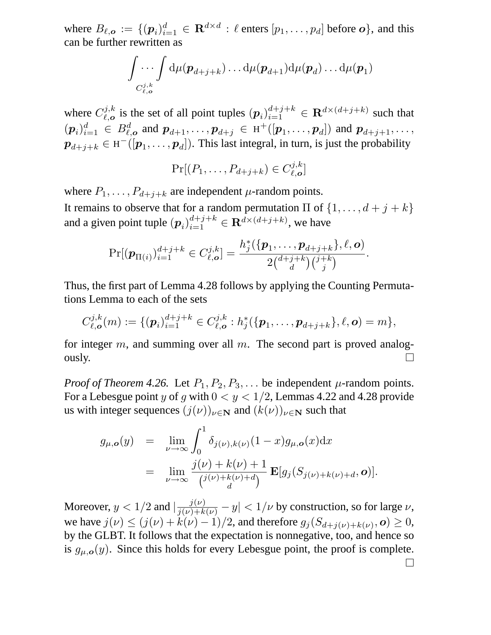where  $B_{\ell, o} := \{ (p_i)_{i=1}^d \in \mathbf{R}^{d \times d} : \ell \text{ enters } [p_1, \ldots, p_d] \text{ before } o \},$  and this can be further rewritten as

$$
\int \ldots \int \mathrm{d}\mu(\boldsymbol{p}_{d+j+k}) \ldots \mathrm{d}\mu(\boldsymbol{p}_{d+1}) \mathrm{d}\mu(\boldsymbol{p}_d) \ldots \mathrm{d}\mu(\boldsymbol{p}_1) \\ c_{\ell,o}^{j,k}
$$

where  $C_{\ell,\alpha}^{j,k}$  $\mathcal{L}_{\ell,\ o}^{(j,k)}$  is the set of all point tuples  $(p_i)_{i=1}^{d+j+k} \in \mathbb{R}^{d \times (d+j+k)}$  such that  $(p_i)_{i=1}^d \in B_{\ell,o}^d$  and  $p_{d+1}, \ldots, p_{d+j} \in H^+([p_1, \ldots, p_d])$  and  $p_{d+j+1}, \ldots, p_d$  $\boldsymbol{p}_{d+j+k} \in \textrm{H}^-( [\boldsymbol{p}_1, \dots, \boldsymbol{p}_d] ).$  This last integral, in turn, is just the probability

$$
\Pr[(P_1,\ldots,P_{d+j+k}) \in C_{\ell,\mathbf{o}}^{j,k}]
$$

where  $P_1, \ldots, P_{d+j+k}$  are independent  $\mu$ -random points.

It remains to observe that for a random permutation  $\Pi$  of  $\{1, \ldots, d+j+k\}$ and a given point tuple  $(p_i)_{i=1}^{d+j+k} \in \mathbb{R}^{d \times (d+j+k)}$ , we have

$$
\Pr[(\boldsymbol{p}_{\Pi(i)})_{i=1}^{d+j+k} \in C_{\ell,\boldsymbol{o}}^{j,k}] = \frac{h_j^*(\{\boldsymbol{p}_1,\ldots,\boldsymbol{p}_{d+j+k}\},\ell,\boldsymbol{o})}{2\binom{d+j+k}{d}\binom{j+k}{j}}.
$$

Thus, the first part of Lemma 4.28 follows by applying the Counting Permutations Lemma to each of the sets

$$
C_{\ell,\mathbf{o}}^{j,k}(m) := \{(\mathbf{p}_i)_{i=1}^{d+j+k} \in C_{\ell,\mathbf{o}}^{j,k} : h_j^*(\{\mathbf{p}_1,\ldots,\mathbf{p}_{d+j+k}\},\ell,\mathbf{o}) = m\},\
$$

for integer  $m$ , and summing over all  $m$ . The second part is proved analogously.  $\Box$ 

*Proof of Theorem 4.26.* Let  $P_1, P_2, P_3, \ldots$  be independent  $\mu$ -random points. For a Lebesgue point y of q with  $0 < y < 1/2$ , Lemmas 4.22 and 4.28 provide us with integer sequences  $(j(\nu))_{\nu \in \mathbf{N}}$  and  $(k(\nu))_{\nu \in \mathbf{N}}$  such that

$$
g_{\mu,\mathbf{0}}(y) = \lim_{\nu \to \infty} \int_0^1 \delta_{j(\nu),k(\nu)} (1-x) g_{\mu,\mathbf{0}}(x) dx
$$
  
= 
$$
\lim_{\nu \to \infty} \frac{j(\nu) + k(\nu) + 1}{j(\nu) + k(\nu) + d} \mathbf{E}[g_j(S_{j(\nu) + k(\nu) + d}, \mathbf{0})].
$$

Moreover,  $y < 1/2$  and  $|\frac{j(\nu)}{j(\nu)+k(\nu)} - y| < 1/\nu$  by construction, so for large  $\nu$ , we have  $j(\nu) \le (j(\nu) + k(\nu) - 1)/2$ , and therefore  $g_j(S_{d+j(\nu)+k(\nu)}, o) \ge 0$ , by the GLBT. It follows that the expectation is nonnegative, too, and hence so is  $g_{\mu,\mathbf{o}}(y)$ . Since this holds for every Lebesgue point, the proof is complete.  $\perp$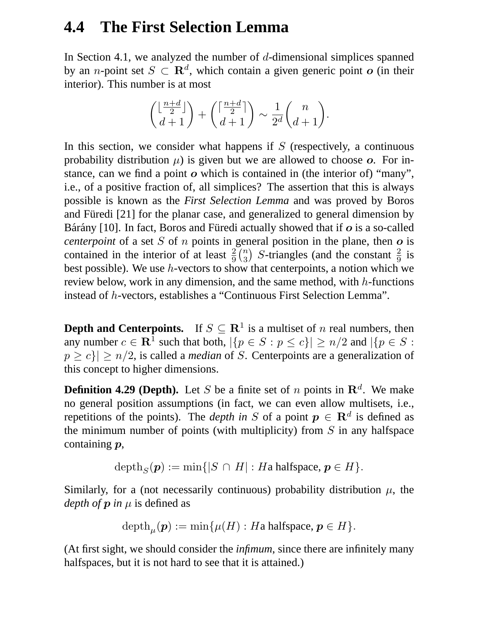## **4.4 The First Selection Lemma**

In Section 4.1, we analyzed the number of  $d$ -dimensional simplices spanned by an *n*-point set  $S \subset \mathbf{R}^d$ , which contain a given generic point  $o$  (in their interior). This number is at most

$$
\binom{\lfloor\frac{n+d}{2}\rfloor}{d+1}+\binom{\lceil\frac{n+d}{2}\rceil}{d+1}\sim\frac{1}{2^d}\binom{n}{d+1}.
$$

In this section, we consider what happens if  $S$  (respectively, a continuous probability distribution  $\mu$ ) is given but we are allowed to choose o. For instance, can we find a point  $\boldsymbol{o}$  which is contained in (the interior of) "many", i.e., of a positive fraction of, all simplices? The assertion that this is always possible is known as the *First Selection Lemma* and was proved by Boros and Füredi [21] for the planar case, and generalized to general dimension by Bárány [10]. In fact, Boros and Füredi actually showed that if  $\boldsymbol{o}$  is a so-called *centerpoint* of a set  $S$  of  $n$  points in general position in the plane, then  $o$  is contained in the interior of at least  $\frac{2}{9} {n \choose 3}$  *S*-triangles (and the constant  $\frac{2}{9}$  is best possible). We use h-vectors to show that centerpoints, a notion which we review below, work in any dimension, and the same method, with  $h$ -functions instead of h-vectors, establishes a "Continuous First Selection Lemma".

**Depth and Centerpoints.** If  $S \subseteq \mathbb{R}^1$  is a multiset of *n* real numbers, then any number  $c \in \mathbb{R}^1$  such that both,  $|\{p \in S : p \le c\}| \ge n/2$  and  $|\{p \in S : p \le c\}|$  $p \ge c$ <sup> $\ge n/2$ </sup>, is called a *median* of S. Centerpoints are a generalization of this concept to higher dimensions.

**Definition 4.29 (Depth).** Let S be a finite set of n points in  $\mathbb{R}^d$ . We make no general position assumptions (in fact, we can even allow multisets, i.e., repetitions of the points). The *depth in* S of a point  $p \in \mathbb{R}^d$  is defined as the minimum number of points (with multiplicity) from  $S$  in any halfspace containing  $p$ ,

$$
\mathrm{depth}_S(\boldsymbol{p}):=\min\{|S\,\cap\,H|:H\text{a halfspace},\boldsymbol{p}\in H\}.
$$

Similarly, for a (not necessarily continuous) probability distribution  $\mu$ , the *depth of*  $\boldsymbol{p}$  *in*  $\mu$  *is defined as* 

$$
\mathrm{depth}_{\mu}(\boldsymbol{p}):=\min\{\mu(H):H\text{a halfspace},\boldsymbol{p}\in H\}.
$$

(At first sight, we should consider the *infimum*, since there are infinitely many halfspaces, but it is not hard to see that it is attained.)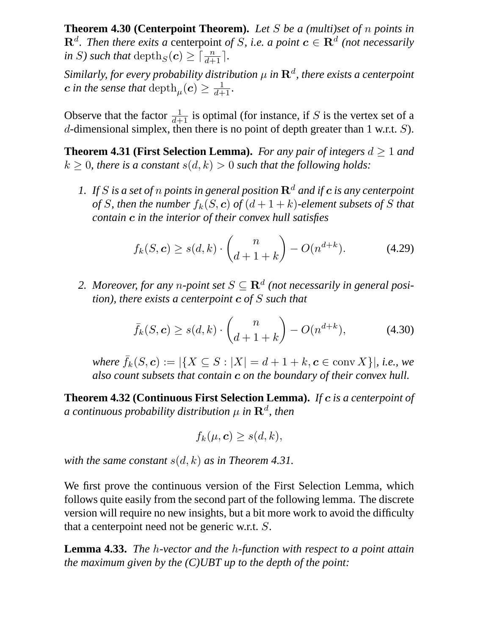**Theorem 4.30 (Centerpoint Theorem).** *Let* S *be a (multi)set of* n *points in*  $\mathbf{R}^d$ . Then there exits a centerpoint of *S*, i.e. a point  $\mathbf{c} \in \mathbf{R}^d$  (not necessarily *in S*) such that  $\text{depth}_S(c) \geq \lceil \frac{n}{d+1} \rceil$ .

Similarly, for every probability distribution  $\mu$  in  $\mathbf{R}^d$ , there exists a centerpoint  $\bm{c}$  *in the sense that*  $\mathrm{depth}_{\mu}(\bm{c}) \geq \frac{1}{d+1}$ *.* 

Observe that the factor  $\frac{1}{d+1}$  is optimal (for instance, if S is the vertex set of a d-dimensional simplex, then there is no point of depth greater than 1 w.r.t.  $S$ ).

**Theorem 4.31 (First Selection Lemma).** *For any pair of integers*  $d \geq 1$  *and*  $k \geq 0$ , there is a constant  $s(d, k) > 0$  such that the following holds:

*1.* If S is a set of n points in general position  $\mathbb{R}^d$  and if c is any centerpoint *of* S, then the number  $f_k(S, c)$  *of*  $(d + 1 + k)$ *-element subsets of* S *that contain* c *in the interior of their convex hull satisfies*

$$
f_k(S, \mathbf{c}) \ge s(d, k) \cdot \binom{n}{d+1+k} - O(n^{d+k}).\tag{4.29}
$$

2. Moreover, for any *n*-point set  $S \subseteq \mathbb{R}^d$  (not necessarily in general posi*tion), there exists a centerpoint* c *of* S *such that*

$$
\bar{f}_k(S,c) \ge s(d,k) \cdot \binom{n}{d+1+k} - O(n^{d+k}),\tag{4.30}
$$

*where*  $\bar{f}_k(S, \mathbf{c}) := |\{X \subseteq S : |X| = d + 1 + k, \mathbf{c} \in \text{conv } X\}|$ *, i.e., we also count subsets that contain* c *on the boundary of their convex hull.*

**Theorem 4.32 (Continuous First Selection Lemma).** *If* c *is a centerpoint of*  $a$  continuous probability distribution  $\mu$  in  $\mathbf{R}^{d}$ , then

$$
f_k(\mu, \mathbf{c}) \geq s(d, k),
$$

*with the same constant*  $s(d, k)$  *as in Theorem 4.31.* 

We first prove the continuous version of the First Selection Lemma, which follows quite easily from the second part of the following lemma. The discrete version will require no new insights, but a bit more work to avoid the difficulty that a centerpoint need not be generic w.r.t. S.

**Lemma 4.33.** *The* h*-vector and the* h*-function with respect to a point attain the maximum given by the (C)UBT up to the depth of the point:*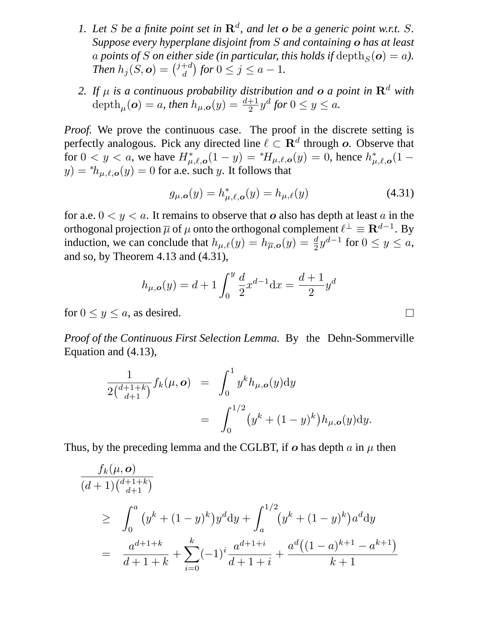- 1. Let S be a finite point set in  $\mathbb{R}^d$ , and let **o** be a generic point w.r.t. S. *Suppose every hyperplane disjoint from* S *and containing* o *has at least* a points of S on either side (in particular, this holds if  $\text{depth}_S(o) = a$ ). *Then*  $h_j(S, \boldsymbol{o}) = \binom{j+d}{d}$  $\binom{+d}{d}$  for  $0 \leq j \leq a-1$ .
- 2. If  $\mu$  is a continuous probability distribution and  $\boldsymbol{o}$  a point in  $\mathbf{R}^d$  with  $\text{depth}_{\mu}(\boldsymbol{o}) = a$ , then  $h_{\mu,\boldsymbol{o}}(y) = \frac{d+1}{2}y^d$  for  $0 \le y \le a$ .

*Proof.* We prove the continuous case. The proof in the discrete setting is perfectly analogous. Pick any directed line  $\ell \subset \mathbb{R}^d$  through o. Observe that for  $0 < y < a$ , we have  $H^*_{\mu,\ell,\rho}(1-y) = {}^*H_{\mu,\ell,\rho}(y) = 0$ , hence  $h^*_{\mu,\ell,\rho}(1-y)$  $y) = *h_{\mu,\ell,\mathbf{o}}(y) = 0$  for a.e. such y. It follows that

$$
g_{\mu,\mathbf{o}}(y) = h_{\mu,\ell,\mathbf{o}}^*(y) = h_{\mu,\ell}(y) \tag{4.31}
$$

for a.e.  $0 \lt y \lt a$ . It remains to observe that o also has depth at least a in the orthogonal projection  $\overline{\mu}$  of  $\mu$  onto the orthogonal complement  $\ell^{\perp} \equiv \mathbf{R}^{d-1}$ . By induction, we can conclude that  $h_{\mu,\ell}(y) = h_{\overline{\mu},\mathbf{o}}(y) = \frac{d}{2}y^{d-1}$  for  $0 \le y \le a$ , and so, by Theorem 4.13 and (4.31),

$$
h_{\mu,\mathbf{o}}(y) = d + 1 \int_0^y \frac{d}{2} x^{d-1} dx = \frac{d+1}{2} y^d
$$

for  $0 \le y \le a$ , as desired.

*Proof of the Continuous First Selection Lemma.* By the Dehn-Sommerville Equation and (4.13),

$$
\frac{1}{2\binom{d+1+k}{d+1}} f_k(\mu, \mathbf{o}) = \int_0^1 y^k h_{\mu, \mathbf{o}}(y) dy
$$
  
= 
$$
\int_0^{1/2} (y^k + (1-y)^k) h_{\mu, \mathbf{o}}(y) dy.
$$

Thus, by the preceding lemma and the CGLBT, if  $\boldsymbol{o}$  has depth  $\alpha$  in  $\mu$  then

$$
\frac{f_k(\mu, o)}{(d+1)\binom{d+1+k}{d+1}}
$$
\n
$$
\geq \int_0^a (y^k + (1-y)^k) y^d \, dy + \int_a^{1/2} (y^k + (1-y)^k) a^d \, dy
$$
\n
$$
= \frac{a^{d+1+k}}{d+1+k} + \sum_{i=0}^k (-1)^i \frac{a^{d+1+i}}{d+1+i} + \frac{a^d \left((1-a)^{k+1} - a^{k+1}\right)}{k+1}
$$

 $\Box$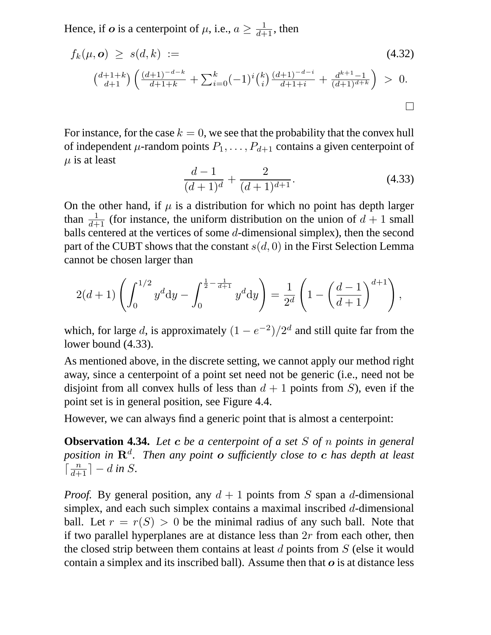Hence, if  $o$  is a centerpoint of  $\mu$ , i.e.,  $a \geq \frac{1}{d+1}$ , then

$$
f_k(\mu, \mathbf{o}) \ge s(d, k) :=
$$
\n
$$
\binom{d+1+k}{d+1} \left( \frac{(d+1)^{-d-k}}{d+1+k} + \sum_{i=0}^k (-1)^i \binom{k}{i} \frac{(d+1)^{-d-i}}{d+1+i} + \frac{d^{k+1}-1}{(d+1)^{d+k}} \right) > 0.
$$
\n
$$
\Box
$$

For instance, for the case  $k = 0$ , we see that the probability that the convex hull of independent  $\mu$ -random points  $P_1, \ldots, P_{d+1}$  contains a given centerpoint of  $\mu$  is at least

$$
\frac{d-1}{(d+1)^d} + \frac{2}{(d+1)^{d+1}}.\tag{4.33}
$$

On the other hand, if  $\mu$  is a distribution for which no point has depth larger than  $\frac{1}{d+1}$  (for instance, the uniform distribution on the union of  $d+1$  small balls centered at the vertices of some d-dimensional simplex), then the second part of the CUBT shows that the constant  $s(d, 0)$  in the First Selection Lemma cannot be chosen larger than

$$
2(d+1)\left(\int_0^{1/2} y^d dy - \int_0^{\frac{1}{2} - \frac{1}{d+1}} y^d dy\right) = \frac{1}{2^d} \left(1 - \left(\frac{d-1}{d+1}\right)^{d+1}\right),
$$

which, for large d, is approximately  $(1 - e^{-2})/2^d$  and still quite far from the lower bound (4.33).

As mentioned above, in the discrete setting, we cannot apply our method right away, since a centerpoint of a point set need not be generic (i.e., need not be disjoint from all convex hulls of less than  $d + 1$  points from S), even if the point set is in general position, see Figure 4.4.

However, we can always find a generic point that is almost a centerpoint:

**Observation 4.34.** *Let* c *be a centerpoint of a set* S *of* n *points in general position in* R<sup>d</sup> *. Then any point* o *sufficiently close to* c *has depth at least*  $\lceil \frac{n}{d+1} \rceil - d$  *in S.* 

*Proof.* By general position, any  $d + 1$  points from S span a d-dimensional simplex, and each such simplex contains a maximal inscribed d-dimensional ball. Let  $r = r(S) > 0$  be the minimal radius of any such ball. Note that if two parallel hyperplanes are at distance less than  $2r$  from each other, then the closed strip between them contains at least  $d$  points from  $S$  (else it would contain a simplex and its inscribed ball). Assume then that  $\boldsymbol{o}$  is at distance less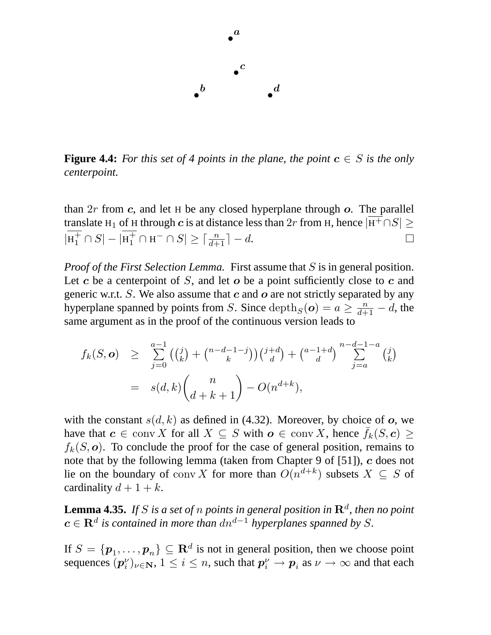

**Figure 4.4:** For this set of 4 points in the plane, the point  $c \in S$  is the only *centerpoint.*

than  $2r$  from c, and let H be any closed hyperplane through  $o$ . The parallel translate H<sub>1</sub> of H through c is at distance less than 2r from H, hence  $|\overline{H^+} \cap S|$  ≥  $|\text{H}_1^+ \cap S| - |\text{H}_1^+ \cap \text{H}^- \cap S| \geq \lceil \frac{n}{d+1} \rceil - d.$  $\Box$ 

*Proof of the First Selection Lemma.* First assume that S is in general position. Let c be a centerpoint of S, and let  $o$  be a point sufficiently close to c and generic w.r.t. S. We also assume that  $c$  and  $o$  are not strictly separated by any hyperplane spanned by points from S. Since  $\text{depth}_S(o) = a \ge \frac{n}{d+1} - d$ , the same argument as in the proof of the continuous version leads to

$$
f_k(S, \mathbf{o}) \geq \sum_{j=0}^{a-1} \left( {j \choose k} + {n-d-1-j \choose k} \right) {j+d \choose d} + {a-1+d \choose d} \sum_{j=a}^{n-d-1-a} {j \choose k}
$$
  
=  $s(d, k) {n \choose d+k+1} - O(n^{d+k}),$ 

with the constant  $s(d, k)$  as defined in (4.32). Moreover, by choice of o, we have that  $c \in \text{conv } X$  for all  $X \subseteq S$  with  $o \in \text{conv } X$ , hence  $\bar{f}_k(S, c) \geq$  $f_k(S, o)$ . To conclude the proof for the case of general position, remains to note that by the following lemma (taken from Chapter 9 of [51]), c does not lie on the boundary of conv X for more than  $O(n^{d+k})$  subsets  $X \subseteq S$  of cardinality  $d+1+k$ .

**Lemma 4.35.** If S is a set of  $n$  points in general position in  $\mathbf{R}^d$ , then no point  $c \in \mathbf{R}^d$  is contained in more than  $dn^{d-1}$  hyperplanes spanned by S.

If  $S = \{p_1, \ldots, p_n\} \subseteq \mathbb{R}^d$  is not in general position, then we choose point sequences  $(p_i^{\nu})$  $\{(\nu_i^{\nu})_{\nu\in\mathbf{N}},\,1\leq i\leq n,$  such that  $\boldsymbol{p}_i^{\nu}\to\boldsymbol{p}_i$  as  $\nu\to\infty$  and that each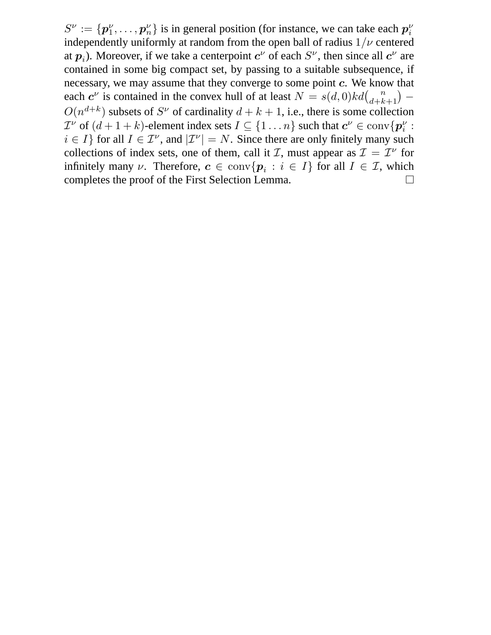$S^\nu:=\{\boldsymbol{p}^\nu_1$  $\{p_1^{\nu}, \ldots, p_n^{\nu}\}\$  is in general position (for instance, we can take each  $p_i^{\nu}$ i independently uniformly at random from the open ball of radius  $1/\nu$  centered at  $p_i$ ). Moreover, if we take a centerpoint  $c^{\nu}$  of each  $S^{\nu}$ , then since all  $c^{\nu}$  are contained in some big compact set, by passing to a suitable subsequence, if necessary, we may assume that they converge to some point c. We know that each  $c^{\nu}$  is contained in the convex hull of at least  $N = s(d, 0)kd\binom{n}{d+k+1}$  –  $O(n^{d+k})$  subsets of  $S^{\nu}$  of cardinality  $d + k + 1$ , i.e., there is some collection  $\mathcal{I}^{\nu}$  of  $(d+1+k)$ -element index sets  $I \subseteq \{1 \dots n\}$  such that  $c^{\nu} \in \text{conv}\{p_i^{\nu}\}$  $\frac{\nu}{i}$ :  $i \in I$ } for all  $I \in \mathcal{I}^{\nu}$ , and  $|\mathcal{I}^{\nu}| = N$ . Since there are only finitely many such collections of index sets, one of them, call it *I*, must appear as  $\mathcal{I} = \mathcal{I}^{\nu}$  for infinitely many  $\nu$ . Therefore,  $\mathbf{c} \in \text{conv}\{\mathbf{p}_i : i \in I\}$  for all  $I \in \mathcal{I}$ , which completes the proof of the First Selection Lemma.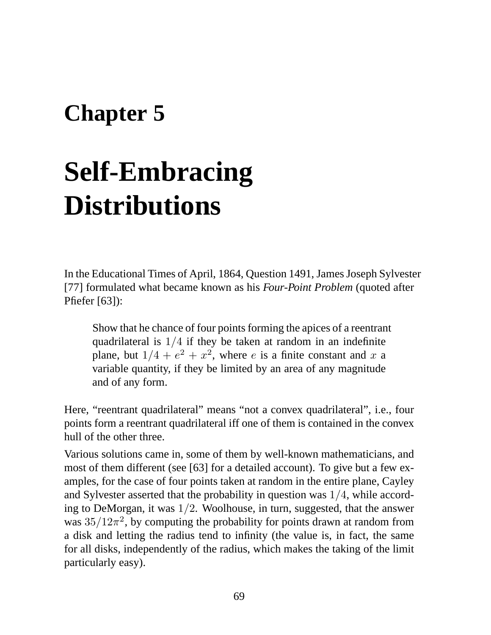## **Chapter 5**

# **Self-Embracing Distributions**

In the Educational Times of April, 1864, Question 1491, James Joseph Sylvester [77] formulated what became known as his *Four-Point Problem* (quoted after Pfiefer [63]):

Show that he chance of four points forming the apices of a reentrant quadrilateral is 1/4 if they be taken at random in an indefinite plane, but  $1/4 + e^2 + x^2$ , where e is a finite constant and x a variable quantity, if they be limited by an area of any magnitude and of any form.

Here, "reentrant quadrilateral" means "not a convex quadrilateral", i.e., four points form a reentrant quadrilateral iff one of them is contained in the convex hull of the other three.

Various solutions came in, some of them by well-known mathematicians, and most of them different (see [63] for a detailed account). To give but a few examples, for the case of four points taken at random in the entire plane, Cayley and Sylvester asserted that the probability in question was 1/4, while according to DeMorgan, it was  $1/2$ . Woolhouse, in turn, suggested, that the answer was  $35/12\pi^2$ , by computing the probability for points drawn at random from a disk and letting the radius tend to infinity (the value is, in fact, the same for all disks, independently of the radius, which makes the taking of the limit particularly easy).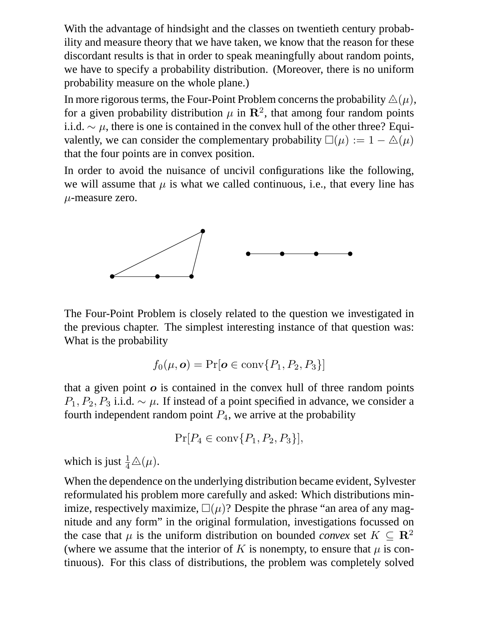With the advantage of hindsight and the classes on twentieth century probability and measure theory that we have taken, we know that the reason for these discordant results is that in order to speak meaningfully about random points, we have to specify a probability distribution. (Moreover, there is no uniform probability measure on the whole plane.)

In more rigorous terms, the Four-Point Problem concerns the probability  $\Delta(\mu)$ , for a given probability distribution  $\mu$  in  $\mathbb{R}^2$ , that among four random points i.i.d.  $\sim \mu$ , there is one is contained in the convex hull of the other three? Equivalently, we can consider the complementary probability  $\square(\mu) := 1 - \triangle(\mu)$ that the four points are in convex position.

In order to avoid the nuisance of uncivil configurations like the following, we will assume that  $\mu$  is what we called continuous, i.e., that every line has  $\mu$ -measure zero.



The Four-Point Problem is closely related to the question we investigated in the previous chapter. The simplest interesting instance of that question was: What is the probability

$$
f_0(\mu, \mathbf{o}) = \Pr[\mathbf{o} \in \text{conv}\{P_1, P_2, P_3\}]
$$

that a given point  $\boldsymbol{o}$  is contained in the convex hull of three random points  $P_1, P_2, P_3$  i.i.d.  $\sim \mu$ . If instead of a point specified in advance, we consider a fourth independent random point  $P_4$ , we arrive at the probability

$$
\Pr[P_4 \in \operatorname{conv}\{P_1, P_2, P_3\}],
$$

which is just  $\frac{1}{4}\triangle(\mu)$ .

When the dependence on the underlying distribution became evident, Sylvester reformulated his problem more carefully and asked: Which distributions minimize, respectively maximize,  $\Box(\mu)$ ? Despite the phrase "an area of any magnitude and any form" in the original formulation, investigations focussed on the case that  $\mu$  is the uniform distribution on bounded *convex* set  $K \subseteq \mathbb{R}^2$ (where we assume that the interior of K is nonempty, to ensure that  $\mu$  is continuous). For this class of distributions, the problem was completely solved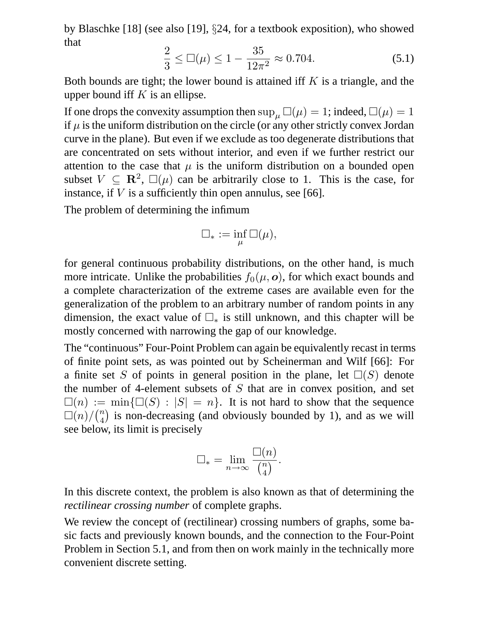by Blaschke [18] (see also [19], §24, for a textbook exposition), who showed that

$$
\frac{2}{3} \le \Box(\mu) \le 1 - \frac{35}{12\pi^2} \approx 0.704. \tag{5.1}
$$

Both bounds are tight; the lower bound is attained iff  $K$  is a triangle, and the upper bound iff  $K$  is an ellipse.

If one drops the convexity assumption then  $\sup_{\mu} \Box(\mu) = 1$ ; indeed,  $\Box(\mu) = 1$ if  $\mu$  is the uniform distribution on the circle (or any other strictly convex Jordan curve in the plane). But even if we exclude as too degenerate distributions that are concentrated on sets without interior, and even if we further restrict our attention to the case that  $\mu$  is the uniform distribution on a bounded open subset  $V \subseteq \mathbb{R}^2$ ,  $\square(\mu)$  can be arbitrarily close to 1. This is the case, for instance, if  $V$  is a sufficiently thin open annulus, see [66].

The problem of determining the infimum

$$
\square_* := \inf_{\mu} \square(\mu),
$$

for general continuous probability distributions, on the other hand, is much more intricate. Unlike the probabilities  $f_0(\mu, o)$ , for which exact bounds and a complete characterization of the extreme cases are available even for the generalization of the problem to an arbitrary number of random points in any dimension, the exact value of  $\Box_*$  is still unknown, and this chapter will be mostly concerned with narrowing the gap of our knowledge.

The "continuous" Four-Point Problem can again be equivalently recast in terms of finite point sets, as was pointed out by Scheinerman and Wilf [66]: For a finite set S of points in general position in the plane, let  $\square(S)$  denote the number of 4-element subsets of  $S$  that are in convex position, and set  $\square(n) := \min\{\square(S) : |S| = n\}.$  It is not hard to show that the sequence  $\Box(n)/\binom{n}{4}$  is non-decreasing (and obviously bounded by 1), and as we will see below, its limit is precisely

$$
\Box_* = \lim_{n \to \infty} \frac{\Box(n)}{\binom{n}{4}}.
$$

In this discrete context, the problem is also known as that of determining the *rectilinear crossing number* of complete graphs.

We review the concept of (rectilinear) crossing numbers of graphs, some basic facts and previously known bounds, and the connection to the Four-Point Problem in Section 5.1, and from then on work mainly in the technically more convenient discrete setting.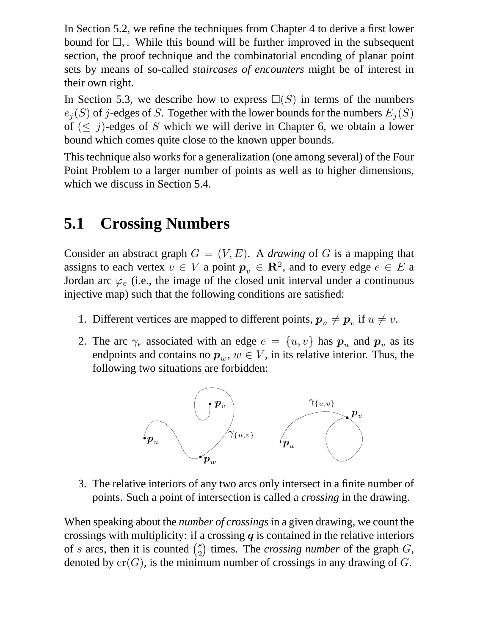In Section 5.2, we refine the techniques from Chapter 4 to derive a first lower bound for  $\square_*$ . While this bound will be further improved in the subsequent section, the proof technique and the combinatorial encoding of planar point sets by means of so-called *staircases of encounters* might be of interest in their own right.

In Section 5.3, we describe how to express  $\square(S)$  in terms of the numbers  $e_i(S)$  of j-edges of S. Together with the lower bounds for the numbers  $E_i(S)$ of  $(\leq j)$ -edges of S which we will derive in Chapter 6, we obtain a lower bound which comes quite close to the known upper bounds.

This technique also works for a generalization (one among several) of the Four Point Problem to a larger number of points as well as to higher dimensions, which we discuss in Section 5.4.

## **5.1 Crossing Numbers**

Consider an abstract graph  $G = (V, E)$ . A *drawing* of G is a mapping that assigns to each vertex  $v \in V$  a point  $p_v \in \mathbb{R}^2$ , and to every edge  $e \in E$  a Jordan arc  $\varphi_e$  (i.e., the image of the closed unit interval under a continuous injective map) such that the following conditions are satisfied:

- 1. Different vertices are mapped to different points,  $p_u \neq p_v$  if  $u \neq v$ .
- 2. The arc  $\gamma_e$  associated with an edge  $e = \{u, v\}$  has  $p_u$  and  $p_v$  as its endpoints and contains no  $p_w$ ,  $w \in V$ , in its relative interior. Thus, the following two situations are forbidden:



3. The relative interiors of any two arcs only intersect in a finite number of points. Such a point of intersection is called a *crossing* in the drawing.

When speaking about the *number of crossings*in a given drawing, we count the crossings with multiplicity: if a crossing  $q$  is contained in the relative interiors of s arcs, then it is counted  $\binom{s}{2}$  $_2^s$ ) times. The *crossing number* of the graph  $G$ , denoted by  $cr(G)$ , is the minimum number of crossings in any drawing of G.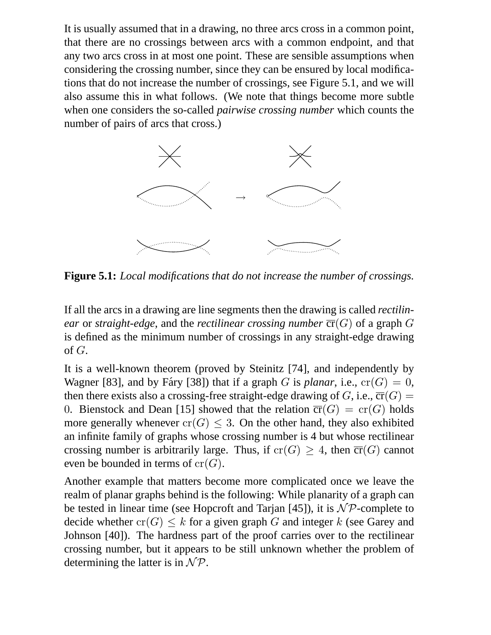It is usually assumed that in a drawing, no three arcs cross in a common point, that there are no crossings between arcs with a common endpoint, and that any two arcs cross in at most one point. These are sensible assumptions when considering the crossing number, since they can be ensured by local modifications that do not increase the number of crossings, see Figure 5.1, and we will also assume this in what follows. (We note that things become more subtle when one considers the so-called *pairwise crossing number* which counts the number of pairs of arcs that cross.)



**Figure 5.1:** *Local modifications that do not increase the number of crossings.*

If all the arcs in a drawing are line segments then the drawing is called *rectilinear* or *straight-edge*, and the *rectilinear crossing number*  $\overline{cr}(G)$  of a graph G is defined as the minimum number of crossings in any straight-edge drawing of  $G$ .

It is a well-known theorem (proved by Steinitz [74], and independently by Wagner [83], and by Fáry [38]) that if a graph G is *planar*, i.e.,  $cr(G) = 0$ , then there exists also a crossing-free straight-edge drawing of G, i.e.,  $\overline{\text{cr}}(G)$  = 0. Bienstock and Dean [15] showed that the relation  $\overline{cr}(G) = cr(G)$  holds more generally whenever  $cr(G) \leq 3$ . On the other hand, they also exhibited an infinite family of graphs whose crossing number is 4 but whose rectilinear crossing number is arbitrarily large. Thus, if  $cr(G) \geq 4$ , then  $\overline{cr}(G)$  cannot even be bounded in terms of  $cr(G)$ .

Another example that matters become more complicated once we leave the realm of planar graphs behind is the following: While planarity of a graph can be tested in linear time (see Hopcroft and Tarjan [45]), it is  $\mathcal{NP}$ -complete to decide whether  $cr(G) \leq k$  for a given graph G and integer k (see Garey and Johnson [40]). The hardness part of the proof carries over to the rectilinear crossing number, but it appears to be still unknown whether the problem of determining the latter is in  $\mathcal{NP}$ .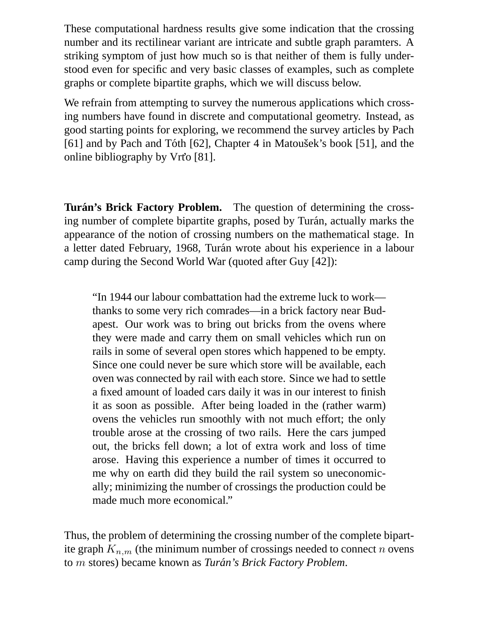These computational hardness results give some indication that the crossing number and its rectilinear variant are intricate and subtle graph paramters. A striking symptom of just how much so is that neither of them is fully understood even for specific and very basic classes of examples, such as complete graphs or complete bipartite graphs, which we will discuss below.

We refrain from attempting to survey the numerous applications which crossing numbers have found in discrete and computational geometry. Instead, as good starting points for exploring, we recommend the survey articles by Pach [61] and by Pach and Tóth [62], Chapter 4 in Matousek's book [51], and the online bibliography by Vrt'o [81].

**Turán's Brick Factory Problem.** The question of determining the crossing number of complete bipartite graphs, posed by Turán, actually marks the appearance of the notion of crossing numbers on the mathematical stage. In a letter dated February, 1968, Turán wrote about his experience in a labour camp during the Second World War (quoted after Guy [42]):

"In 1944 our labour combattation had the extreme luck to work thanks to some very rich comrades—in a brick factory near Budapest. Our work was to bring out bricks from the ovens where they were made and carry them on small vehicles which run on rails in some of several open stores which happened to be empty. Since one could never be sure which store will be available, each oven was connected by rail with each store. Since we had to settle a fixed amount of loaded cars daily it was in our interest to finish it as soon as possible. After being loaded in the (rather warm) ovens the vehicles run smoothly with not much effort; the only trouble arose at the crossing of two rails. Here the cars jumped out, the bricks fell down; a lot of extra work and loss of time arose. Having this experience a number of times it occurred to me why on earth did they build the rail system so uneconomically; minimizing the number of crossings the production could be made much more economical."

Thus, the problem of determining the crossing number of the complete bipartite graph  $K_{n,m}$  (the minimum number of crossings needed to connect n ovens to *m* stores) became known as *Turán's Brick Factory Problem*.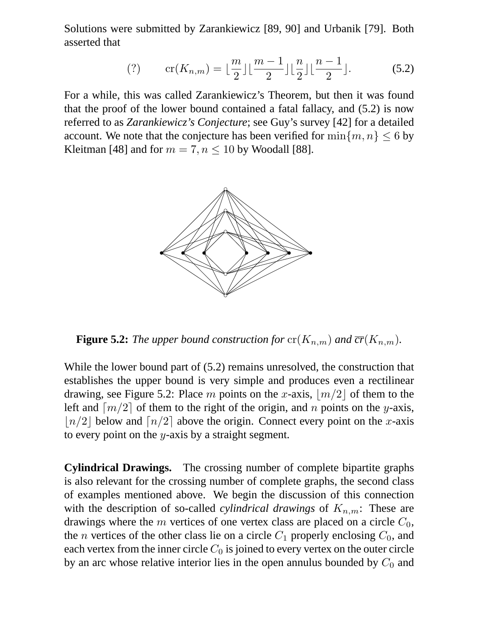Solutions were submitted by Zarankiewicz [89, 90] and Urbanik [79]. Both asserted that

$$
(?) \qquad \operatorname{cr}(K_{n,m}) = \lfloor \frac{m}{2} \rfloor \lfloor \frac{m-1}{2} \rfloor \lfloor \frac{n}{2} \rfloor \lfloor \frac{n-1}{2} \rfloor. \tag{5.2}
$$

For a while, this was called Zarankiewicz's Theorem, but then it was found that the proof of the lower bound contained a fatal fallacy, and (5.2) is now referred to as *Zarankiewicz's Conjecture*; see Guy's survey [42] for a detailed account. We note that the conjecture has been verified for  $\min\{m, n\} \leq 6$  by Kleitman [48] and for  $m = 7, n \le 10$  by Woodall [88].



**Figure 5.2:** *The upper bound construction for*  $\mathrm{cr}(K_{n,m})$  *and*  $\overline{\mathrm{cr}}(K_{n,m})$ *.* 

While the lower bound part of (5.2) remains unresolved, the construction that establishes the upper bound is very simple and produces even a rectilinear drawing, see Figure 5.2: Place m points on the x-axis,  $|m/2|$  of them to the left and  $\lceil m/2 \rceil$  of them to the right of the origin, and n points on the y-axis,  $\lfloor n/2 \rfloor$  below and  $\lfloor n/2 \rfloor$  above the origin. Connect every point on the x-axis to every point on the  $y$ -axis by a straight segment.

**Cylindrical Drawings.** The crossing number of complete bipartite graphs is also relevant for the crossing number of complete graphs, the second class of examples mentioned above. We begin the discussion of this connection with the description of so-called *cylindrical drawings* of  $K_{n,m}$ . These are drawings where the m vertices of one vertex class are placed on a circle  $C_0$ , the *n* vertices of the other class lie on a circle  $C_1$  properly enclosing  $C_0$ , and each vertex from the inner circle  $C_0$  is joined to every vertex on the outer circle by an arc whose relative interior lies in the open annulus bounded by  $C_0$  and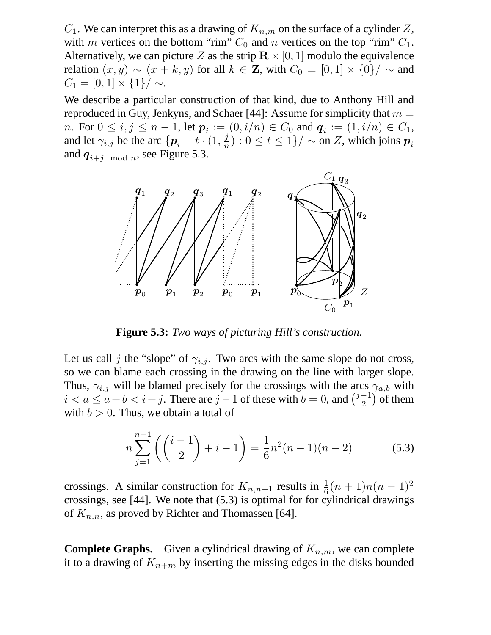$C_1$ . We can interpret this as a drawing of  $K_{n,m}$  on the surface of a cylinder Z, with m vertices on the bottom "rim"  $C_0$  and n vertices on the top "rim"  $C_1$ . Alternatively, we can picture Z as the strip  $\mathbb{R} \times [0, 1]$  modulo the equivalence relation  $(x, y) \sim (x + k, y)$  for all  $k \in \mathbb{Z}$ , with  $C_0 = [0, 1] \times \{0\} / \sim$  and  $C_1 = [0, 1] \times \{1\} / \sim.$ 

We describe a particular construction of that kind, due to Anthony Hill and reproduced in Guy, Jenkyns, and Schaer [44]: Assume for simplicity that  $m =$ *n*. For  $0 \le i, j \le n - 1$ , let  $p_i := (0, i/n) \in C_0$  and  $q_i := (1, i/n) \in C_1$ , and let  $\gamma_{i,j}$  be the arc  $\{p_i + t \cdot (1, \frac{j}{n}\})$  $\frac{d}{d n}$ ) :  $0 \leq t \leq 1 \}/\sim$  on  $Z$ , which joins  $\boldsymbol{p}_i$ and  $q_{i+j \mod n}$ , see Figure 5.3.



**Figure 5.3:** *Two ways of picturing Hill's construction.*

Let us call j the "slope" of  $\gamma_{i,j}$ . Two arcs with the same slope do not cross, so we can blame each crossing in the drawing on the line with larger slope. Thus,  $\gamma_{i,j}$  will be blamed precisely for the crossings with the arcs  $\gamma_{a,b}$  with  $i < a \le a + b < i + j$ . There are  $j - 1$  of these with  $b = 0$ , and  $\binom{j-1}{2}$  $\binom{-1}{2}$  of them with  $b > 0$ . Thus, we obtain a total of

$$
n\sum_{j=1}^{n-1} \left( \binom{i-1}{2} + i - 1 \right) = \frac{1}{6}n^2(n-1)(n-2) \tag{5.3}
$$

crossings. A similar construction for  $K_{n,n+1}$  results in  $\frac{1}{6}(n+1)n(n-1)^2$ crossings, see [44]. We note that (5.3) is optimal for for cylindrical drawings of  $K_{n,n}$ , as proved by Richter and Thomassen [64].

**Complete Graphs.** Given a cylindrical drawing of  $K_{n,m}$ , we can complete it to a drawing of  $K_{n+m}$  by inserting the missing edges in the disks bounded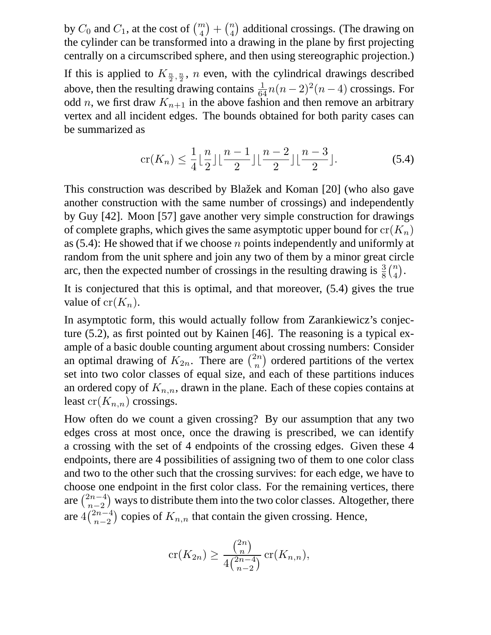by  $C_0$  and  $C_1$ , at the cost of  $\binom{m}{4} + \binom{n}{4}$  additional crossings. (The drawing on the cylinder can be transformed into a drawing in the plane by first projecting centrally on a circumscribed sphere, and then using stereographic projection.) If this is applied to  $K_{\frac{n}{2},\frac{n}{2}}$ , *n* even, with the cylindrical drawings described above, then the resulting drawing contains  $\frac{1}{64}n(n-2)^2(n-4)$  crossings. For odd *n*, we first draw  $K_{n+1}$  in the above fashion and then remove an arbitrary vertex and all incident edges. The bounds obtained for both parity cases can be summarized as

$$
\operatorname{cr}(K_n) \le \frac{1}{4} \lfloor \frac{n}{2} \rfloor \lfloor \frac{n-1}{2} \rfloor \lfloor \frac{n-2}{2} \rfloor \lfloor \frac{n-3}{2} \rfloor. \tag{5.4}
$$

This construction was described by Blažek and Koman [20] (who also gave another construction with the same number of crossings) and independently by Guy [42]. Moon [57] gave another very simple construction for drawings of complete graphs, which gives the same asymptotic upper bound for  $cr(K_n)$ as  $(5.4)$ : He showed that if we choose n points independently and uniformly at random from the unit sphere and join any two of them by a minor great circle arc, then the expected number of crossings in the resulting drawing is  $\frac{3}{8} {n \choose 4}$ .

It is conjectured that this is optimal, and that moreover, (5.4) gives the true value of  $cr(K_n)$ .

In asymptotic form, this would actually follow from Zarankiewicz's conjecture (5.2), as first pointed out by Kainen [46]. The reasoning is a typical example of a basic double counting argument about crossing numbers: Consider an optimal drawing of  $K_{2n}$ . There are  $\binom{2n}{n}$  $\binom{2n}{n}$  ordered partitions of the vertex set into two color classes of equal size, and each of these partitions induces an ordered copy of  $K_{n,n}$ , drawn in the plane. Each of these copies contains at least  $cr(K_{n,n})$  crossings.

How often do we count a given crossing? By our assumption that any two edges cross at most once, once the drawing is prescribed, we can identify a crossing with the set of 4 endpoints of the crossing edges. Given these 4 endpoints, there are 4 possibilities of assigning two of them to one color class and two to the other such that the crossing survives: for each edge, we have to choose one endpoint in the first color class. For the remaining vertices, there are  $\binom{2n-4}{n-2}$  $n-2$ ¢ ways to distribute them into the two color classes. Altogether, there are  $4\binom{2n-4}{n-2}$  $n-2$ ) copies of  $K_{n,n}$  that contain the given crossing. Hence,

$$
\operatorname{cr}(K_{2n}) \ge \frac{\binom{2n}{n}}{4\binom{2n-4}{n-2}} \operatorname{cr}(K_{n,n}),
$$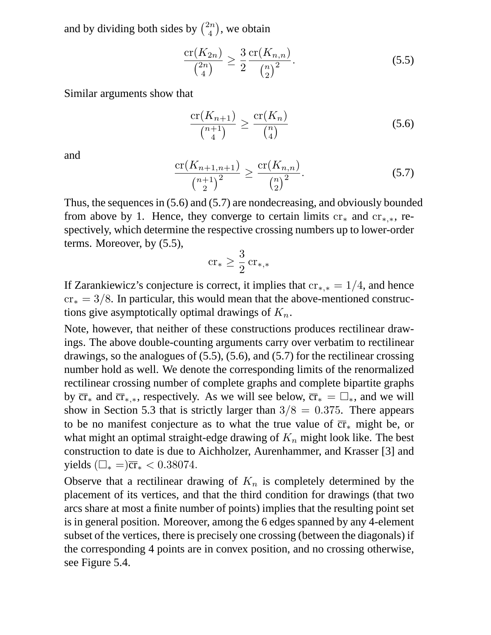and by dividing both sides by  $\binom{2n}{4}$  $\binom{2n}{4}$ , we obtain

$$
\frac{\operatorname{cr}(K_{2n})}{\binom{2n}{4}} \ge \frac{3}{2} \frac{\operatorname{cr}(K_{n,n})}{\binom{n}{2}}.\tag{5.5}
$$

Similar arguments show that

$$
\frac{\operatorname{cr}(K_{n+1})}{\binom{n+1}{4}} \ge \frac{\operatorname{cr}(K_n)}{\binom{n}{4}}\tag{5.6}
$$

and

$$
\frac{\operatorname{cr}(K_{n+1,n+1})}{\binom{n+1}{2}^2} \ge \frac{\operatorname{cr}(K_{n,n})}{\binom{n}{2}^2}.\tag{5.7}
$$

Thus, the sequences in (5.6) and (5.7) are nondecreasing, and obviously bounded from above by 1. Hence, they converge to certain limits  $cr_*$  and  $cr_{*,*}$ , respectively, which determine the respective crossing numbers up to lower-order terms. Moreover, by (5.5),

$$
\mathrm{cr}_*\geq \frac{3}{2}\,\mathrm{cr}_{*,*}
$$

If Zarankiewicz's conjecture is correct, it implies that  $cr_{*,*} = 1/4$ , and hence  $cr_* = 3/8$ . In particular, this would mean that the above-mentioned constructions give asymptotically optimal drawings of  $K_n$ .

Note, however, that neither of these constructions produces rectilinear drawings. The above double-counting arguments carry over verbatim to rectilinear drawings, so the analogues of (5.5), (5.6), and (5.7) for the rectilinear crossing number hold as well. We denote the corresponding limits of the renormalized rectilinear crossing number of complete graphs and complete bipartite graphs by  $\overline{cr}_*$  and  $\overline{cr}_{*,*}$ , respectively. As we will see below,  $\overline{cr}_* = \square_*,$  and we will show in Section 5.3 that is strictly larger than  $3/8 = 0.375$ . There appears to be no manifest conjecture as to what the true value of  $\overline{cr}_*$  might be, or what might an optimal straight-edge drawing of  $K_n$  might look like. The best construction to date is due to Aichholzer, Aurenhammer, and Krasser [3] and yields  $(\Box_{*} =)\overline{\rm cr}_{*} < 0.38074$ .

Observe that a rectilinear drawing of  $K_n$  is completely determined by the placement of its vertices, and that the third condition for drawings (that two arcs share at most a finite number of points) implies that the resulting point set is in general position. Moreover, among the 6 edges spanned by any 4-element subset of the vertices, there is precisely one crossing (between the diagonals) if the corresponding 4 points are in convex position, and no crossing otherwise, see Figure 5.4.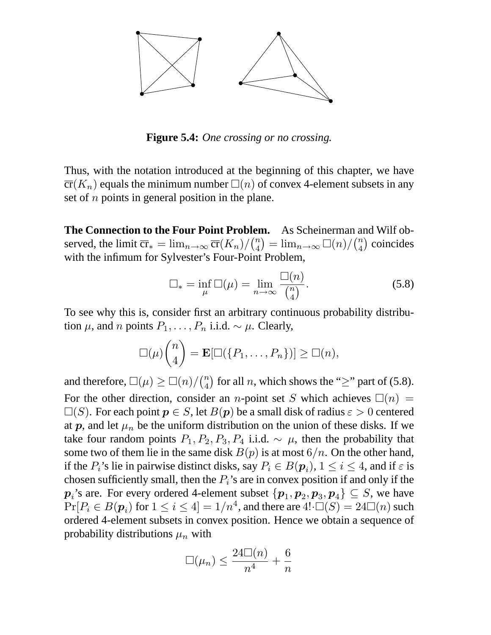

**Figure 5.4:** *One crossing or no crossing.*

Thus, with the notation introduced at the beginning of this chapter, we have  $\overline{\text{cr}}(K_n)$  equals the minimum number  $\Box(n)$  of convex 4-element subsets in any set of  $n$  points in general position in the plane.

**The Connection to the Four Point Problem.** As Scheinerman and Wilf observed, the limit  $\overline{cr}_* = \lim_{n \to \infty} \overline{cr}(K_n) / \binom{n}{4} = \lim_{n \to \infty} \square(n) / \binom{n}{4}$  coincides with the infimum for Sylvester's Four-Point Problem,

$$
\Box_* = \inf_{\mu} \Box(\mu) = \lim_{n \to \infty} \frac{\Box(n)}{\binom{n}{4}}.
$$
 (5.8)

To see why this is, consider first an arbitrary continuous probability distribution  $\mu$ , and n points  $P_1, \ldots, P_n$  i.i.d.  $\sim \mu$ . Clearly,

$$
\Box(\mu)\binom{n}{4} = \mathbf{E}[\Box(\lbrace P_1,\ldots,P_n\rbrace)] \ge \Box(n),
$$

and therefore,  $\square(\mu) \geq \square(n)/\binom{n}{4}$  for all *n*, which shows the "≥" part of (5.8). For the other direction, consider an *n*-point set S which achieves  $\Box(n)$  =  $\square(S)$ . For each point  $p \in S$ , let  $B(p)$  be a small disk of radius  $\varepsilon > 0$  centered at  $p$ , and let  $\mu_n$  be the uniform distribution on the union of these disks. If we take four random points  $P_1, P_2, P_3, P_4$  i.i.d.  $\sim \mu$ , then the probability that some two of them lie in the same disk  $B(p)$  is at most  $6/n$ . On the other hand, if the  $P_i$ 's lie in pairwise distinct disks, say  $P_i \in B(\mathbf{p}_i)$ ,  $1 \le i \le 4$ , and if  $\varepsilon$  is chosen sufficiently small, then the  $P_i$ 's are in convex position if and only if the  $p_i$ 's are. For every ordered 4-element subset  $\{p_1, p_2, p_3, p_4\} \subseteq S$ , we have  $Pr[P_i \in B(\boldsymbol{p}_i)$  for  $1 \leq i \leq 4] = 1/n^4$ , and there are  $4! \cdot \square(S) = 24\square(n)$  such ordered 4-element subsets in convex position. Hence we obtain a sequence of probability distributions  $\mu_n$  with

$$
\Box(\mu_n) \le \frac{24 \Box(n)}{n^4} + \frac{6}{n}
$$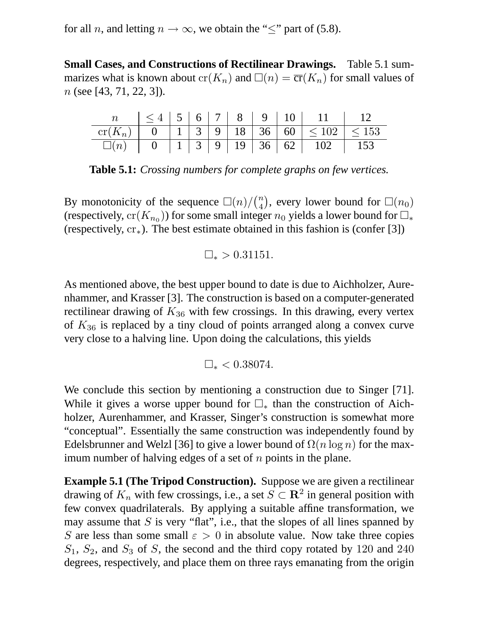for all *n*, and letting  $n \to \infty$ , we obtain the " $\leq$ " part of (5.8).

**Small Cases, and Constructions of Rectilinear Drawings.** Table 5.1 summarizes what is known about  $cr(K_n)$  and  $\Box(n) = \overline{cr}(K_n)$  for small values of  $n$  (see [43, 71, 22, 3]).

|           |  |  | $\leq 4$   5   6   7   8   9   10 |                                                    |  |
|-----------|--|--|-----------------------------------|----------------------------------------------------|--|
| $cr(K_n)$ |  |  |                                   |                                                    |  |
| $\Box(n)$ |  |  |                                   | $1 \mid 3 \mid 9 \mid 19 \mid 36 \mid 62 \mid 102$ |  |

**Table 5.1:** *Crossing numbers for complete graphs on few vertices.*

By monotonicity of the sequence  $\Box(n)/\binom{n}{4}$ , every lower bound for  $\Box(n_0)$ (respectively,  $\mathrm{cr}(K_{n_0}))$  for some small integer  $n_0$  yields a lower bound for  $\Box_*$ (respectively,  $cr_*$ ). The best estimate obtained in this fashion is (confer [3])

$$
\square_* > 0.31151.
$$

As mentioned above, the best upper bound to date is due to Aichholzer, Aurenhammer, and Krasser [3]. The construction is based on a computer-generated rectilinear drawing of  $K_{36}$  with few crossings. In this drawing, every vertex of  $K_{36}$  is replaced by a tiny cloud of points arranged along a convex curve very close to a halving line. Upon doing the calculations, this yields

 $\square_* < 0.38074.$ 

We conclude this section by mentioning a construction due to Singer [71]. While it gives a worse upper bound for  $\Box_*$  than the construction of Aichholzer, Aurenhammer, and Krasser, Singer's construction is somewhat more "conceptual". Essentially the same construction was independently found by Edelsbrunner and Welzl [36] to give a lower bound of  $\Omega(n \log n)$  for the maximum number of halving edges of a set of  $n$  points in the plane.

**Example 5.1 (The Tripod Construction).** Suppose we are given a rectilinear drawing of  $K_n$  with few crossings, i.e., a set  $S \subset \mathbf{R}^2$  in general position with few convex quadrilaterals. By applying a suitable affine transformation, we may assume that  $S$  is very "flat", i.e., that the slopes of all lines spanned by S are less than some small  $\varepsilon > 0$  in absolute value. Now take three copies  $S_1$ ,  $S_2$ , and  $S_3$  of S, the second and the third copy rotated by 120 and 240 degrees, respectively, and place them on three rays emanating from the origin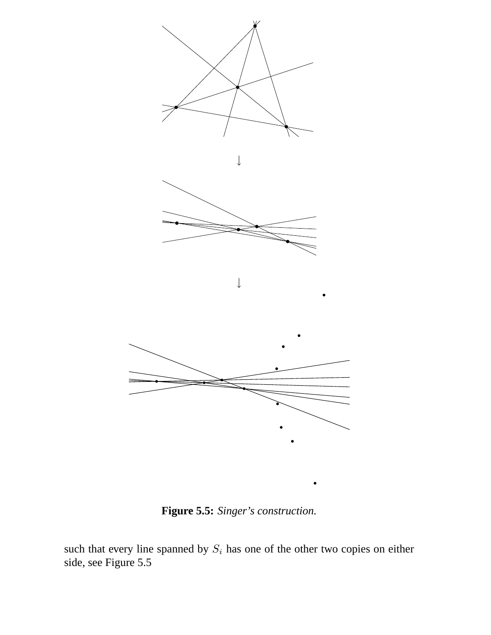

**Figure 5.5:** *Singer's construction.*

such that every line spanned by  $S_i$  has one of the other two copies on either side, see Figure 5.5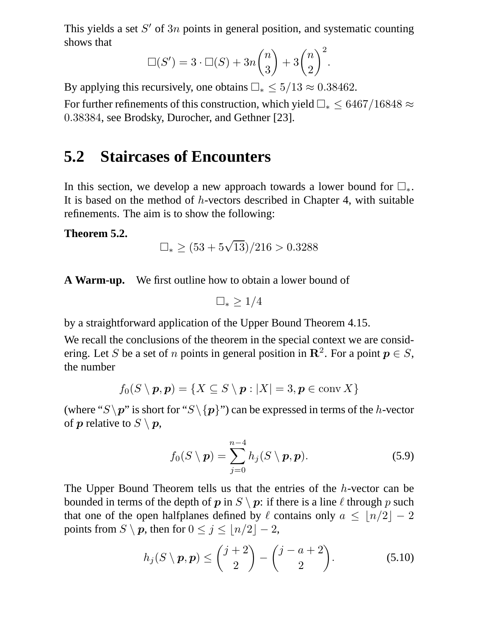This yields a set  $S'$  of  $3n$  points in general position, and systematic counting shows that

$$
\Box(S') = 3 \cdot \Box(S) + 3n \binom{n}{3} + 3\binom{n}{2}^2.
$$

By applying this recursively, one obtains  $\Box_* \leq 5/13 \approx 0.38462$ .

For further refinements of this construction, which yield  $\Box_* \leq 6467/16848 \approx$ 0.38384, see Brodsky, Durocher, and Gethner [23].

## **5.2 Staircases of Encounters**

In this section, we develop a new approach towards a lower bound for  $\square_*$ . It is based on the method of h-vectors described in Chapter 4, with suitable refinements. The aim is to show the following:

#### **Theorem 5.2.**

$$
\Box_* \ge (53 + 5\sqrt{13})/216 > 0.3288
$$

**A Warm-up.** We first outline how to obtain a lower bound of

 $\Box_*$  > 1/4

by a straightforward application of the Upper Bound Theorem 4.15.

We recall the conclusions of the theorem in the special context we are considering. Let S be a set of n points in general position in  $\mathbb{R}^2$ . For a point  $p \in S$ , the number

$$
f_0(S \setminus \boldsymbol{p}, \boldsymbol{p}) = \{ X \subseteq S \setminus \boldsymbol{p} : |X| = 3, \boldsymbol{p} \in \text{conv } X \}
$$

(where "S \p" is short for "S \{p}") can be expressed in terms of the h-vector of  $p$  relative to  $S \setminus p$ ,

$$
f_0(S \setminus \boldsymbol{p}) = \sum_{j=0}^{n-4} h_j(S \setminus \boldsymbol{p}, \boldsymbol{p}).
$$
 (5.9)

The Upper Bound Theorem tells us that the entries of the h-vector can be bounded in terms of the depth of p in  $S \setminus p$ : if there is a line  $\ell$  through p such that one of the open halfplanes defined by  $\ell$  contains only  $a \leq \lfloor n/2 \rfloor - 2$ points from  $S \setminus p$ , then for  $0 \le j \le \lfloor n/2 \rfloor - 2$ ,

$$
h_j(S \setminus \boldsymbol{p}, \boldsymbol{p}) \leq {j+2 \choose 2} - {j-a+2 \choose 2}.
$$
 (5.10)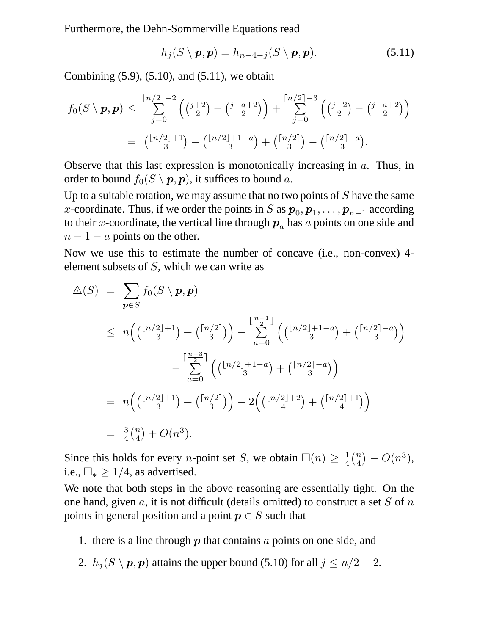Furthermore, the Dehn-Sommerville Equations read

$$
h_j(S \setminus \boldsymbol{p}, \boldsymbol{p}) = h_{n-4-j}(S \setminus \boldsymbol{p}, \boldsymbol{p}). \tag{5.11}
$$

Combining  $(5.9)$ ,  $(5.10)$ , and  $(5.11)$ , we obtain

$$
f_0(S \setminus p, p) \le \sum_{j=0}^{\lfloor n/2 \rfloor - 2} \left( {j+2 \choose 2} - {j-a+2 \choose 2} \right) + \sum_{j=0}^{\lceil n/2 \rceil - 3} \left( {j+2 \choose 2} - {j-a+2 \choose 2} \right)
$$
  
=  ${\lfloor n/2 \rfloor + 1 \choose 3} - {\lfloor n/2 \rfloor + 1 - a \choose 3} + {\lceil n/2 \rceil \choose 3} - {\lceil n/2 \rceil - a \choose 3}.$ 

Observe that this last expression is monotonically increasing in  $a$ . Thus, in order to bound  $f_0(S \setminus p, p)$ , it suffices to bound a.

Up to a suitable rotation, we may assume that no two points of  $S$  have the same x-coordinate. Thus, if we order the points in S as  $p_0, p_1, \ldots, p_{n-1}$  according to their x-coordinate, the vertical line through  $p_a$  has a points on one side and  $n - 1 - a$  points on the other.

Now we use this to estimate the number of concave (i.e., non-convex) 4 element subsets of S, which we can write as

$$
\begin{split}\n\Delta(S) &= \sum_{\mathbf{p} \in S} f_0(S \setminus \mathbf{p}, \mathbf{p}) \\
&\leq n \Big( \binom{\lfloor n/2 \rfloor + 1}{3} + \binom{\lceil n/2 \rceil}{3} \Big) - \sum_{a=0}^{\lfloor \frac{n-1}{2} \rfloor} \Big( \binom{\lfloor n/2 \rfloor + 1 - a}{3} + \binom{\lceil n/2 \rceil - a}{3} \Big) \\
&\quad - \sum_{a=0}^{\lceil \frac{n-3}{2} \rceil} \Big( \binom{\lfloor n/2 \rfloor + 1 - a}{3} + \binom{\lceil n/2 \rceil - a}{3} \Big) \\
&= n \Big( \binom{\lfloor n/2 \rfloor + 1}{3} + \binom{\lceil n/2 \rceil}{3} \Big) - 2 \Big( \binom{\lfloor n/2 \rfloor + 2}{4} + \binom{\lceil n/2 \rceil + 1}{4} \Big) \\
&= \frac{3}{4} \binom{n}{4} + O(n^3).\n\end{split}
$$

Since this holds for every *n*-point set *S*, we obtain  $\square(n) \geq \frac{1}{4}$  $\frac{1}{4} {n \choose 4} - O(n^3),$ i.e.,  $\Box_* \geq 1/4$ , as advertised.

We note that both steps in the above reasoning are essentially tight. On the one hand, given  $a$ , it is not difficult (details omitted) to construct a set  $S$  of  $n$ points in general position and a point  $p \in S$  such that

- 1. there is a line through  $p$  that contains  $a$  points on one side, and
- 2.  $h_j(S \setminus p, p)$  attains the upper bound (5.10) for all  $j \leq n/2 2$ .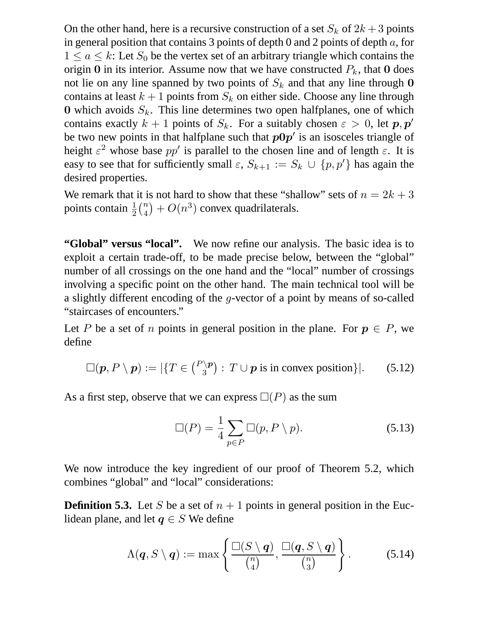On the other hand, here is a recursive construction of a set  $S_k$  of  $2k+3$  points in general position that contains 3 points of depth 0 and 2 points of depth  $a$ , for  $1 \le a \le k$ : Let  $S_0$  be the vertex set of an arbitrary triangle which contains the origin 0 in its interior. Assume now that we have constructed  $P_k$ , that 0 does not lie on any line spanned by two points of  $S_k$  and that any line through 0 contains at least  $k + 1$  points from  $S_k$  on either side. Choose any line through 0 which avoids  $S_k$ . This line determines two open halfplanes, one of which contains exactly  $k + 1$  points of  $S_k$ . For a suitably chosen  $\varepsilon > 0$ , let  $p, p'$ be two new points in that halfplane such that  $p0p'$  is an isosceles triangle of height  $\varepsilon^2$  whose base  $pp'$  is parallel to the chosen line and of length  $\varepsilon$ . It is easy to see that for sufficiently small  $\varepsilon$ ,  $S_{k+1} := S_k \cup \{p, p'\}$  has again the desired properties.

We remark that it is not hard to show that these "shallow" sets of  $n = 2k + 3$ points contain  $\frac{1}{2} {n \choose 4} + O(n^3)$  convex quadrilaterals.

"Global" versus "local". We now refine our analysis. The basic idea is to exploit a certain trade-off, to be made precise below, between the "global" number of all crossings on the one hand and the "local" number of crossings involving a specific point on the other hand. The main technical tool will be a slightly different encoding of the g-vector of a point by means of so-called "staircases of encounters."

Let P be a set of n points in general position in the plane. For  $p \in P$ , we define

$$
\Box(\boldsymbol{p}, P \setminus \boldsymbol{p}) := |\{ T \in \binom{P \setminus \boldsymbol{p}}{3} : T \cup \boldsymbol{p} \text{ is in convex position} \}|. \qquad (5.12)
$$

As a first step, observe that we can express  $\square(P)$  as the sum

$$
\Box(P) = \frac{1}{4} \sum_{p \in P} \Box(p, P \setminus p). \tag{5.13}
$$

We now introduce the key ingredient of our proof of Theorem 5.2, which combines "global" and "local" considerations:

**Definition 5.3.** Let S be a set of  $n + 1$  points in general position in the Euclidean plane, and let  $q \in S$  We define

$$
\Lambda(\boldsymbol{q},S\setminus\boldsymbol{q}):=\max\left\{\frac{\square(S\setminus\boldsymbol{q})}{\binom{n}{4}},\frac{\square(\boldsymbol{q},S\setminus\boldsymbol{q})}{\binom{n}{3}}\right\}.
$$
 (5.14)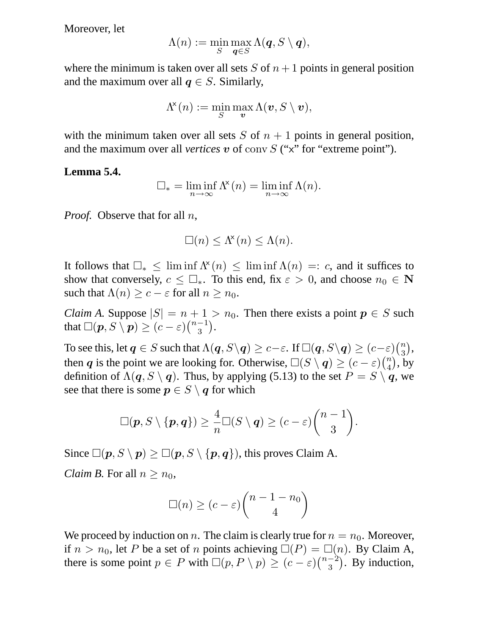Moreover, let

$$
\Lambda(n):=\min_{S}\max_{\boldsymbol{q}\in S}\Lambda(\boldsymbol{q},S\setminus\boldsymbol{q}),
$$

where the minimum is taken over all sets  $S$  of  $n + 1$  points in general position and the maximum over all  $q \in S$ . Similarly,

$$
\Lambda^{\!\mathsf{x}}(n) := \min_S \max_{\bm{v}} \Lambda(\bm{v}, S \setminus \bm{v}),
$$

with the minimum taken over all sets S of  $n + 1$  points in general position, and the maximum over all *vertices*  $v$  of conv  $S$  ("x" for "extreme point").

#### **Lemma 5.4.**

$$
\Box_* = \liminf_{n \to \infty} \Lambda^{\mathsf{x}}(n) = \liminf_{n \to \infty} \Lambda(n).
$$

*Proof.* Observe that for all *n*,

$$
\Box(n) \leq \Lambda^{\!\mathsf{x}}(n) \leq \Lambda(n).
$$

It follows that  $\square_* \leq \liminf \Lambda^*(n) \leq \liminf \Lambda(n) =: c$ , and it suffices to show that conversely,  $c \leq \Box_*$ . To this end, fix  $\varepsilon > 0$ , and choose  $n_0 \in \mathbb{N}$ such that  $\Lambda(n) \geq c - \varepsilon$  for all  $n \geq n_0$ .

*Claim A.* Suppose  $|S| = n + 1 > n_0$ . Then there exists a point  $p \in S$  such that  $\square(\boldsymbol{p},S\setminus\boldsymbol{p})\geq (c-\varepsilon)\binom{n-1}{3}.$ 

To see this, let  $q\in S$  such that  $\Lambda(q,S\backslash q)\geq c-\varepsilon.$  If  $\square(q,S\backslash q)\geq (c-\varepsilon){n\choose 3},$ then q is the point we are looking for. Otherwise,  $\square(S \setminus q) \ge (c - \varepsilon) {n \choose 4}$ , by definition of  $\Lambda(q, S \setminus q)$ . Thus, by applying (5.13) to the set  $P = S \setminus q$ , we see that there is some  $p \in S \setminus q$  for which

$$
\Box(p, S \setminus \{p, q\}) \geq \frac{4}{n} \Box(S \setminus q) \geq (c - \varepsilon) {n - 1 \choose 3}.
$$

Since  $\square(\boldsymbol{p}, S \setminus \boldsymbol{p}) \ge \square(\boldsymbol{p}, S \setminus \{\boldsymbol{p}, \boldsymbol{q}\})$ , this proves Claim A.

*Claim B.* For all  $n \geq n_0$ ,

$$
\Box(n) \ge (c - \varepsilon) \binom{n - 1 - n_0}{4}
$$

We proceed by induction on n. The claim is clearly true for  $n = n_0$ . Moreover, if  $n > n_0$ , let P be a set of n points achieving  $\square(P) = \square(n)$ . By Claim A, there is some point  $p \in P$  with  $\Box(p, P \setminus p) \ge (c - \varepsilon) \binom{n-2}{3}$ . By induction,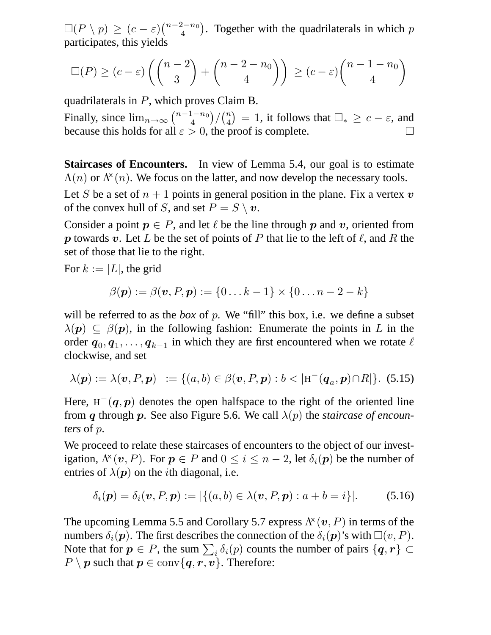$\square (P \setminus p) \ge (c - \varepsilon) \binom{n-2-n_0}{4}$ . Together with the quadrilaterals in which p participates, this yields

$$
\Box(P) \ge (c - \varepsilon) \left( \binom{n-2}{3} + \binom{n-2-n_0}{4} \right) \ge (c - \varepsilon) \binom{n-1-n_0}{4}
$$

quadrilaterals in P, which proves Claim B.

Finally, since  $\lim_{n\to\infty} {\binom{n-1-n_0}{4}}/{\binom{n}{4}} = 1$ , it follows that  $\Box_* \geq c - \varepsilon$ , and because this holds for all  $\varepsilon > 0$ , the proof is complete.

**Staircases of Encounters.** In view of Lemma 5.4, our goal is to estimate  $\Lambda(n)$  or  $\Lambda^{\times}(n)$ . We focus on the latter, and now develop the necessary tools.

Let S be a set of  $n + 1$  points in general position in the plane. Fix a vertex v of the convex hull of S, and set  $P = S \setminus v$ .

Consider a point  $p \in P$ , and let  $\ell$  be the line through p and v, oriented from p towards v. Let L be the set of points of P that lie to the left of  $\ell$ , and R the set of those that lie to the right.

For  $k := |L|$ , the grid

$$
\beta(\boldsymbol{p}) := \beta(\boldsymbol{v}, P, \boldsymbol{p}) := \{0 \dots k-1\} \times \{0 \dots n-2-k\}
$$

will be referred to as the *box* of p. We "fill" this box, i.e. we define a subset  $\lambda(\mathbf{p}) \subseteq \beta(\mathbf{p})$ , in the following fashion: Enumerate the points in L in the order  $q_0, q_1, \ldots, q_{k-1}$  in which they are first encountered when we rotate  $\ell$ clockwise, and set

$$
\lambda(\mathbf{p}) := \lambda(\mathbf{v}, P, \mathbf{p}) := \{ (a, b) \in \beta(\mathbf{v}, P, \mathbf{p}) : b < |\mathbf{H}^{-}(\mathbf{q}_a, \mathbf{p}) \cap R| \}.
$$
 (5.15)

Here,  $H^{-}(q, p)$  denotes the open halfspace to the right of the oriented line from q through p. See also Figure 5.6. We call  $\lambda(p)$  the *staircase of encounters* of p.

We proceed to relate these staircases of encounters to the object of our investigation,  $\Lambda^{\mathsf{x}}(\boldsymbol{v}, P)$ . For  $p \in P$  and  $0 \le i \le n-2$ , let  $\delta_i(\boldsymbol{p})$  be the number of entries of  $\lambda(\mathbf{p})$  on the *i*th diagonal, i.e.

$$
\delta_i(\mathbf{p}) = \delta_i(\mathbf{v}, P, \mathbf{p}) := |\{ (a, b) \in \lambda(\mathbf{v}, P, \mathbf{p}) : a + b = i \}|.
$$
 (5.16)

The upcoming Lemma 5.5 and Corollary 5.7 express  $\Lambda^*(v, P)$  in terms of the numbers  $\delta_i(\mathbf{p})$ . The first describes the connection of the  $\delta_i(\mathbf{p})$ 's with  $\square(v, P)$ . Note that for  $p \in P$ , the sum  $\sum_i \delta_i(p)$  counts the number of pairs  $\{q, r\} \subset \mathbb{R}$  $P \setminus p$  such that  $p \in \text{conv}\{q, r, v\}$ . Therefore: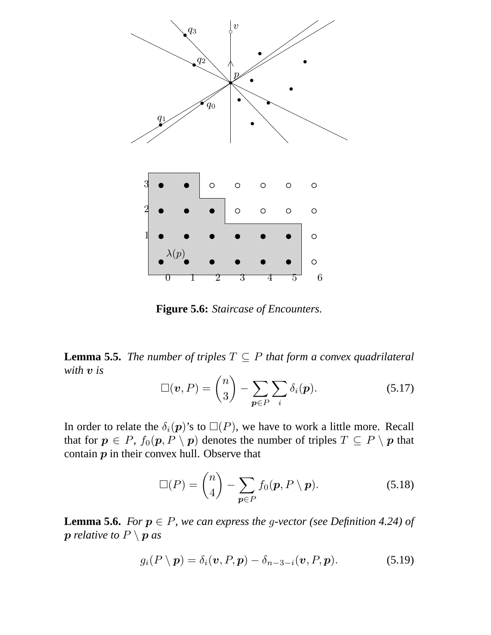

**Figure 5.6:** *Staircase of Encounters.*

**Lemma 5.5.** *The number of triples*  $T \subseteq P$  *that form a convex quadrilateral with* v *is*

$$
\Box(\boldsymbol{v}, P) = \binom{n}{3} - \sum_{\boldsymbol{p} \in P} \sum_{i} \delta_{i}(\boldsymbol{p}). \tag{5.17}
$$

In order to relate the  $\delta_i(\mathbf{p})$ 's to  $\square(P)$ , we have to work a little more. Recall that for  $p \in P$ ,  $f_0(p, P \setminus p)$  denotes the number of triples  $T \subseteq P \setminus p$  that contain  $p$  in their convex hull. Observe that

$$
\Box(P) = \binom{n}{4} - \sum_{p \in P} f_0(p, P \setminus p). \tag{5.18}
$$

**Lemma 5.6.** *For*  $p \in P$ *, we can express the g-vector (see Definition 4.24) of*  $p$  *relative to*  $P \setminus p$  *as* 

$$
g_i(P \setminus \boldsymbol{p}) = \delta_i(\boldsymbol{v}, P, \boldsymbol{p}) - \delta_{n-3-i}(\boldsymbol{v}, P, \boldsymbol{p}). \tag{5.19}
$$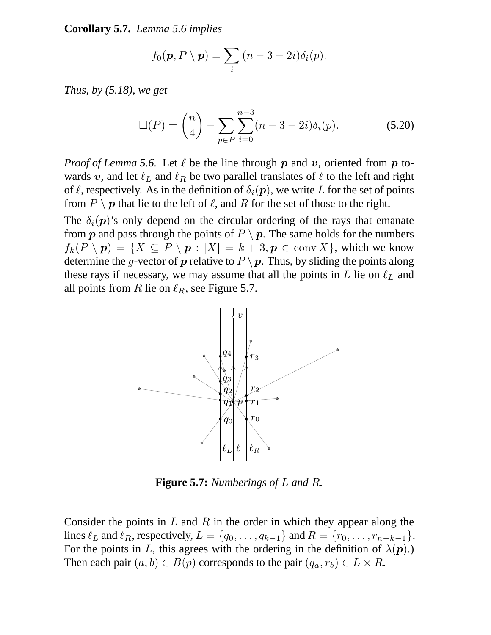**Corollary 5.7.** *Lemma 5.6 implies*

$$
f_0(\mathbf{p}, P \setminus \mathbf{p}) = \sum_i (n - 3 - 2i) \delta_i(p).
$$

*Thus, by (5.18), we get*

$$
\Box(P) = \binom{n}{4} - \sum_{p \in P} \sum_{i=0}^{n-3} (n-3-2i)\delta_i(p). \tag{5.20}
$$

*Proof of Lemma 5.6.* Let  $\ell$  be the line through p and v, oriented from p towards v, and let  $\ell_L$  and  $\ell_R$  be two parallel translates of  $\ell$  to the left and right of  $\ell$ , respectively. As in the definition of  $\delta_i(\mathbf{p})$ , we write L for the set of points from  $P \setminus p$  that lie to the left of  $\ell$ , and R for the set of those to the right.

The  $\delta_i(\mathbf{p})$ 's only depend on the circular ordering of the rays that emanate from  $p$  and pass through the points of  $P \setminus p$ . The same holds for the numbers  $f_k(P \setminus p) = \{X \subseteq P \setminus p : |X| = k + 3, p \in \text{conv } X\}$ , which we know determine the g-vector of p relative to  $P \setminus p$ . Thus, by sliding the points along these rays if necessary, we may assume that all the points in  $L$  lie on  $\ell_L$  and all points from R lie on  $\ell_R$ , see Figure 5.7.



**Figure 5.7:** *Numberings of* L *and* R*.*

Consider the points in  $L$  and  $R$  in the order in which they appear along the lines  $\ell_L$  and  $\ell_R$ , respectively,  $L = \{q_0, \ldots, q_{k-1}\}\$  and  $R = \{r_0, \ldots, r_{n-k-1}\}.$ For the points in L, this agrees with the ordering in the definition of  $\lambda(p)$ .) Then each pair  $(a, b) \in B(p)$  corresponds to the pair  $(q_a, r_b) \in L \times R$ .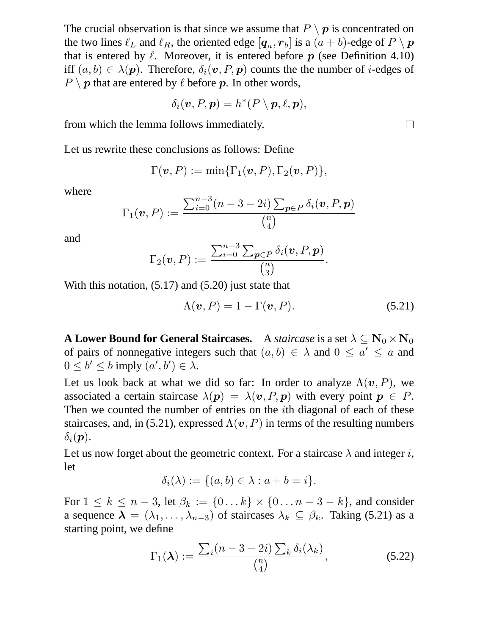The crucial observation is that since we assume that  $P \setminus p$  is concentrated on the two lines  $\ell_L$  and  $\ell_R$ , the oriented edge  $[q_a, r_b]$  is a  $(a + b)$ -edge of  $P \setminus p$ that is entered by  $\ell$ . Moreover, it is entered before p (see Definition 4.10) iff  $(a, b) \in \lambda(\mathbf{p})$ . Therefore,  $\delta_i(\mathbf{v}, P, \mathbf{p})$  counts the the number of *i*-edges of  $P \setminus p$  that are entered by  $\ell$  before p. In other words,

$$
\delta_i(\boldsymbol{v},P,\boldsymbol{p})=h^*(P\setminus\boldsymbol{p},\ell,\boldsymbol{p}),
$$

from which the lemma follows immediately.

Let us rewrite these conclusions as follows: Define

$$
\Gamma(\boldsymbol{v},P):=\min\{\Gamma_1(\boldsymbol{v},P),\Gamma_2(\boldsymbol{v},P)\},
$$

where

$$
\Gamma_1(\boldsymbol{v}, P) := \frac{\sum_{i=0}^{n-3} (n-3-2i) \sum_{\boldsymbol{p} \in P} \delta_i(\boldsymbol{v}, P, \boldsymbol{p})}{\binom{n}{4}}
$$

and

$$
\Gamma_2(\boldsymbol{v},P):=\frac{\sum_{i=0}^{n-3}\sum_{\boldsymbol{p}\in P}\delta_i(\boldsymbol{v},P,\boldsymbol{p})}{\binom{n}{3}}.
$$

With this notation,  $(5.17)$  and  $(5.20)$  just state that

$$
\Lambda(\boldsymbol{v}, P) = 1 - \Gamma(\boldsymbol{v}, P). \tag{5.21}
$$

**A Lower Bound for General Staircases.** A *staircase* is a set  $\lambda \subseteq \mathbf{N}_0 \times \mathbf{N}_0$ of pairs of nonnegative integers such that  $(a, b) \in \lambda$  and  $0 \le a' \le a$  and  $0 \leq b' \leq b$  imply  $(a', b') \in \lambda$ .

Let us look back at what we did so far: In order to analyze  $\Lambda(\mathbf{v}, P)$ , we associated a certain staircase  $\lambda(\mathbf{p}) = \lambda(\mathbf{v}, P, \mathbf{p})$  with every point  $\mathbf{p} \in P$ . Then we counted the number of entries on the ith diagonal of each of these staircases, and, in (5.21), expressed  $\Lambda(\mathbf{v}, P)$  in terms of the resulting numbers  $\delta_i(\mathbf{p}).$ 

Let us now forget about the geometric context. For a staircase  $\lambda$  and integer i, let

$$
\delta_i(\lambda) := \{(a, b) \in \lambda : a + b = i\}.
$$

For  $1 \le k \le n-3$ , let  $\beta_k := \{0...k\} \times \{0...n-3-k\}$ , and consider a sequence  $\lambda = (\lambda_1, \ldots, \lambda_{n-3})$  of staircases  $\lambda_k \subseteq \beta_k$ . Taking (5.21) as a starting point, we define

$$
\Gamma_1(\lambda) := \frac{\sum_i (n-3-2i) \sum_k \delta_i(\lambda_k)}{\binom{n}{4}},\tag{5.22}
$$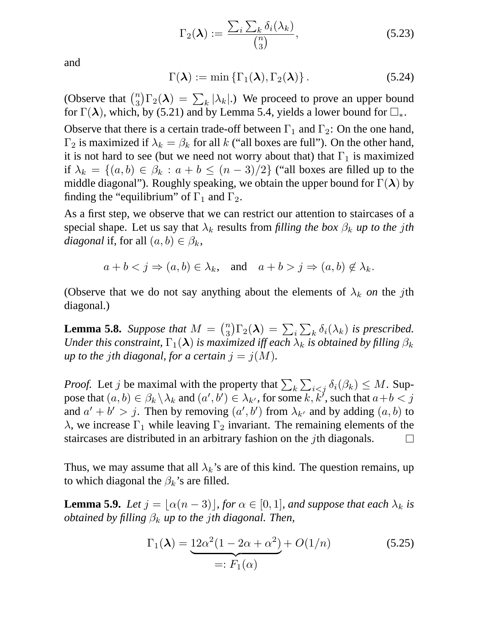$$
\Gamma_2(\lambda) := \frac{\sum_i \sum_k \delta_i(\lambda_k)}{\binom{n}{3}},\tag{5.23}
$$

and

$$
\Gamma(\boldsymbol{\lambda}) := \min \left\{ \Gamma_1(\boldsymbol{\lambda}), \Gamma_2(\boldsymbol{\lambda}) \right\}. \tag{5.24}
$$

(Observe that  $\binom{n}{3} \Gamma_2(\lambda) = \sum_k |\lambda_k|$ .) We proceed to prove an upper bound for  $\Gamma(\lambda)$ , which, by (5.21) and by Lemma 5.4, yields a lower bound for  $\square_*$ .

Observe that there is a certain trade-off between  $\Gamma_1$  and  $\Gamma_2$ : On the one hand,  $\Gamma_2$  is maximized if  $\lambda_k = \beta_k$  for all k ("all boxes are full"). On the other hand, it is not hard to see (but we need not worry about that) that  $\Gamma_1$  is maximized if  $\lambda_k = \{(a, b) \in \beta_k : a + b \leq (n-3)/2\}$  ("all boxes are filled up to the middle diagonal"). Roughly speaking, we obtain the upper bound for  $\Gamma(\lambda)$  by finding the "equilibrium" of  $\Gamma_1$  and  $\Gamma_2$ .

As a first step, we observe that we can restrict our attention to staircases of a special shape. Let us say that  $\lambda_k$  results from *filling the box*  $\beta_k$  *up to the jth diagonal* if, for all  $(a, b) \in \beta_k$ ,

 $a + b < j \Rightarrow (a, b) \in \lambda_k$ , and  $a + b > j \Rightarrow (a, b) \notin \lambda_k$ .

(Observe that we do not say anything about the elements of  $\lambda_k$  *on* the *j*th diagonal.)

**Lemma 5.8.** Suppose that  $M = {n \choose 3} \Gamma_2(\lambda) = \sum_i \sum_k \delta_i(\lambda_k)$  is prescribed. *Under this constraint,*  $\Gamma_1(\lambda)$  *is maximized iff each*  $\lambda_k$  *is obtained by filling*  $\beta_k$ *up to the jth diagonal, for a certain*  $j = j(M)$ *.* 

*Proof.* Let j be maximal with the property that  $\sum_k \sum_{i \leq j} \delta_i(\beta_k) \leq M$ . Suppose that  $(a, b) \in \beta_k \setminus \lambda_k$  and  $(a', b') \in \lambda_{k'}$ , for some  $k, k'$ , such that  $a+b < j$ and  $a' + b' > j$ . Then by removing  $(a', b')$  from  $\lambda_{k'}$  and by adding  $(a, b)$  to λ, we increase Γ<sub>1</sub> while leaving Γ<sub>2</sub> invariant. The remaining elements of the staircases are distributed in an arbitrary fashion on the jth diagonals.  $\Box$ 

Thus, we may assume that all  $\lambda_k$ 's are of this kind. The question remains, up to which diagonal the  $\beta_k$ 's are filled.

**Lemma 5.9.** *Let*  $j = [\alpha(n - 3)]$ *, for*  $\alpha \in [0, 1]$ *, and suppose that each*  $\lambda_k$  *is obtained by filling*  $\beta_k$  *up to the jth diagonal. Then,* 

$$
\Gamma_1(\lambda) = \underbrace{12\alpha^2(1 - 2\alpha + \alpha^2)}_{=: F_1(\alpha)} + O(1/n) \tag{5.25}
$$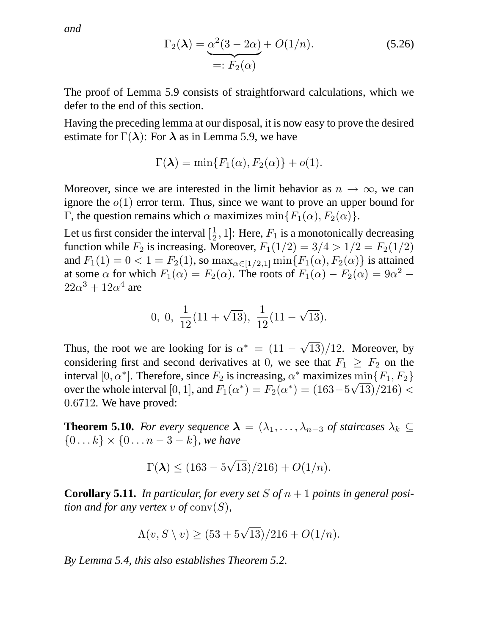*and*

$$
\Gamma_2(\lambda) = \underbrace{\alpha^2(3-2\alpha)}_{=: F_2(\alpha)} + O(1/n). \tag{5.26}
$$

The proof of Lemma 5.9 consists of straightforward calculations, which we defer to the end of this section.

Having the preceding lemma at our disposal, it is now easy to prove the desired estimate for  $\Gamma(\lambda)$ : For  $\lambda$  as in Lemma 5.9, we have

$$
\Gamma(\lambda) = \min\{F_1(\alpha), F_2(\alpha)\} + o(1).
$$

Moreover, since we are interested in the limit behavior as  $n \to \infty$ , we can ignore the  $o(1)$  error term. Thus, since we want to prove an upper bound for Γ, the question remains which  $\alpha$  maximizes min $\{F_1(\alpha), F_2(\alpha)\}.$ 

Let us first consider the interval  $\left[\frac{1}{2}\right]$  $\frac{1}{2}$ , 1]: Here,  $F_1$  is a monotonically decreasing function while  $F_2$  is increasing. Moreover,  $F_1(1/2) = 3/4 > 1/2 = F_2(1/2)$ and  $F_1(1) = 0 < 1 = F_2(1)$ , so  $\max_{\alpha \in [1/2, 1]} \min\{F_1(\alpha), F_2(\alpha)\}\$ is attained at some  $\alpha$  for which  $F_1(\alpha) = F_2(\alpha)$ . The roots of  $F_1(\alpha) - F_2(\alpha) = 9\alpha^2$  –  $22\alpha^3 + 12\alpha^4$  are

$$
0, 0, \frac{1}{12}(11+\sqrt{13}), \frac{1}{12}(11-\sqrt{13}).
$$

Thus, the root we are looking for is  $\alpha^* = (11 - \sqrt{13})/12$ . Moreover, by considering first and second derivatives at 0, we see that  $F_1 \geq F_2$  on the interval [0,  $\alpha^*$ ]. Therefore, since  $F_2$  is increasing,  $\alpha^*$  maximizes  $\min\{F_1, F_2\}$ over the whole interval [0, 1], and  $F_1(\alpha^*) = F_2(\alpha^*) = (163 - 5\sqrt{13})/216$  < 0.6712. We have proved:

**Theorem 5.10.** *For every sequence*  $\lambda = (\lambda_1, \dots, \lambda_{n-3} \text{ of staircase } \lambda_k \subseteq$  $\{0...k\} \times \{0...n-3-k\}$ *, we have* 

$$
\Gamma(\lambda) \le (163 - 5\sqrt{13})/216) + O(1/n).
$$

**Corollary 5.11.** In particular, for every set S of  $n + 1$  points in general posi*tion and for any vertex* v of  $conv(S)$ ,

$$
\Lambda(v, S \setminus v) \ge (53 + 5\sqrt{13})/216 + O(1/n).
$$

*By Lemma 5.4, this also establishes Theorem 5.2.*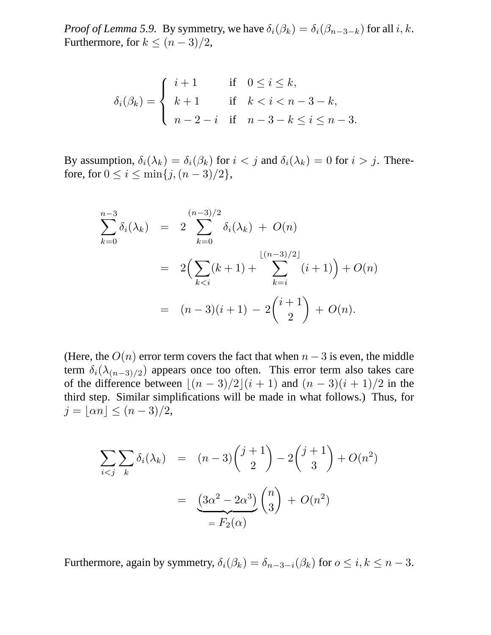*Proof of Lemma 5.9.* By symmetry, we have  $\delta_i(\beta_k) = \delta_i(\beta_{n-3-k})$  for all  $i, k$ . Furthermore, for  $k \leq (n-3)/2$ ,

$$
\delta_i(\beta_k) = \begin{cases}\ni+1 & \text{if } 0 \le i \le k, \\
k+1 & \text{if } k < i < n-3-k, \\
n-2-i & \text{if } n-3-k \le i \le n-3.\n\end{cases}
$$

By assumption,  $\delta_i(\lambda_k) = \delta_i(\beta_k)$  for  $i < j$  and  $\delta_i(\lambda_k) = 0$  for  $i > j$ . Therefore, for  $0 \le i \le \min\{j,(n-3)/2\},\$ 

$$
\sum_{k=0}^{n-3} \delta_i(\lambda_k) = 2 \sum_{k=0}^{(n-3)/2} \delta_i(\lambda_k) + O(n)
$$
  
=  $2 \Big( \sum_{k  
=  $(n-3)(i+1) - 2 \binom{i+1}{2} + O(n).$$ 

(Here, the  $O(n)$  error term covers the fact that when  $n-3$  is even, the middle term  $\delta_i(\lambda_{(n-3)/2})$  appears once too often. This error term also takes care of the difference between  $\lfloor (n - 3)/2 \rfloor (i + 1)$  and  $(n - 3)(i + 1)/2$  in the third step. Similar simplifications will be made in what follows.) Thus, for  $j = |\alpha n| \leq (n-3)/2,$ 

$$
\sum_{i < j} \sum_{k} \delta_i(\lambda_k) = (n-3) \binom{j+1}{2} - 2 \binom{j+1}{3} + O(n^2)
$$
\n
$$
= \underbrace{(3\alpha^2 - 2\alpha^3)}_{=F_2(\alpha)} \binom{n}{3} + O(n^2)
$$

Furthermore, again by symmetry,  $\delta_i(\beta_k) = \delta_{n-3-i}(\beta_k)$  for  $o \le i, k \le n-3$ .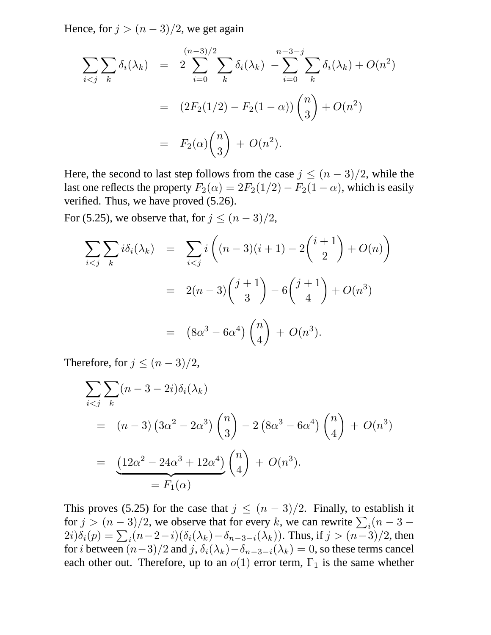Hence, for  $j > (n-3)/2$ , we get again

$$
\sum_{i < j} \sum_{k} \delta_i(\lambda_k) = 2 \sum_{i=0}^{(n-3)/2} \sum_{k} \delta_i(\lambda_k) - \sum_{i=0}^{n-3-j} \sum_{k} \delta_i(\lambda_k) + O(n^2)
$$
\n
$$
= (2F_2(1/2) - F_2(1-\alpha)) \binom{n}{3} + O(n^2)
$$
\n
$$
= F_2(\alpha) \binom{n}{3} + O(n^2).
$$

Here, the second to last step follows from the case  $j \leq (n-3)/2$ , while the last one reflects the property  $F_2(\alpha) = 2F_2(1/2) - F_2(1-\alpha)$ , which is easily verified. Thus, we have proved (5.26).

For (5.25), we observe that, for  $j \leq (n-3)/2$ ,

$$
\sum_{i < j} \sum_{k} i \delta_i(\lambda_k) = \sum_{i < j} i \left( (n-3)(i+1) - 2\binom{i+1}{2} + O(n) \right)
$$
\n
$$
= 2(n-3)\binom{j+1}{3} - 6\binom{j+1}{4} + O(n^3)
$$
\n
$$
= (8\alpha^3 - 6\alpha^4) \binom{n}{4} + O(n^3).
$$

Therefore, for  $j \leq (n-3)/2$ ,

$$
\sum_{i < j} \sum_{k} (n - 3 - 2i) \delta_i(\lambda_k)
$$
\n
$$
= (n - 3) \left(3\alpha^2 - 2\alpha^3\right) \binom{n}{3} - 2\left(8\alpha^3 - 6\alpha^4\right) \binom{n}{4} + O(n^3)
$$
\n
$$
= \underbrace{\left(12\alpha^2 - 24\alpha^3 + 12\alpha^4\right)}_{=F_1(\alpha)} \binom{n}{4} + O(n^3).
$$

This proves (5.25) for the case that  $j \leq (n-3)/2$ . Finally, to establish it for  $j > (n-3)/2$ , we observe that for every k, we can rewrite  $\sum_i (n-3 - 1)$  $2i)\delta_i(p) = \sum_i (n-2-i)(\delta_i(\lambda_k)-\delta_{n-3-i}(\lambda_k))$ . Thus, if  $j > (n-3)/2$ , then for *i* between  $(n-3)/2$  and j,  $\delta_i(\lambda_k)-\delta_{n-3-i}(\lambda_k)=0$ , so these terms cancel each other out. Therefore, up to an  $o(1)$  error term,  $\Gamma_1$  is the same whether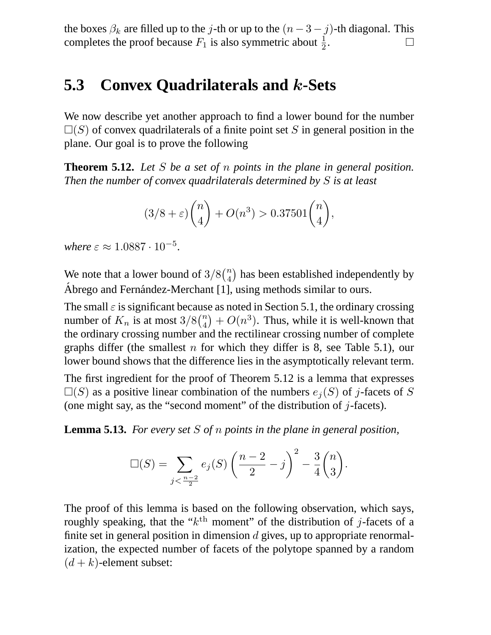the boxes  $\beta_k$  are filled up to the j-th or up to the  $(n-3-j)$ -th diagonal. This completes the proof because  $F_1$  is also symmetric about  $\frac{1}{2}$ . completes the proof because  $F_1$  is also symmetric about  $\frac{1}{2}$ .

## **5.3 Convex Quadrilaterals and** k**-Sets**

We now describe yet another approach to find a lower bound for the number  $\square(S)$  of convex quadrilaterals of a finite point set S in general position in the plane. Our goal is to prove the following

**Theorem 5.12.** *Let* S *be a set of* n *points in the plane in general position. Then the number of convex quadrilaterals determined by* S *is at least*

$$
(3/8 + \varepsilon) {n \choose 4} + O(n^3) > 0.37501 {n \choose 4},
$$

*where*  $\varepsilon \approx 1.0887 \cdot 10^{-5}$ .

We note that a lower bound of  $3/8\binom{n}{4}$  has been established independently by Abrego and Fernández-Merchant [1], using methods similar to ours.

The small  $\varepsilon$  is significant because as noted in Section 5.1, the ordinary crossing number of  $K_n$  is at most  $3/8\binom{n}{4} + O(n^3)$ . Thus, while it is well-known that the ordinary crossing number and the rectilinear crossing number of complete graphs differ (the smallest n for which they differ is 8, see Table 5.1), our lower bound shows that the difference lies in the asymptotically relevant term.

The first ingredient for the proof of Theorem 5.12 is a lemma that expresses  $\square(S)$  as a positive linear combination of the numbers  $e_i(S)$  of j-facets of S (one might say, as the "second moment" of the distribution of  $j$ -facets).

**Lemma 5.13.** *For every set* S *of* n *points in the plane in general position,*

$$
\Box(S) = \sum_{j < \frac{n-2}{2}} e_j(S) \left( \frac{n-2}{2} - j \right)^2 - \frac{3}{4} {n \choose 3}.
$$

The proof of this lemma is based on the following observation, which says, roughly speaking, that the " $k<sup>th</sup>$  moment" of the distribution of j-facets of a finite set in general position in dimension  $d$  gives, up to appropriate renormalization, the expected number of facets of the polytope spanned by a random  $(d + k)$ -element subset: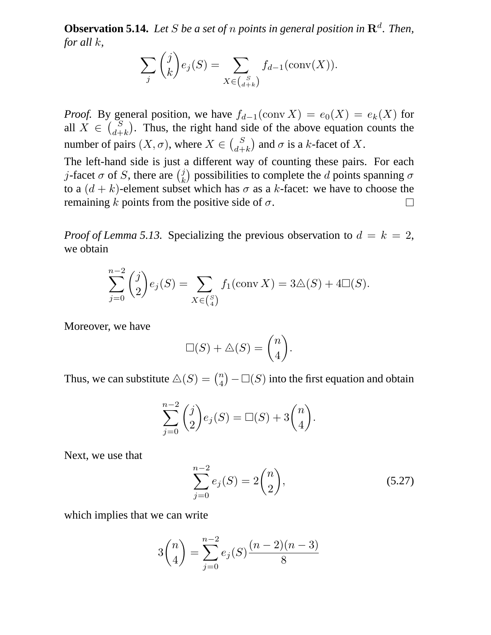**Observation 5.14.** Let S be a set of n points in general position in  $\mathbb{R}^d$ . Then, *for all* k*,*

$$
\sum_{j} {j \choose k} e_j(S) = \sum_{X \in {S \choose d+k}} f_{d-1}(\text{conv}(X)).
$$

*Proof.* By general position, we have  $f_{d-1}(\text{conv } X) = e_0(X) = e_k(X)$  for all  $X \in \binom{S}{d+k}$ . Thus, the right hand side of the above equation counts the number of pairs  $(X, \sigma)$ , where  $X \in \binom{S}{d+k}$  and  $\sigma$  is a k-facet of X.

The left-hand side is just a different way of counting these pairs. For each *j*-facet  $\sigma$  of *S*, there are  $\binom{j}{k}$  $\left(\begin{smallmatrix}j\k\end{smallmatrix}\right)$  possibilities to complete the  $d$  points spanning  $\sigma$ to a  $(d + k)$ -element subset which has  $\sigma$  as a k-facet: we have to choose the remaining k points from the positive side of  $\sigma$ .  $\Box$ 

*Proof of Lemma 5.13.* Specializing the previous observation to  $d = k = 2$ , we obtain

$$
\sum_{j=0}^{n-2} {j \choose 2} e_j(S) = \sum_{X \in {S \choose 4}} f_1(\text{conv } X) = 3 \triangle (S) + 4 \square (S).
$$

Moreover, we have

$$
\Box(S) + \triangle(S) = \binom{n}{4}.
$$

Thus, we can substitute  $\triangle(S) = \binom{n}{4} - \square(S)$  into the first equation and obtain

$$
\sum_{j=0}^{n-2} {j \choose 2} e_j(S) = \Box(S) + 3 {n \choose 4}.
$$

Next, we use that

$$
\sum_{j=0}^{n-2} e_j(S) = 2\binom{n}{2},\tag{5.27}
$$

which implies that we can write

$$
3\binom{n}{4} = \sum_{j=0}^{n-2} e_j(S) \frac{(n-2)(n-3)}{8}
$$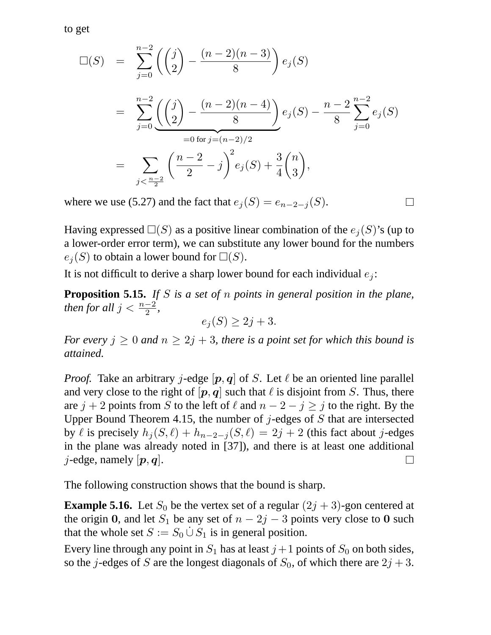to get

$$
\Box(S) = \sum_{j=0}^{n-2} \left( \binom{j}{2} - \frac{(n-2)(n-3)}{8} \right) e_j(S)
$$
  
= 
$$
\sum_{j=0}^{n-2} \left( \binom{j}{2} - \frac{(n-2)(n-4)}{8} \right) e_j(S) - \frac{n-2}{8} \sum_{j=0}^{n-2} e_j(S)
$$
  
= 
$$
\sum_{j < \frac{n-2}{2}} \left( \frac{n-2}{2} - j \right)^2 e_j(S) + \frac{3}{4} \binom{n}{3},
$$

where we use (5.27) and the fact that  $e_j(S) = e_{n-2-j}(S)$ .

 $\Box$ 

Having expressed  $\square(S)$  as a positive linear combination of the  $e_i(S)$ 's (up to a lower-order error term), we can substitute any lower bound for the numbers  $e_i(S)$  to obtain a lower bound for  $\square(S)$ .

It is not difficult to derive a sharp lower bound for each individual  $e_i$ :

**Proposition 5.15.** *If* S *is a set of* n *points in general position in the plane, then for all*  $j < \frac{n-2}{2}$ ,

$$
e_j(S) \geq 2j+3.
$$

*For every*  $j \geq 0$  *and*  $n \geq 2j + 3$ *, there is a point set for which this bound is attained.*

*Proof.* Take an arbitrary j-edge  $[p, q]$  of S. Let  $\ell$  be an oriented line parallel and very close to the right of  $[p, q]$  such that  $\ell$  is disjoint from S. Thus, there are  $j + 2$  points from S to the left of  $\ell$  and  $n - 2 - j \ge j$  to the right. By the Upper Bound Theorem 4.15, the number of  $j$ -edges of  $S$  that are intersected by  $\ell$  is precisely  $h_j (S, \ell) + h_{n-2-j} (S, \ell) = 2j + 2$  (this fact about j-edges in the plane was already noted in [37]), and there is at least one additional *j*-edge, namely  $|p, q|$ . П

The following construction shows that the bound is sharp.

**Example 5.16.** Let  $S_0$  be the vertex set of a regular  $(2j + 3)$ -gon centered at the origin 0, and let  $S_1$  be any set of  $n - 2j - 3$  points very close to 0 such that the whole set  $S := S_0 \cup S_1$  is in general position.

Every line through any point in  $S_1$  has at least  $j+1$  points of  $S_0$  on both sides, so the j-edges of S are the longest diagonals of  $S_0$ , of which there are  $2j + 3$ .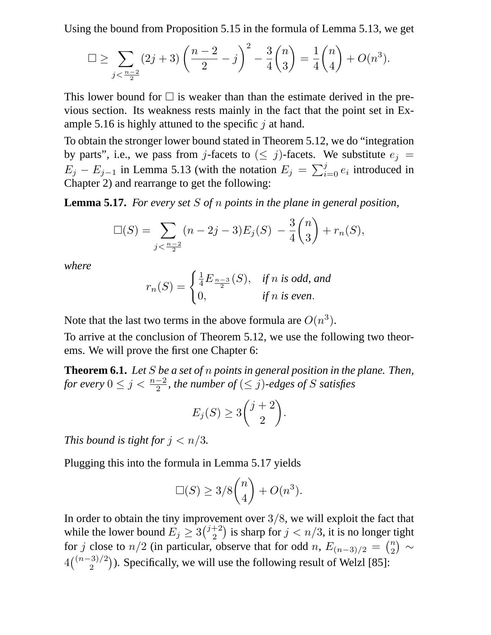Using the bound from Proposition 5.15 in the formula of Lemma 5.13, we get

$$
\Box \ge \sum_{j < \frac{n-2}{2}} (2j+3) \left( \frac{n-2}{2} - j \right)^2 - \frac{3}{4} {n \choose 3} = \frac{1}{4} {n \choose 4} + O(n^3).
$$

This lower bound for  $\Box$  is weaker than than the estimate derived in the previous section. Its weakness rests mainly in the fact that the point set in Example 5.16 is highly attuned to the specific  $\dot{\jmath}$  at hand.

To obtain the stronger lower bound stated in Theorem 5.12, we do "integration by parts", i.e., we pass from j-facets to  $(\leq j)$ -facets. We substitute  $e_j =$  $E_j - E_{j-1}$  in Lemma 5.13 (with the notation  $E_j = \sum_{i=0}^{j} e_i$  introduced in Chapter 2) and rearrange to get the following:

**Lemma 5.17.** *For every set* S *of* n *points in the plane in general position,*

$$
\Box(S) = \sum_{j < \frac{n-2}{2}} (n-2j-3) E_j(S) - \frac{3}{4} \binom{n}{3} + r_n(S),
$$

*where*

$$
r_n(S) = \begin{cases} \frac{1}{4} E_{\frac{n-3}{2}}(S), & \text{if } n \text{ is odd, and} \\ 0, & \text{if } n \text{ is even.} \end{cases}
$$

Note that the last two terms in the above formula are  $O(n^3)$ .

To arrive at the conclusion of Theorem 5.12, we use the following two theorems. We will prove the first one Chapter 6:

**Theorem 6.1.** *Let* S *be a set of* n *points in general position in the plane. Then,* for every  $0 \leq j < \frac{n-2}{2}$ , the number of  $(\leq j)$ -edges of S satisfies

$$
E_j(S) \ge 3\binom{j+2}{2}.
$$

*This bound is tight for*  $j < n/3$ *.* 

Plugging this into the formula in Lemma 5.17 yields

$$
\Box(S) \ge 3/8 {n \choose 4} + O(n^3).
$$

In order to obtain the tiny improvement over  $3/8$ , we will exploit the fact that while the lower bound  $E_j \ge 3\binom{j+2}{2}$  $\binom{+2}{2}$  is sharp for  $j < n/3$ , it is no longer tight for j close to  $n/2$  (in particular, observe that for odd n,  $E_{(n-3)/2} = {n \choose 2} \sim$  $4\binom{(n-3)/2}{2}$  $\binom{3}{2}$ ). Specifically, we will use the following result of Welzl [85]: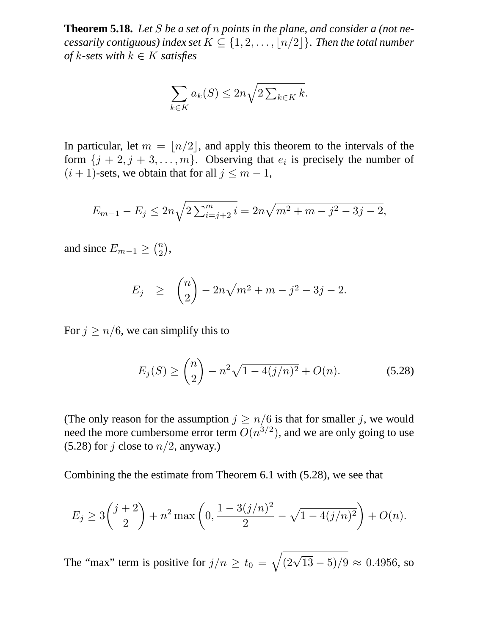**Theorem 5.18.** *Let* S *be a set of* n *points in the plane, and consider a (not necessarily contiguous) index set*  $K \subseteq \{1, 2, ..., \lfloor n/2 \rfloor\}$ *. Then the total number of*  $k$ *-sets with*  $k \in K$  *satisfies* 

$$
\sum_{k \in K} a_k(S) \le 2n \sqrt{2 \sum_{k \in K} k}.
$$

In particular, let  $m = \lfloor n/2 \rfloor$ , and apply this theorem to the intervals of the form  $\{j + 2, j + 3, \ldots, m\}$ . Observing that  $e_i$  is precisely the number of  $(i + 1)$ -sets, we obtain that for all  $j \leq m - 1$ ,

$$
E_{m-1} - E_j \le 2n\sqrt{2\sum_{i=j+2}^{m}i} = 2n\sqrt{m^2 + m - j^2 - 3j - 2},
$$

and since  $E_{m-1} \geq {n \choose 2}$ ,

$$
E_j \geq {n \choose 2} - 2n\sqrt{m^2 + m - j^2 - 3j - 2}.
$$

For  $j \ge n/6$ , we can simplify this to

$$
E_j(S) \ge \binom{n}{2} - n^2 \sqrt{1 - 4(j/n)^2} + O(n). \tag{5.28}
$$

(The only reason for the assumption  $j \geq n/6$  is that for smaller j, we would need the more cumbersome error term  $O(n^{3/2})$ , and we are only going to use (5.28) for j close to  $n/2$ , anyway.)

Combining the the estimate from Theorem 6.1 with (5.28), we see that

$$
E_j \ge 3\binom{j+2}{2} + n^2 \max\left(0, \frac{1 - 3(j/n)^2}{2} - \sqrt{1 - 4(j/n)^2}\right) + O(n).
$$

The "max" term is positive for  $j/n \ge t_0 = \sqrt{(2\sqrt{13} - 5)/9} \approx 0.4956$ , so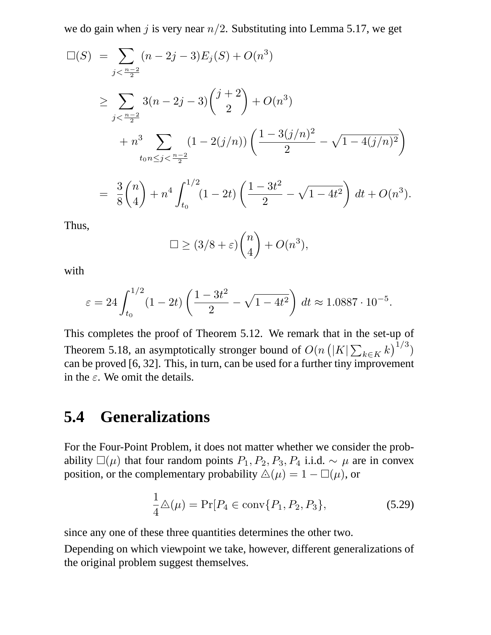we do gain when j is very near  $n/2$ . Substituting into Lemma 5.17, we get

$$
\Box(S) = \sum_{j < \frac{n-2}{2}} (n-2j-3) E_j(S) + O(n^3)
$$
  
\n
$$
\geq \sum_{j < \frac{n-2}{2}} 3(n-2j-3) {j+2 \choose 2} + O(n^3)
$$
  
\n
$$
+ n^3 \sum_{t_0, n \leq j < \frac{n-2}{2}} (1 - 2(j/n)) \left( \frac{1 - 3(j/n)^2}{2} - \sqrt{1 - 4(j/n)^2} \right)
$$
  
\n
$$
= \frac{3}{8} {n \choose 4} + n^4 \int_{t_0}^{1/2} (1 - 2t) \left( \frac{1 - 3t^2}{2} - \sqrt{1 - 4t^2} \right) dt + O(n^3).
$$

Thus,

$$
\Box \ge (3/8 + \varepsilon) {n \choose 4} + O(n^3),
$$

with

$$
\varepsilon = 24 \int_{t_0}^{1/2} (1 - 2t) \left( \frac{1 - 3t^2}{2} - \sqrt{1 - 4t^2} \right) dt \approx 1.0887 \cdot 10^{-5}.
$$

This completes the proof of Theorem 5.12. We remark that in the set-up of Theorem 5.18, an asymptotically stronger bound of  $O(n (|K| \sum_{k \in K} k)^{1/3})$ can be proved [6, 32]. This, in turn, can be used for a further tiny improvement in the  $\varepsilon$ . We omit the details.

## **5.4 Generalizations**

For the Four-Point Problem, it does not matter whether we consider the probability  $\square(\mu)$  that four random points  $P_1, P_2, P_3, P_4$  i.i.d.  $\sim \mu$  are in convex position, or the complementary probability  $\Delta(\mu) = 1 - \Box(\mu)$ , or

$$
\frac{1}{4}\Delta(\mu) = \Pr[P_4 \in \text{conv}\{P_1, P_2, P_3\},\tag{5.29}
$$

since any one of these three quantities determines the other two.

Depending on which viewpoint we take, however, different generalizations of the original problem suggest themselves.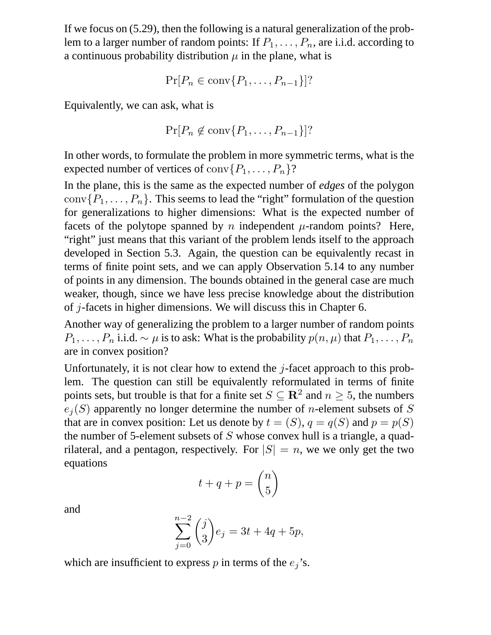If we focus on (5.29), then the following is a natural generalization of the problem to a larger number of random points: If  $P_1, \ldots, P_n$ , are i.i.d. according to a continuous probability distribution  $\mu$  in the plane, what is

$$
\Pr[P_n \in \text{conv}\{P_1, \ldots, P_{n-1}\}]?
$$

Equivalently, we can ask, what is

$$
\Pr[P_n \not\in \text{conv}\{P_1,\ldots,P_{n-1}\}]?
$$

In other words, to formulate the problem in more symmetric terms, what is the expected number of vertices of  $conv(P_1, ..., P_n)$ ?

In the plane, this is the same as the expected number of *edges* of the polygon  $conv(P_1, \ldots, P_n)$ . This seems to lead the "right" formulation of the question for generalizations to higher dimensions: What is the expected number of facets of the polytope spanned by n independent  $\mu$ -random points? Here, "right" just means that this variant of the problem lends itself to the approach developed in Section 5.3. Again, the question can be equivalently recast in terms of finite point sets, and we can apply Observation 5.14 to any number of points in any dimension. The bounds obtained in the general case are much weaker, though, since we have less precise knowledge about the distribution of  $j$ -facets in higher dimensions. We will discuss this in Chapter 6.

Another way of generalizing the problem to a larger number of random points  $P_1, \ldots, P_n$  i.i.d.  $\sim \mu$  is to ask: What is the probability  $p(n, \mu)$  that  $P_1, \ldots, P_n$ are in convex position?

Unfortunately, it is not clear how to extend the  $i$ -facet approach to this problem. The question can still be equivalently reformulated in terms of finite points sets, but trouble is that for a finite set  $S \subseteq \mathbb{R}^2$  and  $n \ge 5$ , the numbers  $e_j(S)$  apparently no longer determine the number of *n*-element subsets of S that are in convex position: Let us denote by  $t = (S)$ ,  $q = q(S)$  and  $p = p(S)$ the number of 5-element subsets of  $S$  whose convex hull is a triangle, a quadrilateral, and a pentagon, respectively. For  $|S| = n$ , we we only get the two equations

$$
t + q + p = \binom{n}{5}
$$

and

$$
\sum_{j=0}^{n-2} \binom{j}{3} e_j = 3t + 4q + 5p,
$$

which are insufficient to express  $p$  in terms of the  $e_j$ 's.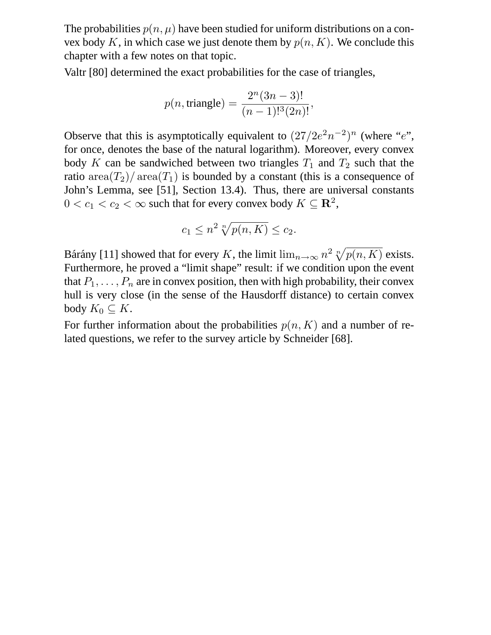The probabilities  $p(n, \mu)$  have been studied for uniform distributions on a convex body K, in which case we just denote them by  $p(n, K)$ . We conclude this chapter with a few notes on that topic.

Valtr [80] determined the exact probabilities for the case of triangles,

$$
p(n, \text{triangle}) = \frac{2^n (3n - 3)!}{(n - 1)!^3 (2n)!},
$$

Observe that this is asymptotically equivalent to  $(27/2e^2n^{-2})^n$  (where "e", for once, denotes the base of the natural logarithm). Moreover, every convex body K can be sandwiched between two triangles  $T_1$  and  $T_2$  such that the ratio area $(T_2)$  area $(T_1)$  is bounded by a constant (this is a consequence of John's Lemma, see [51], Section 13.4). Thus, there are universal constants  $0 < c_1 < c_2 < \infty$  such that for every convex body  $K \subseteq \mathbf{R}^2$ ,

$$
c_1 \le n^2 \sqrt[n]{p(n,K)} \le c_2.
$$

Bárány [11] showed that for every K, the limit  $\lim_{n\to\infty} n^2 \sqrt[n]{p(n,K)}$  exists. Furthermore, he proved a "limit shape" result: if we condition upon the event that  $P_1, \ldots, P_n$  are in convex position, then with high probability, their convex hull is very close (in the sense of the Hausdorff distance) to certain convex body  $K_0 \subseteq K$ .

For further information about the probabilities  $p(n, K)$  and a number of related questions, we refer to the survey article by Schneider [68].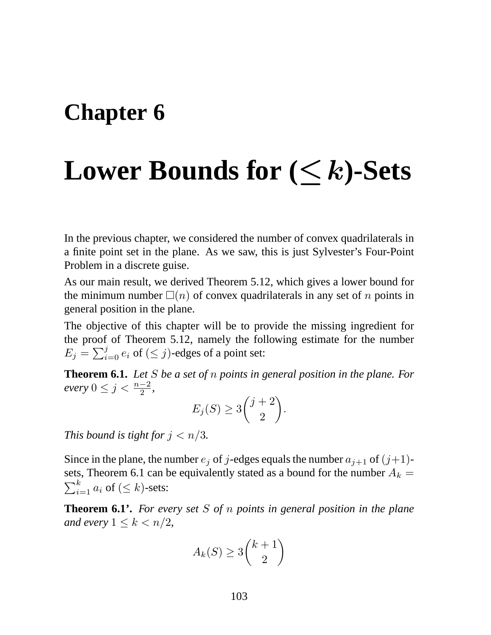### **Chapter 6**

# **Lower Bounds for (**≤k**)-Sets**

In the previous chapter, we considered the number of convex quadrilaterals in a finite point set in the plane. As we saw, this is just Sylvester's Four-Point Problem in a discrete guise.

As our main result, we derived Theorem 5.12, which gives a lower bound for the minimum number  $\Box(n)$  of convex quadrilaterals in any set of n points in general position in the plane.

The objective of this chapter will be to provide the missing ingredient for the proof of Theorem 5.12, namely the following estimate for the number  $E_j = \sum_{i=0}^j e_i$  of  $(\leq j)$ -edges of a point set:

**Theorem 6.1.** *Let* S *be a set of* n *points in general position in the plane. For*  $\text{every } 0 \leq j < \frac{n-2}{2},$ 

$$
E_j(S) \ge 3\binom{j+2}{2}.
$$

*This bound is tight for*  $j < n/3$ *.* 

Since in the plane, the number  $e_j$  of j-edges equals the number  $a_{j+1}$  of  $(j+1)$ sets, Theorem 6.1 can be equivalently stated as a bound for the number  $A_k =$  $\sum_{i=1}^k a_i$  of  $(\leq k)$ -sets:

**Theorem 6.1'.** *For every set* S *of* n *points in general position in the plane and every*  $1 \leq k < n/2$ ,

$$
A_k(S) \ge 3\binom{k+1}{2}
$$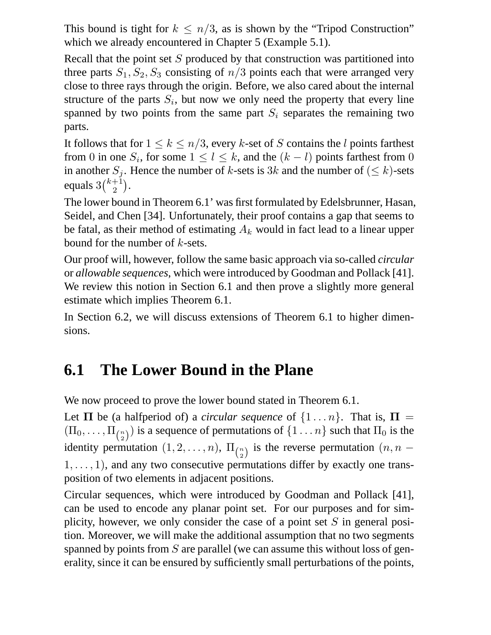This bound is tight for  $k \leq n/3$ , as is shown by the "Tripod Construction" which we already encountered in Chapter 5 (Example 5.1).

Recall that the point set  $S$  produced by that construction was partitioned into three parts  $S_1, S_2, S_3$  consisting of  $n/3$  points each that were arranged very close to three rays through the origin. Before, we also cared about the internal structure of the parts  $S_i$ , but now we only need the property that every line spanned by two points from the same part  $S_i$  separates the remaining two parts.

It follows that for  $1 \leq k \leq n/3$ , every k-set of S contains the l points farthest from 0 in one  $S_i$ , for some  $1 \leq l \leq k$ , and the  $(k - l)$  points farthest from 0 in another  $S_i$ . Hence the number of k-sets is 3k and the number of  $(\leq k)$ -sets equals  $3\binom{k+1}{2}$  $_{2}^{+1}).$ 

The lower bound in Theorem 6.1' was first formulated by Edelsbrunner, Hasan, Seidel, and Chen [34]. Unfortunately, their proof contains a gap that seems to be fatal, as their method of estimating  $A_k$  would in fact lead to a linear upper bound for the number of  $k$ -sets.

Our proof will, however, follow the same basic approach via so-called *circular* or *allowable sequences*, which were introduced by Goodman and Pollack [41]. We review this notion in Section 6.1 and then prove a slightly more general estimate which implies Theorem 6.1.

In Section 6.2, we will discuss extensions of Theorem 6.1 to higher dimensions.

#### **6.1 The Lower Bound in the Plane**

We now proceed to prove the lower bound stated in Theorem 6.1.

Let  $\Pi$  be (a halfperiod of) a *circular sequence* of  $\{1 \dots n\}$ . That is,  $\Pi$  =  $(\Pi_0, \dots, \Pi_{\binom{n}{2}})$  is a sequence of permutations of  $\{1 \dots n\}$  such that  $\Pi_0$  is the identity permutation  $(1, 2, \ldots, n)$ ,  $\Pi_{n \choose 2}$  is the reverse permutation  $(n, n - 1)$  $1, \ldots, 1$ , and any two consecutive permutations differ by exactly one transposition of two elements in adjacent positions.

Circular sequences, which were introduced by Goodman and Pollack [41], can be used to encode any planar point set. For our purposes and for simplicity, however, we only consider the case of a point set  $S$  in general position. Moreover, we will make the additional assumption that no two segments spanned by points from S are parallel (we can assume this without loss of generality, since it can be ensured by sufficiently small perturbations of the points,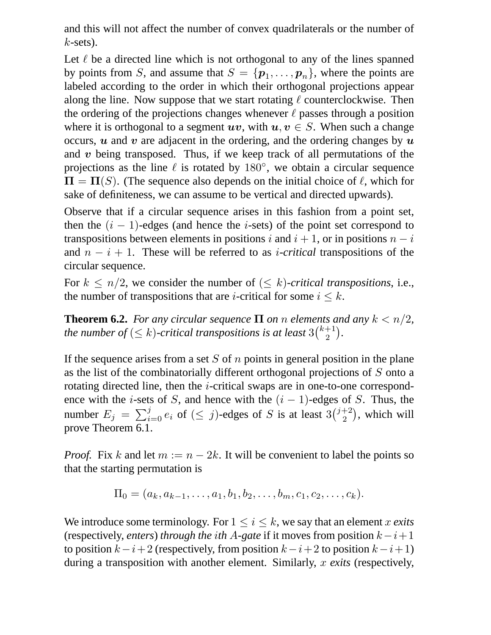and this will not affect the number of convex quadrilaterals or the number of  $k$ -sets).

Let  $\ell$  be a directed line which is not orthogonal to any of the lines spanned by points from S, and assume that  $S = \{p_1, \ldots, p_n\}$ , where the points are labeled according to the order in which their orthogonal projections appear along the line. Now suppose that we start rotating  $\ell$  counterclockwise. Then the ordering of the projections changes whenever  $\ell$  passes through a position where it is orthogonal to a segment  $uv$ , with  $u, v \in S$ . When such a change occurs,  $\boldsymbol{u}$  and  $\boldsymbol{v}$  are adjacent in the ordering, and the ordering changes by  $\boldsymbol{u}$ and  $v$  being transposed. Thus, if we keep track of all permutations of the projections as the line  $\ell$  is rotated by 180 $\degree$ , we obtain a circular sequence  $\Pi = \Pi(S)$ . (The sequence also depends on the initial choice of  $\ell$ , which for sake of definiteness, we can assume to be vertical and directed upwards).

Observe that if a circular sequence arises in this fashion from a point set, then the  $(i - 1)$ -edges (and hence the *i*-sets) of the point set correspond to transpositions between elements in positions i and  $i + 1$ , or in positions  $n - i$ and  $n - i + 1$ . These will be referred to as *i-critical* transpositions of the circular sequence.

For  $k \leq n/2$ , we consider the number of  $(\leq k)$ -critical transpositions, i.e., the number of transpositions that are *i*-critical for some  $i \leq k$ .

**Theorem 6.2.** *For any circular sequence*  $\Pi$  *on n elements and any*  $k < n/2$ , the number of  $(\leq k)$ -critical transpositions is at least  $3{k+1 \choose 2}$  $\binom{+1}{2}$ .

If the sequence arises from a set S of  $n$  points in general position in the plane as the list of the combinatorially different orthogonal projections of S onto a rotating directed line, then the i-critical swaps are in one-to-one correspondence with the *i*-sets of S, and hence with the  $(i - 1)$ -edges of S. Thus, the number  $E_j = \sum_{i=0}^j e_i$  of  $(\leq j)$ -edges of S is at least  $3\binom{j+2}{2}$  $\binom{+2}{2}$ , which will prove Theorem 6.1.

*Proof.* Fix k and let  $m := n - 2k$ . It will be convenient to label the points so that the starting permutation is

$$
\Pi_0 = (a_k, a_{k-1}, \ldots, a_1, b_1, b_2, \ldots, b_m, c_1, c_2, \ldots, c_k).
$$

We introduce some terminology. For  $1 \le i \le k$ , we say that an element x exits (respectively, *enters*) *through the ith* A-gate if it moves from position  $k-i+1$ to position  $k-i+2$  (respectively, from position  $k-i+2$  to position  $k-i+1$ ) during a transposition with another element. Similarly, x *exits* (respectively,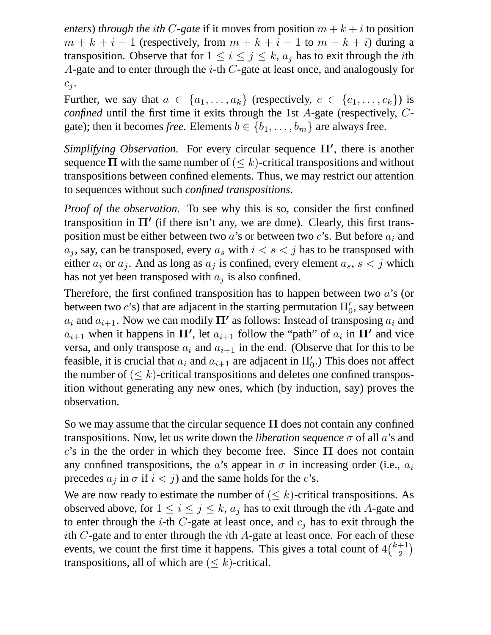*enters*) *through the ith* C-gate if it moves from position  $m + k + i$  to position  $m + k + i - 1$  (respectively, from  $m + k + i - 1$  to  $m + k + i$ ) during a transposition. Observe that for  $1 \le i \le j \le k$ ,  $a_j$  has to exit through the *i*th A-gate and to enter through the  $i$ -th  $C$ -gate at least once, and analogously for  $c_j$ .

Further, we say that  $a \in \{a_1, \ldots, a_k\}$  (respectively,  $c \in \{c_1, \ldots, c_k\}$ ) is *confined* until the first time it exits through the 1st A-gate (respectively, Cgate); then it becomes *free*. Elements  $b \in \{b_1, \ldots, b_m\}$  are always free.

*Simplifying Observation.* For every circular sequence  $\Pi'$ , there is another sequence  $\Pi$  with the same number of ( $\leq k$ )-critical transpositions and without transpositions between confined elements. Thus, we may restrict our attention to sequences without such *confined transpositions*.

*Proof of the observation.* To see why this is so, consider the first confined transposition in  $\Pi'$  (if there isn't any, we are done). Clearly, this first transposition must be either between two  $a$ 's or between two  $c$ 's. But before  $a_i$  and  $a_j$ , say, can be transposed, every  $a_s$  with  $i < s < j$  has to be transposed with either  $a_i$  or  $a_j$ . And as long as  $a_j$  is confined, every element  $a_s$ ,  $s < j$  which has not yet been transposed with  $a_i$  is also confined.

Therefore, the first confined transposition has to happen between two  $a$ 's (or between two  $c$ 's) that are adjacent in the starting permutation  $\Pi_0^\prime$ , say between  $a_i$  and  $a_{i+1}$ . Now we can modify  $\Pi'$  as follows: Instead of transposing  $a_i$  and  $a_{i+1}$  when it happens in  $\Pi'$ , let  $a_{i+1}$  follow the "path" of  $a_i$  in  $\Pi'$  and vice versa, and only transpose  $a_i$  and  $a_{i+1}$  in the end. (Observe that for this to be feasible, it is crucial that  $a_i$  and  $a_{i+1}$  are adjacent in  $\Pi'_0$ .) This does not affect the number of  $(\leq k)$ -critical transpositions and deletes one confined transposition without generating any new ones, which (by induction, say) proves the observation.

So we may assume that the circular sequence  $\Pi$  does not contain any confined transpositions. Now, let us write down the *liberation sequence* σ of all a's and c's in the the order in which they become free. Since  $\Pi$  does not contain any confined transpositions, the a's appear in  $\sigma$  in increasing order (i.e.,  $a_i$ ) precedes  $a_j$  in  $\sigma$  if  $i < j$ ) and the same holds for the c's.

We are now ready to estimate the number of  $(\leq k)$ -critical transpositions. As observed above, for  $1 \le i \le j \le k$ ,  $a_j$  has to exit through the *i*th A-gate and to enter through the *i*-th *C*-gate at least once, and  $c_j$  has to exit through the ith  $C$ -gate and to enter through the *i*th  $A$ -gate at least once. For each of these events, we count the first time it happens. This gives a total count of  $4\binom{k+1}{2}$  $_{2}^{+1})$ transpositions, all of which are  $(\leq k)$ -critical.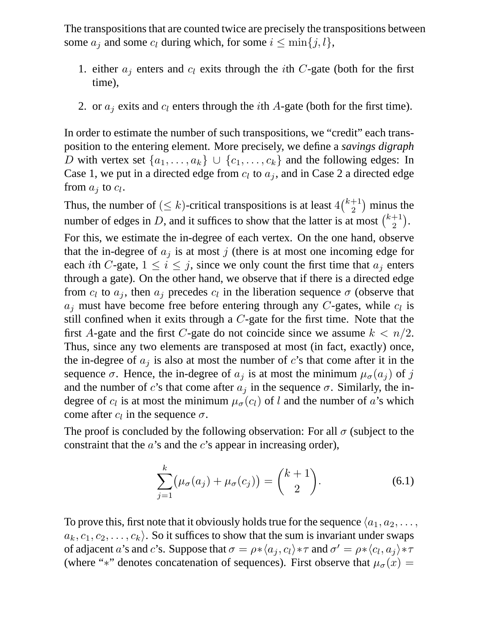The transpositions that are counted twice are precisely the transpositions between some  $a_i$  and some  $c_l$  during which, for some  $i \leq \min\{j, l\},$ 

- 1. either  $a_i$  enters and  $c_i$  exits through the *i*th C-gate (both for the first time),
- 2. or  $a_j$  exits and  $c_l$  enters through the *i*th A-gate (both for the first time).

In order to estimate the number of such transpositions, we "credit" each transposition to the entering element. More precisely, we define a *savings digraph* D with vertex set  $\{a_1, \ldots, a_k\} \cup \{c_1, \ldots, c_k\}$  and the following edges: In Case 1, we put in a directed edge from  $c_l$  to  $a_j$ , and in Case 2 a directed edge from  $a_j$  to  $c_l$ .

Thus, the number of  $(\leq k)$ -critical transpositions is at least  $4\binom{k+1}{2}$  $\binom{+1}{2}$  minus the number of edges in D, and it suffices to show that the latter is at most  $\binom{k+1}{2}$  $_{2}^{+1}).$ 

For this, we estimate the in-degree of each vertex. On the one hand, observe that the in-degree of  $a_j$  is at most j (there is at most one incoming edge for each *i*th C-gate,  $1 \le i \le j$ , since we only count the first time that  $a_i$  enters through a gate). On the other hand, we observe that if there is a directed edge from  $c_l$  to  $a_j$ , then  $a_j$  precedes  $c_l$  in the liberation sequence  $\sigma$  (observe that  $a_j$  must have become free before entering through any C-gates, while  $c_l$  is still confined when it exits through a  $C$ -gate for the first time. Note that the first A-gate and the first C-gate do not coincide since we assume  $k < n/2$ . Thus, since any two elements are transposed at most (in fact, exactly) once, the in-degree of  $a_i$  is also at most the number of c's that come after it in the sequence  $\sigma$ . Hence, the in-degree of  $a_j$  is at most the minimum  $\mu_{\sigma}(a_j)$  of j and the number of c's that come after  $a_j$  in the sequence  $\sigma$ . Similarly, the indegree of  $c_l$  is at most the minimum  $\mu_{\sigma}(c_l)$  of l and the number of a's which come after  $c_l$  in the sequence  $\sigma$ .

The proof is concluded by the following observation: For all  $\sigma$  (subject to the constraint that the  $a$ 's and the  $c$ 's appear in increasing order),

$$
\sum_{j=1}^{k} (\mu_{\sigma}(a_j) + \mu_{\sigma}(c_j)) = {k+1 \choose 2}.
$$
 (6.1)

To prove this, first note that it obviously holds true for the sequence  $\langle a_1, a_2, \ldots, a_n \rangle$  $a_k, c_1, c_2, \ldots, c_k$ . So it suffices to show that the sum is invariant under swaps of adjacent  $a$ 's and  $c$ 's. Suppose that  $\sigma = \rho * \langle a_j, c_l \rangle * \tau$  and  $\sigma' = \rho * \langle c_l, a_j \rangle * \tau$ (where "\*" denotes concatenation of sequences). First observe that  $\mu_{\sigma}(x) =$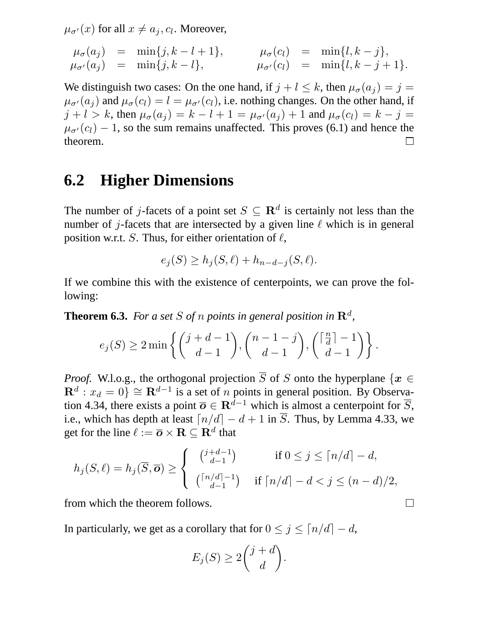$\mu_{\sigma'}(x)$  for all  $x \neq a_j, c_l$ . Moreover,

$$
\mu_{\sigma}(a_j) = \min\{j, k - l + 1\}, \qquad \mu_{\sigma}(c_l) = \min\{l, k - j\}, \n\mu_{\sigma'}(a_j) = \min\{j, k - l\}, \qquad \mu_{\sigma'}(c_l) = \min\{l, k - j + 1\}.
$$

We distinguish two cases: On the one hand, if  $j + l \leq k$ , then  $\mu_{\sigma}(a_j) = j =$  $\mu_{\sigma}(a_i)$  and  $\mu_{\sigma}(c_i) = l = \mu_{\sigma'}(c_i)$ , i.e. nothing changes. On the other hand, if  $j + l > k$ , then  $\mu_{\sigma}(a_j) = k - l + 1 = \mu_{\sigma'}(a_j) + 1$  and  $\mu_{\sigma}(c_l) = k - j =$  $\mu_{\sigma'}(c_l) - 1$ , so the sum remains unaffected. This proves (6.1) and hence the theorem theorem.

#### **6.2 Higher Dimensions**

The number of j-facets of a point set  $S \subseteq \mathbb{R}^d$  is certainly not less than the number of j-facets that are intersected by a given line  $\ell$  which is in general position w.r.t. S. Thus, for either orientation of  $\ell$ ,

$$
e_j(S) \ge h_j(S, \ell) + h_{n-d-j}(S, \ell).
$$

If we combine this with the existence of centerpoints, we can prove the following:

**Theorem 6.3.** For a set S of n points in general position in  $\mathbb{R}^d$ ,

$$
e_j(S) \ge 2 \min \left\{ \binom{j+d-1}{d-1}, \binom{n-1-j}{d-1}, \binom{\lceil \frac{n}{d} \rceil -1}{d-1} \right\}.
$$

*Proof.* W.l.o.g., the orthogonal projection  $\overline{S}$  of S onto the hyperplane { $x \in$  $\mathbf{R}^d$  :  $x_d = 0$ }  $\cong \mathbf{R}^{d-1}$  is a set of *n* points in general position. By Observation 4.34, there exists a point  $\overline{o} \in \mathbb{R}^{\overline{d}-1}$  which is almost a centerpoint for  $\overline{S}$ , i.e., which has depth at least  $\lceil n/d \rceil - d + 1$  in  $\overline{S}$ . Thus, by Lemma 4.33, we get for the line  $\ell := \overline{\boldsymbol{o}} \times \mathbf{R} \subseteq \mathbf{R}^d$  that

$$
h_j(S,\ell) = h_j(\overline{S},\overline{\mathbf{o}}) \ge \begin{cases} \begin{array}{ll} \binom{j+d-1}{d-1} & \text{if } 0 \le j \le \lceil n/d \rceil - d, \\ \binom{\lceil n/d \rceil - 1}{d-1} & \text{if } \lceil n/d \rceil - d < j \le (n-d)/2, \end{array} \end{cases}
$$

from which the theorem follows.

In particularly, we get as a corollary that for  $0 \le j \le \lceil n/d \rceil - d$ ,

$$
E_j(S) \ge 2\binom{j+d}{d}.
$$

 $\Box$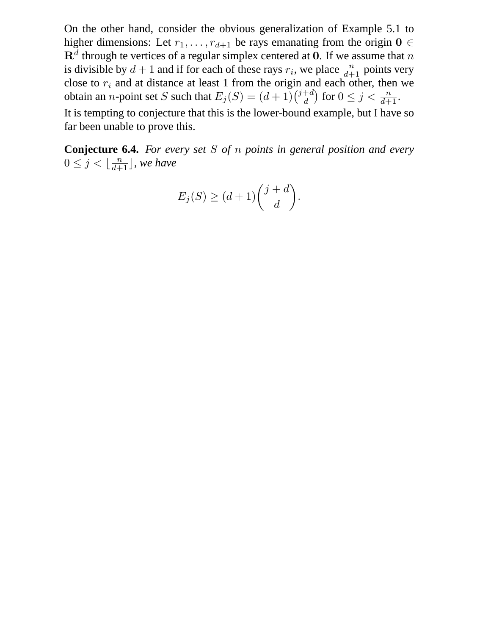On the other hand, consider the obvious generalization of Example 5.1 to higher dimensions: Let  $r_1, \ldots, r_{d+1}$  be rays emanating from the origin  $\mathbf{0} \in$  ${\bf R}^d$  through te vertices of a regular simplex centered at  ${\bf 0}.$  If we assume that  $n$ is divisible by  $d+1$  and if for each of these rays  $r_i$ , we place  $\frac{n}{d+1}$  points very close to  $r_i$  and at distance at least 1 from the origin and each other, then we obtain an *n*-point set S such that  $E_j(S) = (d+1)\binom{j+d}{d}$  $\binom{+d}{d}$  for  $0 \leq j < \frac{n}{d+1}$ . It is tempting to conjecture that this is the lower-bound example, but I have so far been unable to prove this.

**Conjecture 6.4.** *For every set* S *of* n *points in general position and every*  $0 \leq j < \lfloor \frac{n}{d+1} \rfloor$ , we have

$$
E_j(S) \ge (d+1) \binom{j+d}{d}.
$$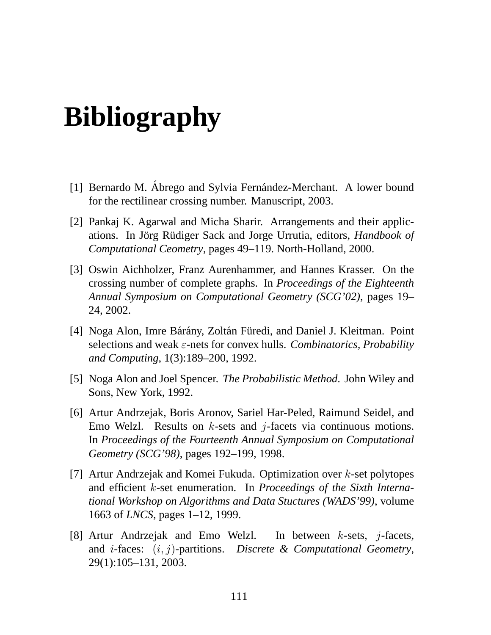## **Bibliography**

- [1] Bernardo M. Ábrego and Sylvia Fernández-Merchant. A lower bound for the rectilinear crossing number. Manuscript, 2003.
- [2] Pankaj K. Agarwal and Micha Sharir. Arrangements and their applications. In Jörg Rüdiger Sack and Jorge Urrutia, editors, *Handbook of Computational Ceometry*, pages 49–119. North-Holland, 2000.
- [3] Oswin Aichholzer, Franz Aurenhammer, and Hannes Krasser. On the crossing number of complete graphs. In *Proceedings of the Eighteenth Annual Symposium on Computational Geometry (SCG'02)*, pages 19– 24, 2002.
- [4] Noga Alon, Imre Bárány, Zoltán Füredi, and Daniel J. Kleitman. Point selections and weak ε-nets for convex hulls. *Combinatorics, Probability and Computing*, 1(3):189–200, 1992.
- [5] Noga Alon and Joel Spencer. *The Probabilistic Method*. John Wiley and Sons, New York, 1992.
- [6] Artur Andrzejak, Boris Aronov, Sariel Har-Peled, Raimund Seidel, and Emo Welzl. Results on  $k$ -sets and  $j$ -facets via continuous motions. In *Proceedings of the Fourteenth Annual Symposium on Computational Geometry (SCG'98)*, pages 192–199, 1998.
- [7] Artur Andrzejak and Komei Fukuda. Optimization over  $k$ -set polytopes and efficient k-set enumeration. In *Proceedings of the Sixth International Workshop on Algorithms and Data Stuctures (WADS'99)*, volume 1663 of *LNCS*, pages 1–12, 1999.
- [8] Artur Andrzejak and Emo Welzl. In between  $k$ -sets,  $j$ -facets, and i-faces: (i, j)-partitions. *Discrete & Computational Geometry*, 29(1):105–131, 2003.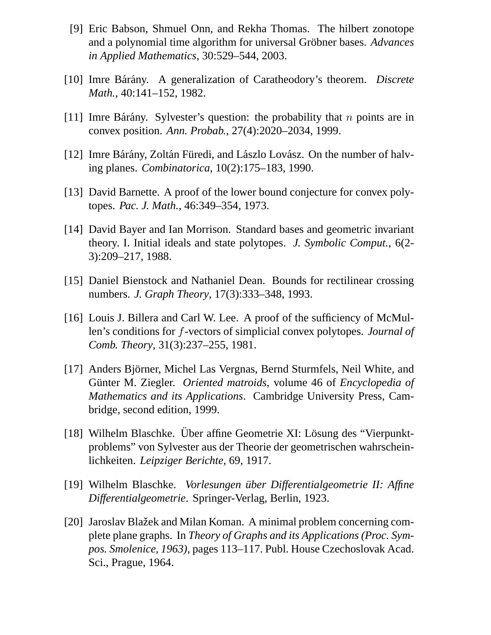- [9] Eric Babson, Shmuel Onn, and Rekha Thomas. The hilbert zonotope and a polynomial time algorithm for universal Gröbner bases. *Advances in Applied Mathematics*, 30:529–544, 2003.
- [10] Imre Bárány. A generalization of Caratheodory's theorem. *Discrete Math.*, 40:141–152, 1982.
- [11] Imre Bárány. Sylvester's question: the probability that  $n$  points are in convex position. *Ann. Probab.*, 27(4):2020–2034, 1999.
- [12] Imre Bárány, Zoltán Füredi, and Lászlo Lovász. On the number of halving planes. *Combinatorica*, 10(2):175–183, 1990.
- [13] David Barnette. A proof of the lower bound conjecture for convex polytopes. *Pac. J. Math.*, 46:349–354, 1973.
- [14] David Bayer and Ian Morrison. Standard bases and geometric invariant theory. I. Initial ideals and state polytopes. *J. Symbolic Comput.*, 6(2- 3):209–217, 1988.
- [15] Daniel Bienstock and Nathaniel Dean. Bounds for rectilinear crossing numbers. *J. Graph Theory*, 17(3):333–348, 1993.
- [16] Louis J. Billera and Carl W. Lee. A proof of the sufficiency of McMullen's conditions for f-vectors of simplicial convex polytopes. *Journal of Comb. Theory*, 31(3):237–255, 1981.
- [17] Anders Björner, Michel Las Vergnas, Bernd Sturmfels, Neil White, and Günter M. Ziegler. *Oriented matroids*, volume 46 of *Encyclopedia of Mathematics and its Applications*. Cambridge University Press, Cambridge, second edition, 1999.
- [18] Wilhelm Blaschke. Über affine Geometrie XI: Lösung des "Vierpunktproblems" von Sylvester aus der Theorie der geometrischen wahrscheinlichkeiten. *Leipziger Berichte*, 69, 1917.
- [19] Wilhelm Blaschke. *Vorlesungen über Differentialgeometrie II: Affine Differentialgeometrie*. Springer-Verlag, Berlin, 1923.
- [20] Jaroslav Blažek and Milan Koman. A minimal problem concerning complete plane graphs. In *Theory of Graphs and its Applications (Proc. Sympos. Smolenice, 1963)*, pages 113–117. Publ. House Czechoslovak Acad. Sci., Prague, 1964.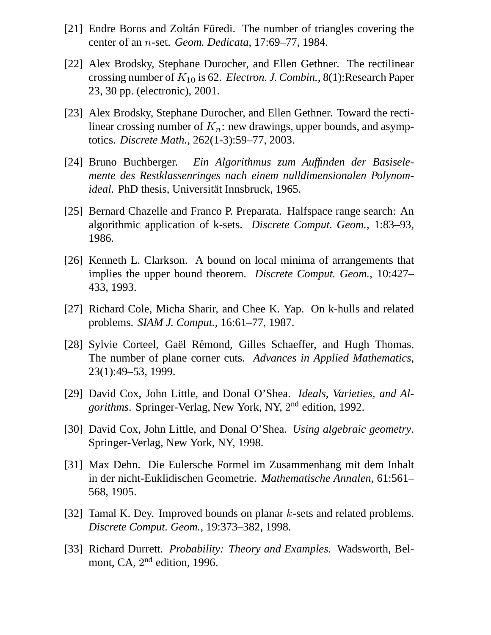- [21] Endre Boros and Zoltán Füredi. The number of triangles covering the center of an n-set. *Geom. Dedicata*, 17:69–77, 1984.
- [22] Alex Brodsky, Stephane Durocher, and Ellen Gethner. The rectilinear crossing number of  $K_{10}$  is 62. *Electron. J. Combin.*, 8(1): Research Paper 23, 30 pp. (electronic), 2001.
- [23] Alex Brodsky, Stephane Durocher, and Ellen Gethner. Toward the rectilinear crossing number of  $K_n$ : new drawings, upper bounds, and asymptotics. *Discrete Math.*, 262(1-3):59–77, 2003.
- [24] Bruno Buchberger. *Ein Algorithmus zum Auffinden der Basiselemente des Restklassenringes nach einem nulldimensionalen Polynomideal*. PhD thesis, Universität Innsbruck, 1965.
- [25] Bernard Chazelle and Franco P. Preparata. Halfspace range search: An algorithmic application of k-sets. *Discrete Comput. Geom.*, 1:83–93, 1986.
- [26] Kenneth L. Clarkson. A bound on local minima of arrangements that implies the upper bound theorem. *Discrete Comput. Geom.*, 10:427– 433, 1993.
- [27] Richard Cole, Micha Sharir, and Chee K. Yap. On k-hulls and related problems. *SIAM J. Comput.*, 16:61–77, 1987.
- [28] Sylvie Corteel, Gaël Rémond, Gilles Schaeffer, and Hugh Thomas. The number of plane corner cuts. *Advances in Applied Mathematics*, 23(1):49–53, 1999.
- [29] David Cox, John Little, and Donal O'Shea. *Ideals, Varieties, and Algorithms*. Springer-Verlag, New York, NY, 2 nd edition, 1992.
- [30] David Cox, John Little, and Donal O'Shea. *Using algebraic geometry*. Springer-Verlag, New York, NY, 1998.
- [31] Max Dehn. Die Eulersche Formel im Zusammenhang mit dem Inhalt in der nicht-Euklidischen Geometrie. *Mathematische Annalen*, 61:561– 568, 1905.
- [32] Tamal K. Dey. Improved bounds on planar k-sets and related problems. *Discrete Comput. Geom.*, 19:373–382, 1998.
- [33] Richard Durrett. *Probability: Theory and Examples*. Wadsworth, Belmont, CA,  $2<sup>nd</sup>$  edition, 1996.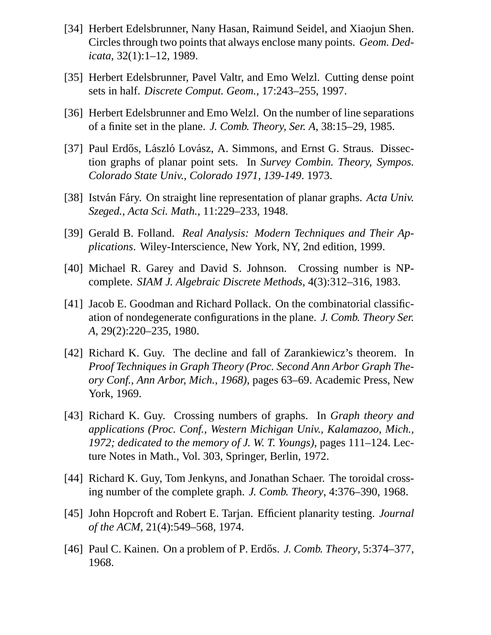- [34] Herbert Edelsbrunner, Nany Hasan, Raimund Seidel, and Xiaojun Shen. Circles through two points that always enclose many points. *Geom. Dedicata*, 32(1):1–12, 1989.
- [35] Herbert Edelsbrunner, Pavel Valtr, and Emo Welzl. Cutting dense point sets in half. *Discrete Comput. Geom.*, 17:243–255, 1997.
- [36] Herbert Edelsbrunner and Emo Welzl. On the number of line separations of a finite set in the plane. *J. Comb. Theory, Ser. A*, 38:15–29, 1985.
- [37] Paul Erdős, László Lovász, A. Simmons, and Ernst G. Straus. Dissection graphs of planar point sets. In *Survey Combin. Theory, Sympos. Colorado State Univ., Colorado 1971, 139-149*. 1973.
- [38] István Fáry. On straight line representation of planar graphs. *Acta Univ. Szeged., Acta Sci. Math.*, 11:229–233, 1948.
- [39] Gerald B. Folland. *Real Analysis: Modern Techniques and Their Applications*. Wiley-Interscience, New York, NY, 2nd edition, 1999.
- [40] Michael R. Garey and David S. Johnson. Crossing number is NPcomplete. *SIAM J. Algebraic Discrete Methods*, 4(3):312–316, 1983.
- [41] Jacob E. Goodman and Richard Pollack. On the combinatorial classification of nondegenerate configurations in the plane. *J. Comb. Theory Ser. A*, 29(2):220–235, 1980.
- [42] Richard K. Guy. The decline and fall of Zarankiewicz's theorem. In *Proof Techniques in Graph Theory (Proc. Second Ann Arbor Graph Theory Conf., Ann Arbor, Mich., 1968)*, pages 63–69. Academic Press, New York, 1969.
- [43] Richard K. Guy. Crossing numbers of graphs. In *Graph theory and applications (Proc. Conf., Western Michigan Univ., Kalamazoo, Mich., 1972; dedicated to the memory of J. W. T. Youngs)*, pages 111–124. Lecture Notes in Math., Vol. 303, Springer, Berlin, 1972.
- [44] Richard K. Guy, Tom Jenkyns, and Jonathan Schaer. The toroidal crossing number of the complete graph. *J. Comb. Theory*, 4:376–390, 1968.
- [45] John Hopcroft and Robert E. Tarjan. Efficient planarity testing. *Journal of the ACM*, 21(4):549–568, 1974.
- [46] Paul C. Kainen. On a problem of P. Erdős. *J. Comb. Theory*, 5:374–377, 1968.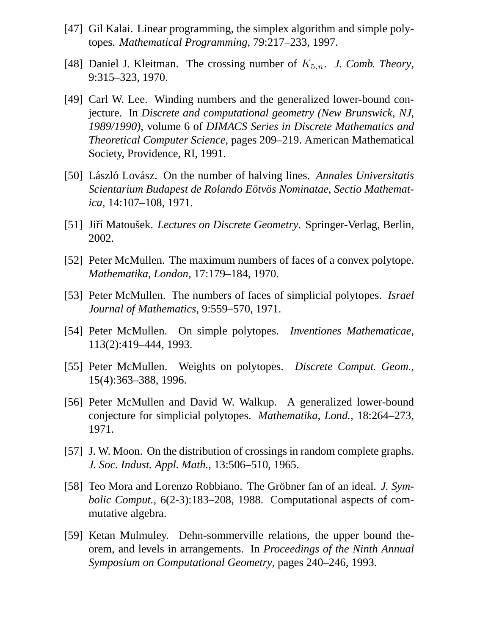- [47] Gil Kalai. Linear programming, the simplex algorithm and simple polytopes. *Mathematical Programming*, 79:217–233, 1997.
- [48] Daniel J. Kleitman. The crossing number of  $K_{5,n}$ . *J. Comb. Theory*, 9:315–323, 1970.
- [49] Carl W. Lee. Winding numbers and the generalized lower-bound conjecture. In *Discrete and computational geometry (New Brunswick, NJ, 1989/1990)*, volume 6 of *DIMACS Series in Discrete Mathematics and Theoretical Computer Science*, pages 209–219. American Mathematical Society, Providence, RI, 1991.
- [50] László Lovász. On the number of halving lines. *Annales Universitatis Scientarium Budapest de Rolando Eotv ¨ os Nominatae, Sectio Mathemat- ¨ ica*, 14:107–108, 1971.
- [51] Jiří Matoušek. *Lectures on Discrete Geometry*. Springer-Verlag, Berlin, 2002.
- [52] Peter McMullen. The maximum numbers of faces of a convex polytope. *Mathematika, London*, 17:179–184, 1970.
- [53] Peter McMullen. The numbers of faces of simplicial polytopes. *Israel Journal of Mathematics*, 9:559–570, 1971.
- [54] Peter McMullen. On simple polytopes. *Inventiones Mathematicae*, 113(2):419–444, 1993.
- [55] Peter McMullen. Weights on polytopes. *Discrete Comput. Geom.*, 15(4):363–388, 1996.
- [56] Peter McMullen and David W. Walkup. A generalized lower-bound conjecture for simplicial polytopes. *Mathematika, Lond.*, 18:264–273, 1971.
- [57] J. W. Moon. On the distribution of crossings in random complete graphs. *J. Soc. Indust. Appl. Math.*, 13:506–510, 1965.
- [58] Teo Mora and Lorenzo Robbiano. The Gröbner fan of an ideal. *J. Symbolic Comput.*, 6(2-3):183–208, 1988. Computational aspects of commutative algebra.
- [59] Ketan Mulmuley. Dehn-sommerville relations, the upper bound theorem, and levels in arrangements. In *Proceedings of the Ninth Annual Symposium on Computational Geometry*, pages 240–246, 1993.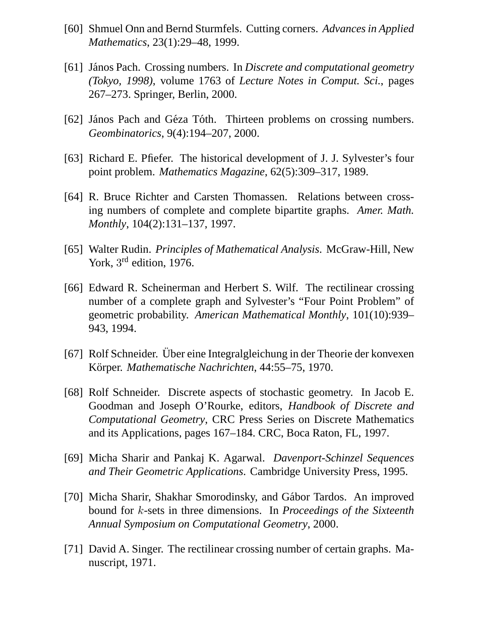- [60] Shmuel Onn and Bernd Sturmfels. Cutting corners. *Advances in Applied Mathematics*, 23(1):29–48, 1999.
- [61] János Pach. Crossing numbers. In *Discrete and computational geometry (Tokyo, 1998)*, volume 1763 of *Lecture Notes in Comput. Sci.*, pages 267–273. Springer, Berlin, 2000.
- [62] János Pach and Géza Tóth. Thirteen problems on crossing numbers. *Geombinatorics*, 9(4):194–207, 2000.
- [63] Richard E. Pfiefer. The historical development of J. J. Sylvester's four point problem. *Mathematics Magazine*, 62(5):309–317, 1989.
- [64] R. Bruce Richter and Carsten Thomassen. Relations between crossing numbers of complete and complete bipartite graphs. *Amer. Math. Monthly*, 104(2):131–137, 1997.
- [65] Walter Rudin. *Principles of Mathematical Analysis*. McGraw-Hill, New York, 3<sup>rd</sup> edition, 1976.
- [66] Edward R. Scheinerman and Herbert S. Wilf. The rectilinear crossing number of a complete graph and Sylvester's "Four Point Problem" of geometric probability. *American Mathematical Monthly*, 101(10):939– 943, 1994.
- [67] Rolf Schneider. Über eine Integralgleichung in der Theorie der konvexen Körper. Mathematische Nachrichten, 44:55–75, 1970.
- [68] Rolf Schneider. Discrete aspects of stochastic geometry. In Jacob E. Goodman and Joseph O'Rourke, editors, *Handbook of Discrete and Computational Geometry*, CRC Press Series on Discrete Mathematics and its Applications, pages 167–184. CRC, Boca Raton, FL, 1997.
- [69] Micha Sharir and Pankaj K. Agarwal. *Davenport-Schinzel Sequences and Their Geometric Applications*. Cambridge University Press, 1995.
- [70] Micha Sharir, Shakhar Smorodinsky, and Gábor Tardos. An improved bound for k-sets in three dimensions. In *Proceedings of the Sixteenth Annual Symposium on Computational Geometry*, 2000.
- [71] David A. Singer. The rectilinear crossing number of certain graphs. Manuscript, 1971.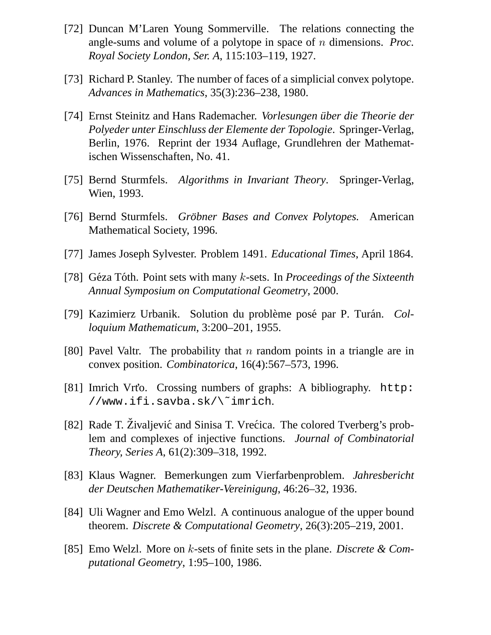- [72] Duncan M'Laren Young Sommerville. The relations connecting the angle-sums and volume of a polytope in space of n dimensions. *Proc. Royal Society London, Ser. A*, 115:103–119, 1927.
- [73] Richard P. Stanley. The number of faces of a simplicial convex polytope. *Advances in Mathematics*, 35(3):236–238, 1980.
- [74] Ernst Steinitz and Hans Rademacher. *Vorlesungen über die Theorie der Polyeder unter Einschluss der Elemente der Topologie*. Springer-Verlag, Berlin, 1976. Reprint der 1934 Auflage, Grundlehren der Mathematischen Wissenschaften, No. 41.
- [75] Bernd Sturmfels. *Algorithms in Invariant Theory*. Springer-Verlag, Wien, 1993.
- [76] Bernd Sturmfels. *Gröbner Bases and Convex Polytopes*. American Mathematical Society, 1996.
- [77] James Joseph Sylvester. Problem 1491. *Educational Times*, April 1864.
- [78] Géza Tóth. Point sets with many k-sets. In *Proceedings of the Sixteenth Annual Symposium on Computational Geometry*, 2000.
- [79] Kazimierz Urbanik. Solution du problème posé par P. Turán. *Colloquium Mathematicum*, 3:200–201, 1955.
- [80] Pavel Valtr. The probability that n random points in a triangle are in convex position. *Combinatorica*, 16(4):567–573, 1996.
- [81] Imrich Vrto. Crossing numbers of graphs: A bibliography. http: //www.ifi.savba.sk/\˜imrich.
- [82] Rade T. Živaljević and Sinisa T. Vrećica. The colored Tverberg's problem and complexes of injective functions. *Journal of Combinatorial Theory, Series A*, 61(2):309–318, 1992.
- [83] Klaus Wagner. Bemerkungen zum Vierfarbenproblem. *Jahresbericht der Deutschen Mathematiker-Vereinigung*, 46:26–32, 1936.
- [84] Uli Wagner and Emo Welzl. A continuous analogue of the upper bound theorem. *Discrete & Computational Geometry*, 26(3):205–219, 2001.
- [85] Emo Welzl. More on k-sets of finite sets in the plane. *Discrete & Computational Geometry*, 1:95–100, 1986.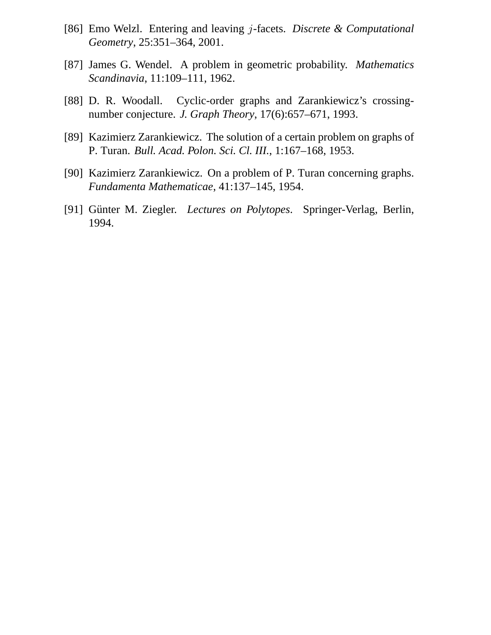- [86] Emo Welzl. Entering and leaving j-facets. *Discrete & Computational Geometry*, 25:351–364, 2001.
- [87] James G. Wendel. A problem in geometric probability. *Mathematics Scandinavia*, 11:109–111, 1962.
- [88] D. R. Woodall. Cyclic-order graphs and Zarankiewicz's crossingnumber conjecture. *J. Graph Theory*, 17(6):657–671, 1993.
- [89] Kazimierz Zarankiewicz. The solution of a certain problem on graphs of P. Turan. *Bull. Acad. Polon. Sci. Cl. III.*, 1:167–168, 1953.
- [90] Kazimierz Zarankiewicz. On a problem of P. Turan concerning graphs. *Fundamenta Mathematicae*, 41:137–145, 1954.
- [91] Günter M. Ziegler. *Lectures on Polytopes*. Springer-Verlag, Berlin, 1994.